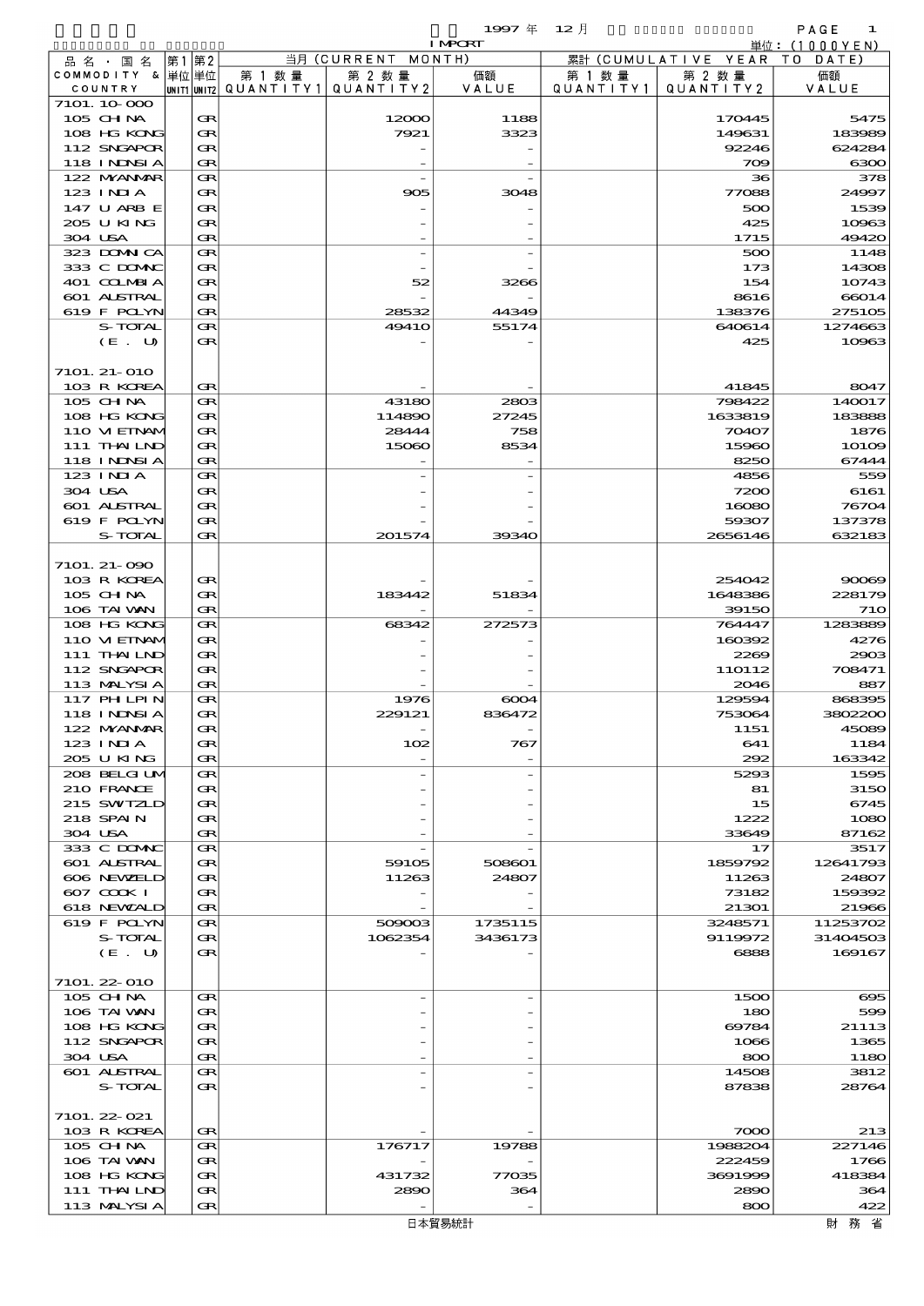|                   |          |                          |                    | 1997 $#$       | $12$ 月    |                     | PAGE<br>1                   |
|-------------------|----------|--------------------------|--------------------|----------------|-----------|---------------------|-----------------------------|
|                   |          |                          |                    | <b>I MPCRT</b> |           |                     | 単位:(1000YEN)                |
| 品 名 ・ 国 名         | 第2<br>第1 |                          | 当月 (CURRENT MONTH) |                |           | 累計 (CUMULATIVE YEAR | DATE<br>T O                 |
| COMMODITY & 単位単位  |          | 第 1 数 量                  | 第 2 数量             | 価額             | 第 1 数 量   | 第 2 数 量             | 価額                          |
| COUNTRY           |          | UNIT1 UNIT2  Q∪ANT I TY1 | QUANTITY2          | VALUE          | QUANTITY1 | QUANTITY2           | VALUE                       |
| 7101. 10.000      |          |                          |                    |                |           |                     |                             |
| 105 CH NA         | Œ        |                          | 12000              | 1188           |           | 170445              | 5475                        |
| 108 HG KONG       | Œ        |                          | 7921               | 3323           |           | 149631              | 183989                      |
| 112 SNGAPOR       | Œ        |                          |                    |                |           | 92246               | 624284                      |
| <b>118 INNSIA</b> | Œ        |                          |                    |                |           | 709                 | 6300                        |
| 122 NYANAR        | Œ        |                          |                    |                |           | 36                  | 378                         |
| $123$ INIA        | Œ        |                          | 905                | 3048           |           | 77088               | 24997                       |
| 147 U ARB E       | Œ        |                          |                    |                |           | 500                 | 1539                        |
| 205 U KING        | Œ        |                          |                    |                |           | 425                 | 10963                       |
| 304 USA           | Œ        |                          |                    |                |           | 1715                | 49420                       |
| 323 DOMNICA       | Œ        |                          |                    |                |           | 500                 | 1148                        |
| 333 C DOMAC       | Œ        |                          |                    |                |           | 173                 | 14308                       |
| 401 COLMBIA       | Œ        |                          | 52                 | 3266           |           | 154                 | 10743                       |
| 601 ALSTRAL       | Œ        |                          |                    |                |           | 8616                | 66014                       |
| 619 F POLYN       | Œ        |                          | 28532              | 44349          |           | 138376              | 275105                      |
| S-TOTAL           | Œ        |                          | <b>49410</b>       | 55174          |           | 640614              | 1274663                     |
| (E. U)            | Œ        |                          |                    |                |           | 425                 | 10963                       |
|                   |          |                          |                    |                |           |                     |                             |
| 7101. 21- 010     |          |                          |                    |                |           |                     |                             |
| 103 R KOREA       | Œ        |                          |                    |                |           | 41845               | 8047                        |
| 105 CH NA         | Œ        |                          | 43180              | 2803           |           | 798422              | 140017                      |
| 108 HG KONG       | Œ        |                          | 114890             | 27245          |           | 1633819             | 183888                      |
| 110 VIEINAM       | Œ        |                          | 28444              | 758            |           | 70407               | 1876                        |
| 111 THAILND       | Œ        |                          | 15060              | 8534           |           | 15960               | $101$ <del>O</del> $\Theta$ |
| 118 INNSI A       | Œ        |                          |                    |                |           | 8250                | 67444                       |
| 123 INIA          | Œ        |                          |                    |                |           | 4856                | 559                         |
| 304 USA           | Œ        |                          |                    |                |           | 7200                | 6161                        |
| 601 ALSTRAL       | Œ        |                          |                    |                |           | 16080               | 76704                       |
| 619 F POLYN       | Œ        |                          |                    |                |           | 59307               | 137378                      |
| S-TOTAL           | Œ        |                          | 201574             | 39340          |           | 2656146             | 632183                      |
|                   |          |                          |                    |                |           |                     |                             |
| 7101. 21- 090     |          |                          |                    |                |           |                     |                             |
| 103 R KOREA       | Œ        |                          |                    |                |           | 254042              | 90069                       |
| $105$ CHNA        | Œ        |                          | 183442             | 51834          |           | 1648386             | 228179                      |
| 106 TAI VAN       | Œ        |                          |                    |                |           | 39150               | 710                         |
| 108 HG KONG       | Œ        |                          | 68342              | 272573         |           | 764447              | 1283889                     |
| 110 VIEINAM       | Œ        |                          |                    |                |           | 160392              | 4276                        |
| 111 THAILND       | Œ        |                          |                    |                |           | 2269                | 2903                        |
| 112 SNGAPOR       | Œ        |                          |                    |                |           | 110112              | 708471                      |
| 113 MALYSIA       | œ        |                          |                    |                |           | 2046                | 887                         |
| 117 PH LPIN       | Œ        |                          | 1976               | 6004           |           | 129594              | 868395                      |
| 118 INNSI A       | Œ        |                          | 229121             | 836472         |           | 753064              | 3802200                     |
| 122 MYANMAR       | Œ        |                          |                    |                |           | 1151                | 45089                       |
| 123 INIA          | Œ        |                          | 102                | 767            |           | 641                 | 1184                        |
| 205 U KING        | Œ        |                          |                    |                |           | 292                 | 163342                      |
| 208 BELGI UM      | Œ        |                          |                    |                |           | 5293                | 1595                        |
| 210 FRANCE        | Œ        |                          |                    |                |           | 81                  | 3150                        |
| 215 SWIZLD        | Œ        |                          |                    |                |           | 15                  | 6745                        |
| 218 SPAIN         | Œ        |                          |                    |                |           | 1222                | 1080                        |
| 304 USA           | Œ        |                          |                    |                |           | 33649               | 87162                       |
| 333 C DOMIC       | Œ        |                          |                    |                |           | 17                  | 3517                        |
| 601 ALSTRAL       | Œ        |                          | 59105              | 508601         |           | 1859792             | 12641793                    |
| 606 NEWELD        | Œ        |                          | 11263              | 24807          |           | 11263               | 24807                       |
| 607 COOK I        | Œ        |                          |                    |                |           | 73182               | 159392                      |
| 618 NEWALD        | Œ        |                          |                    |                |           | 21301               | 21966                       |
| 619 F POLYN       | Œ        |                          | 509003             | 1735115        |           | 3248571             | 11253702                    |
| S-TOTAL           | Œ        |                          | 1062354            | 3436173        |           | 9119972             | 31404503                    |
| (E. U)            | Œ        |                          |                    |                |           | 6888                | 169167                      |
|                   |          |                          |                    |                |           |                     |                             |
| 7101. 22-010      |          |                          |                    |                |           |                     |                             |
| 105 CH NA         | Œ        |                          |                    |                |           | 1500                | $\infty$                    |
| 106 TAI VAN       | Œ        |                          |                    |                |           | 180                 | 599                         |
| 108 HG KONG       | Œ        |                          |                    |                |           | 69784               | 21113                       |
| 112 SNGAPOR       | Œ        |                          |                    |                |           | 1066                | 1365                        |
| 304 USA           | Œ        |                          |                    |                |           | 800                 | 1180                        |
| 601 ALSTRAL       | Œ        |                          |                    |                |           | 14508               | 3812                        |
| S-TOTAL           | Œ        |                          |                    |                |           | 87838               | 28764                       |
|                   |          |                          |                    |                |           |                     |                             |
| 7101. 22-021      |          |                          |                    |                |           |                     |                             |
| 103 R KOREA       | Œ        |                          |                    |                |           | 7000                | 213                         |
| 105 CH NA         | Œ        |                          | 176717             | 19788          |           | 1988204             | 227146                      |
| 106 TAI VAN       | Œ        |                          |                    |                |           | 222459              | 1766                        |
| 108 HG KONG       | Œ        |                          | 431732             | 77035          |           | 3691999             | 418384                      |

111 THAILND GR 2880 364 2890 364 113 MALYSIA GR - - 800 422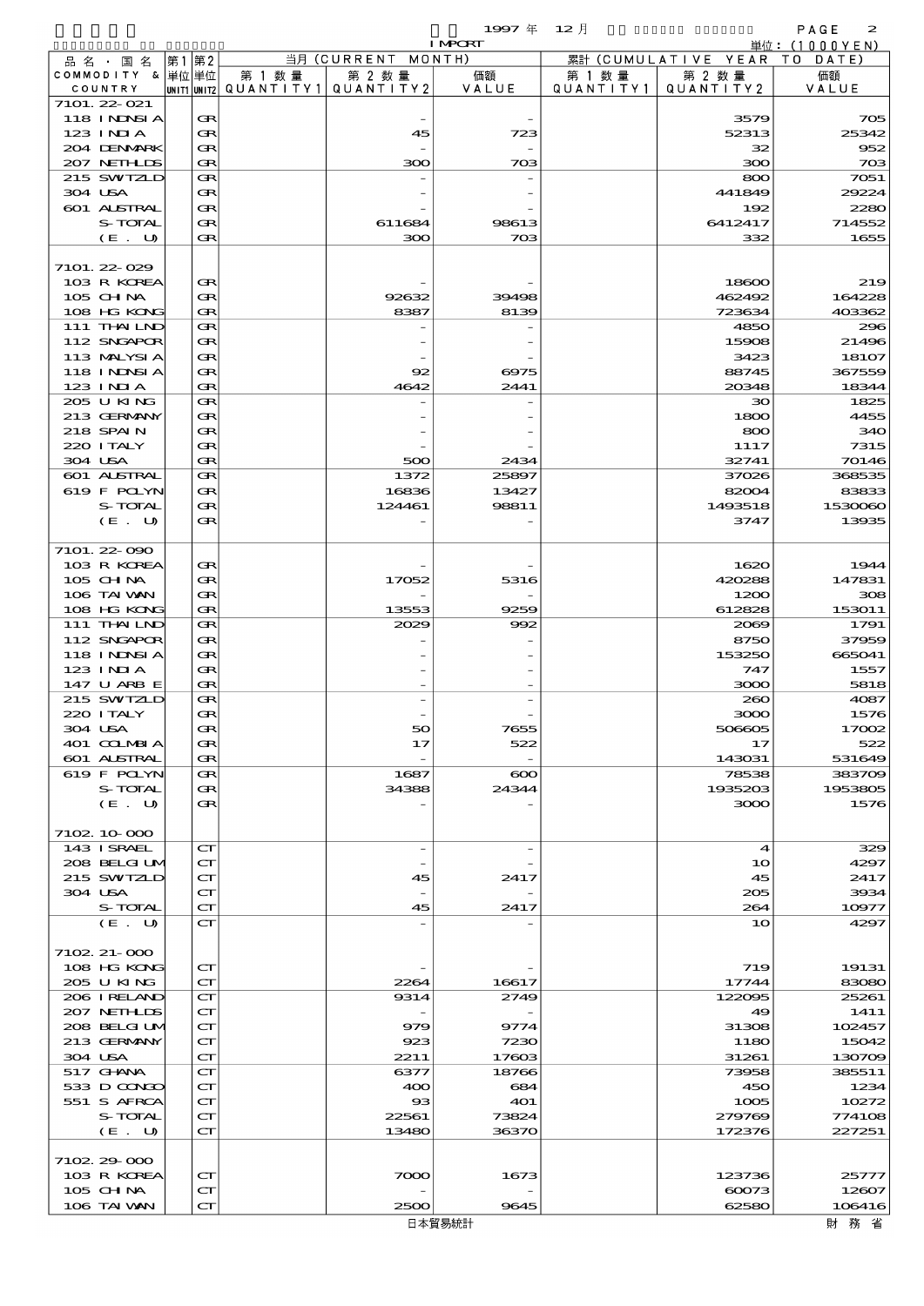| 1997 $#$<br>$12$ 月<br>PAGE<br><b>I MPCRT</b><br>単位: $(1000YEN)$ |                               |                                                            |           |              |               |                   |                      |                   |  |
|-----------------------------------------------------------------|-------------------------------|------------------------------------------------------------|-----------|--------------|---------------|-------------------|----------------------|-------------------|--|
|                                                                 | 品名・国名                         | 第2<br>第1                                                   |           | 当月(CURRENT   | MONTH)        |                   | 累計 (CUMULATIVE YEAR) | T O<br>DATE       |  |
|                                                                 | COMMODITY & 単位単位              |                                                            | 第 1 数量    | 第 2 数量       | 価額            | 第 1 数 量           | 第 2 数量               | 価額                |  |
|                                                                 | COUNTRY                       | UNIT1 UNIT2                                                | QUANTITY1 | QUANTITY2    | VALUE         | Q U A N T I T Y 1 | QUANTITY2            | VALUE             |  |
|                                                                 | $7101.22 \ \Omega$            |                                                            |           |              |               |                   |                      |                   |  |
|                                                                 | <b>118 INNSIA</b>             | Œ                                                          |           |              |               |                   | 3579                 | 705               |  |
|                                                                 | 123 INIA                      | Œ                                                          |           | 45           | 723           |                   | 52313                | 25342             |  |
|                                                                 | 204 DENMARK                   | Œ                                                          |           |              |               |                   | 32                   | 952               |  |
|                                                                 | 207 NETHLIS                   | Œ                                                          |           | 300          | 703           |                   | 300                  | 703               |  |
|                                                                 | 215 SWIZLD<br>304 USA         | Œ<br>Œ                                                     |           |              |               |                   | 800<br>441849        | 7051<br>29224     |  |
|                                                                 | <b>601 ALSTRAL</b>            | Œ                                                          |           |              |               |                   | 192                  | 2280              |  |
|                                                                 | S-TOTAL                       | Œ                                                          |           | 611684       | 98613         |                   | 6412417              | 714552            |  |
|                                                                 | (E. U)                        | Œ                                                          |           | 300          | 703           |                   | 332                  | 1655              |  |
|                                                                 |                               |                                                            |           |              |               |                   |                      |                   |  |
|                                                                 | 7101.22-029                   |                                                            |           |              |               |                   |                      |                   |  |
|                                                                 | 103 R KOREA                   | Œ                                                          |           |              |               |                   | 18600                | 219               |  |
|                                                                 | 105 CH NA                     | Œ                                                          |           | 92632        | 39498         |                   | 462492               | 164228            |  |
|                                                                 | 108 HG KONG                   | Œ                                                          |           | 8387         | 8139          |                   | 723634               | 403362            |  |
|                                                                 | 111 THAILND                   | Œ                                                          |           |              |               |                   | 4850                 | 296               |  |
|                                                                 | 112 SNGAPOR                   | Œ                                                          |           |              |               |                   | 15908                | 21496             |  |
|                                                                 | 113 MALYSIA                   | Œ                                                          |           |              |               |                   | 3423                 | 18107             |  |
|                                                                 | <b>118 INNSIA</b><br>123 INIA | Œ<br>Œ                                                     |           | 92<br>4642   | 6975<br>2441  |                   | 88745<br>20348       | 367559<br>18344   |  |
|                                                                 | 205 U KING                    | Œ                                                          |           |              |               |                   | 30                   | 1825              |  |
|                                                                 | 213 GERMANY                   | Œ                                                          |           |              |               |                   | 1800                 | 4455              |  |
|                                                                 | 218 SPAIN                     | Œ                                                          |           |              |               |                   | 800                  | 340               |  |
|                                                                 | 220 I TALY                    | Œ                                                          |           |              |               |                   | 1117                 | 7315              |  |
|                                                                 | 304 USA                       | Œ                                                          |           | 500          | 2434          |                   | 32741                | 70146             |  |
|                                                                 | 601 ALSTRAL                   | Œ                                                          |           | 1372         | 25897         |                   | 37026                | 368535            |  |
|                                                                 | 619 F POLYN                   | Œ                                                          |           | 16836        | 13427         |                   | 82004                | 83833             |  |
|                                                                 | S-TOTAL                       | Œ                                                          |           | 124461       | 98811         |                   | 1493518              | 1530060           |  |
|                                                                 | (E. U)                        | Œ                                                          |           |              |               |                   | 3747                 | 13935             |  |
|                                                                 |                               |                                                            |           |              |               |                   |                      |                   |  |
|                                                                 | 7101. 22-090                  |                                                            |           |              |               |                   |                      |                   |  |
|                                                                 | 103 R KOREA<br>105 CH NA      | Œ<br>Œ                                                     |           | 17052        | 5316          |                   | 1620<br>420288       | 1944<br>147831    |  |
|                                                                 | 106 TAI VAN                   | Œ                                                          |           |              |               |                   | 1200                 | 308               |  |
|                                                                 | 108 HG KONG                   | Œ                                                          |           | 13553        | 9259          |                   | 612828               | 153011            |  |
|                                                                 | 111 THAILND                   | Œ                                                          |           | 2029         | 992           |                   | 2069                 | 1791              |  |
|                                                                 | 112 SNGAPOR                   | Œ                                                          |           |              |               |                   | 8750                 | 37959             |  |
|                                                                 | 118 I NDSI A                  | Œ                                                          |           |              |               |                   | 153250               | 665041            |  |
|                                                                 | $123$ INIA                    | Œ                                                          |           |              |               |                   | 747                  | 1557              |  |
|                                                                 | 147 U ARB E                   | $\bf G$                                                    |           |              |               |                   | 3000                 | 5818              |  |
|                                                                 | 215 SWTZLD                    | Œ                                                          |           |              |               |                   | 260                  | 4087              |  |
|                                                                 | 220 I TALY                    | Œ                                                          |           |              |               |                   | 3000                 | 1576              |  |
|                                                                 | 304 USA<br>401 COLMBIA        | Œ                                                          |           | 50           | 7655          |                   | 506605               | 1700 <sub>2</sub> |  |
|                                                                 | 601 ALSTRAL                   | Œ<br>Œ                                                     |           | 17           | 522           |                   | 17<br>143031         | 522<br>531649     |  |
|                                                                 | 619 F POLYN                   | Œ                                                          |           | 1687         | $\infty$      |                   | 78538                | 383709            |  |
|                                                                 | S-TOTAL                       | Œ                                                          |           | 34388        | 24344         |                   | 1935203              | 1953805           |  |
|                                                                 | (E. U)                        | Œ                                                          |           |              |               |                   | 3000                 | 1576              |  |
|                                                                 |                               |                                                            |           |              |               |                   |                      |                   |  |
|                                                                 | 7102 10 000                   |                                                            |           |              |               |                   |                      |                   |  |
|                                                                 | 143 ISRAEL                    | $\mathbf{C}\mathbf{\Gamma}$                                |           |              |               |                   | $\boldsymbol{4}$     | 329               |  |
|                                                                 | 208 BELGI UM<br>215 SWIZLD    | $\mathbf{C}\mathbf{\Gamma}$<br>$\mathbf{C}\mathbf{\Gamma}$ |           | 45           | 2417          |                   | 10<br>45             | 4297<br>2417      |  |
|                                                                 | 304 USA                       | $\mathbf{C}\mathbf{\Gamma}$                                |           |              |               |                   | 205                  | 3934              |  |
|                                                                 | S-TOTAL                       | $\mathbf{C}\mathbf{\Gamma}$                                |           | 45           | 2417          |                   | 264                  | 10977             |  |
|                                                                 | (E. U)                        | $\mathbf{C}\mathbf{\Gamma}$                                |           |              |               |                   | 10                   | 4297              |  |
|                                                                 |                               |                                                            |           |              |               |                   |                      |                   |  |
|                                                                 | 7102 21 000                   |                                                            |           |              |               |                   |                      |                   |  |
|                                                                 | 108 HG KONG                   | $\mathbf{C}\mathbf{\Gamma}$                                |           |              |               |                   | 719                  | 19131             |  |
|                                                                 | 205 U KING<br>206 IRELAND     | $\mathbf{C}\mathbf{\Gamma}$<br>$\mathbf{C}\mathbf{\Gamma}$ |           | 2264<br>9314 | 16617<br>2749 |                   | 17744<br>122095      | 83080<br>25261    |  |
|                                                                 | 207 NETHLIS                   | $\mathbf{C}\mathbf{\Gamma}$                                |           |              |               |                   | 49                   | 1411              |  |
|                                                                 | 208 BELGI UM                  | $\mathbf{C}\mathbf{\Gamma}$                                |           | 979          | 9774          |                   | 31308                | 102457            |  |
|                                                                 | 213 GERMANY                   | $\mathbf{C}\mathbf{\Gamma}$                                |           | 923          | 7230          |                   | 1180                 | 15042             |  |
| 304 USA                                                         |                               | $\mathbf{C}\mathbf{\Gamma}$                                |           | 2211         | 17603         |                   | 31261                | 130709            |  |

Ξ

7102.29-000

517 GHANA CT 6377 18766 73958 385511 533 D CONCO  $| \text{CT} |$  400 684 450 450 1234 533 D CONCO CT 400 684 450 1234<br>551 S AFRCA CT 93 401 1005 10272<br>5-TOTAL CT 22561 73824 279769 774108  $S-TOTAL$   $CT$   $22561$   $73824$   $279769$   $774108$  $(E. U)$   $CT$  13480 36370 172376 227251

103 R KOREA CT 7000 1673 123736 25777  $105 \text{ GHM}$   $|\text{cr}|$   $|\text{cr}|$   $|\text{cr}|$   $|\text{cr}|$   $|\text{cr}|$   $|\text{cr}|$   $|\text{cr}|$   $|\text{cr}|$   $|\text{cr}|$   $|\text{cr}|$   $|\text{cr}|$   $|\text{cr}|$   $|\text{cr}|$   $|\text{cr}|$   $|\text{cr}|$   $|\text{cr}|$   $|\text{cr}|$   $|\text{cr}|$   $|\text{cr}|$   $|\text{cr}|$   $|\text{cr}|$   $|\text{cr}|$   $|\text{cr}|$   $|\text{cr}|$   $|\text{cr}|$   $|\text{cr}|$   $106$  TAI WAN  $\overline{CT}$   $\overline{CT}$   $\overline{2500}$   $\overline{9645}$   $\overline{62580}$   $\overline{106416}$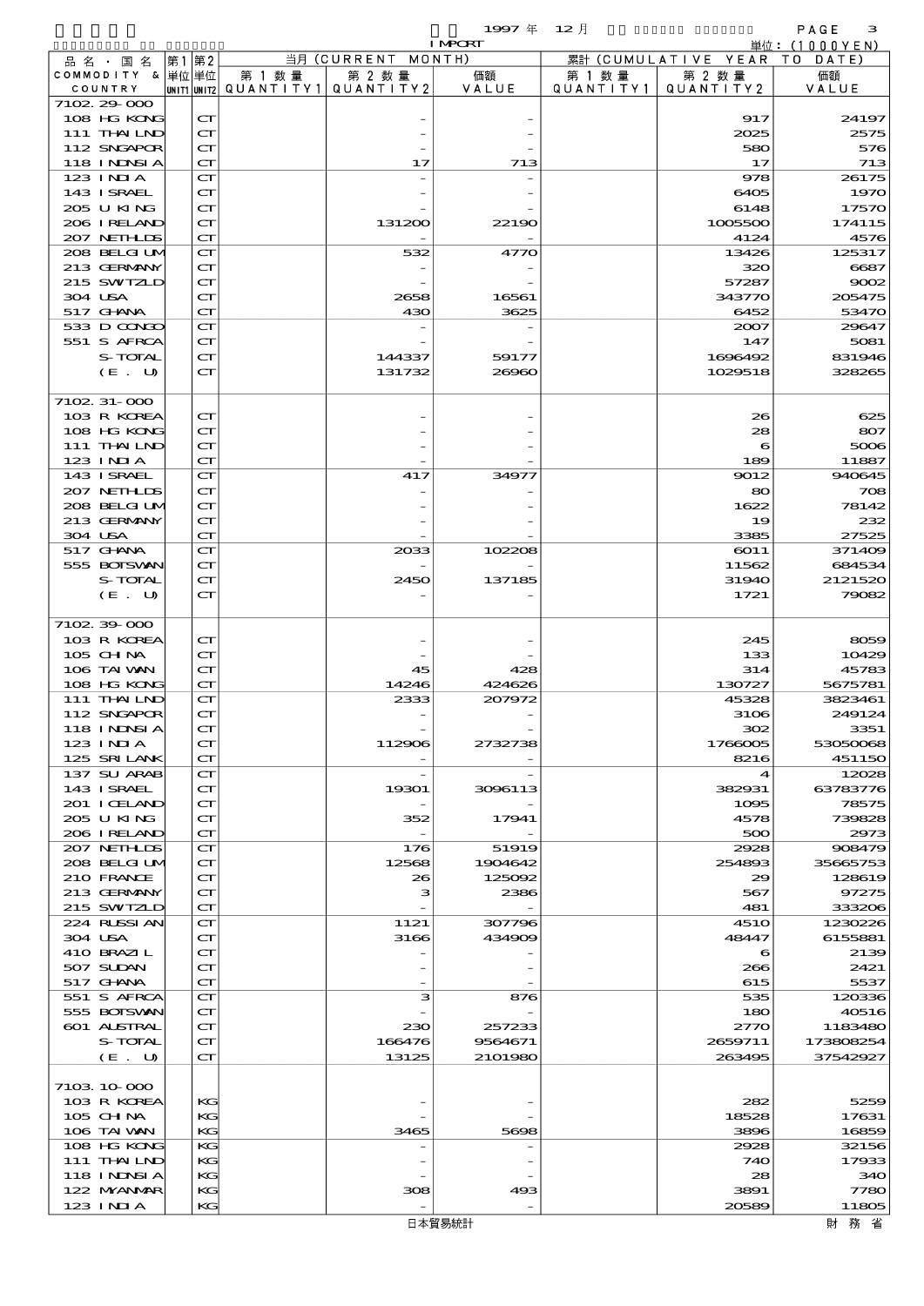$1997 \nexists 12 \nexists$ 

|         |                             |    |                                                            |                     |                     | <b>I MPORT</b> |                      |                              | 単位: (1000YEN)    |
|---------|-----------------------------|----|------------------------------------------------------------|---------------------|---------------------|----------------|----------------------|------------------------------|------------------|
|         | 品名・国名                       | 第1 | 第2                                                         |                     | 当月 (CURRENT MONTH)  |                |                      | 累計 (CUMULATIVE YEAR TO DATE) |                  |
|         | COMMODITY & 単位単位<br>COUNTRY |    | UNIT1 UNIT2                                                | 第 1 数量<br>QUANTITY1 | 第 2 数量<br>QUANTITY2 | 価額<br>VALUE    | 第 1 数 量<br>QUANTITY1 | 第 2 数量<br>QUANTITY 2         | 価額<br>VALUE      |
|         | 7102 29 000                 |    |                                                            |                     |                     |                |                      |                              |                  |
|         | 108 HG KONG                 |    | $\mathbf{C}\mathbf{\Gamma}$                                |                     |                     |                |                      | 917                          | 24197            |
|         | 111 THAILND                 |    | $\mathbf{C}\mathbf{\Gamma}$                                |                     |                     |                |                      | 2025                         | 2575             |
|         | 112 SNGAPOR                 |    | CT                                                         |                     |                     |                |                      | 580                          | 576              |
|         | 118 I NDSI A<br>123 INIA    |    | $\mathbf{C}\mathbf{\Gamma}$<br>$\mathbf{C}\mathbf{\Gamma}$ |                     | 17                  | 713            |                      | 17<br>978                    | 713<br>26175     |
|         | 143 ISRAEL                  |    | $\mathbf{C}\mathbf{\Gamma}$                                |                     |                     |                |                      | 6405                         | 1970             |
|         | 205 U KING                  |    | $\mathbf{C}\mathbf{\Gamma}$                                |                     |                     |                |                      | 6148                         | 17570            |
|         | 206 IRELAND                 |    | $\mathbf{C}\mathbf{\Gamma}$                                |                     | 131200              | 22190          |                      | 1005500                      | 174115           |
|         | 207 NETHLIS                 |    | $\mathbf{C}\mathbf{\Gamma}$<br>$\mathbf{C}\mathbf{\Gamma}$ |                     | 532                 |                |                      | 4124<br>13426                | 4576             |
|         | 208 BELGI UM<br>213 GERMANY |    | $\mathbf{C}\mathbf{\Gamma}$                                |                     |                     | 4770           |                      | 320                          | 125317<br>6687   |
|         | 215 SWIZLD                  |    | $\mathbf{C}\mathbf{\Gamma}$                                |                     |                     |                |                      | 57287                        | 9002             |
|         | 304 USA                     |    | $\mathbf{C}\mathbf{\Gamma}$                                |                     | 2658                | 16561          |                      | 343770                       | 205475           |
|         | 517 GHNA                    |    | $\mathbf{C}\mathbf{\Gamma}$                                |                     | 430                 | 3625           |                      | 6452                         | 53470            |
|         | 533 D CONGO<br>551 S AFRCA  |    | $\mathbf{C}\mathbf{\Gamma}$<br>$\mathbf{C}\mathbf{\Gamma}$ |                     |                     |                |                      | 2007<br>147                  | 29647<br>5081    |
|         | S-TOTAL                     |    | $\mathbf{C}\mathbf{\Gamma}$                                |                     | 144337              | 59177          |                      | 1696492                      | 831946           |
|         | (E. U)                      |    | $\mathbf{C}\mathbf{\Gamma}$                                |                     | 131732              | 26960          |                      | 1029518                      | 328265           |
|         |                             |    |                                                            |                     |                     |                |                      |                              |                  |
|         | 7102 31 000<br>103 R KOREA  |    | $\mathbf{C}\mathbf{\Gamma}$                                |                     |                     |                |                      | 26                           | 625              |
|         | 108 HG KONG                 |    | $\mathbf{C}\mathbf{\Gamma}$                                |                     |                     |                |                      | 28                           | 807              |
|         | 111 THAILND                 |    | $\mathbf{C}\mathbf{\Gamma}$                                |                     |                     |                |                      | 6                            | 5006             |
|         | 123 INIA                    |    | $\mathbf{C}\mathbf{\Gamma}$                                |                     |                     |                |                      | 189                          | 11887            |
|         | 143 ISRAEL                  |    | $\mathbf{C}\mathbf{\Gamma}$                                |                     | 417                 | 34977          |                      | 9012                         | 940645           |
|         | 207 NETHLIS<br>208 BELGI UM |    | $\mathbf{C}\mathbf{\Gamma}$<br>$\mathbf{C}\mathbf{\Gamma}$ |                     |                     |                |                      | 80<br>1622                   | 708<br>78142     |
|         | 213 GERMANY                 |    | $\mathbf{C}\mathbf{\Gamma}$                                |                     |                     |                |                      | 19                           | 232              |
| 304 USA |                             |    | $\mathbf{C}\mathbf{\Gamma}$                                |                     |                     |                |                      | 3385                         | 27525            |
|         | 517 GHANA                   |    | $\mathbf{C}\mathbf{\Gamma}$                                |                     | 2033                | 102208         |                      | 6011                         | 371409           |
|         | 555 BOISVAN                 |    | $\mathbf{C}\mathbf{\Gamma}$                                |                     |                     |                |                      | 11562                        | 684534           |
|         | S-TOTAL<br>(E. U)           |    | $\mathbf{C}\mathbf{\Gamma}$<br>$\mathbf{C}\mathbf{\Gamma}$ |                     | 2450                | 137185         |                      | 31940<br>1721                | 2121520<br>79082 |
|         |                             |    |                                                            |                     |                     |                |                      |                              |                  |
|         | 7102 39 000                 |    |                                                            |                     |                     |                |                      |                              |                  |
|         | 103 R KOREA                 |    | $\mathbf{C}\mathbf{\Gamma}$                                |                     |                     |                |                      | 245                          | 8059             |
|         | 105 CH NA<br>106 TAI VAN    |    | $\mathbf{C}\mathbf{\Gamma}$<br>$\mathbf{C}\mathbf{\Gamma}$ |                     | 45                  | 428            |                      | 133<br>314                   | 10429<br>45783   |
|         | 108 HG KONG                 |    | $\mathbf{C}\mathbf{\Gamma}$                                |                     | 14246               | 424626         |                      | 130727                       | 5675781          |
|         | 111 THAILND                 |    | $\mathbf{C}\mathbf{\Gamma}$                                |                     | 2333                | 207972         |                      | 45328                        | 3823461          |
|         | 112 SNGAPOR                 |    | $\mathbf{C}\mathbf{\Gamma}$                                |                     |                     |                |                      | 3106                         | 249124           |
|         | 118 INNSIA<br>123 INIA      |    | $\mathbf{C}\mathbf{\Gamma}$<br>$\mathbf{C}\mathbf{\Gamma}$ |                     | 112906              | 2732738        |                      | 302<br>1766005               | 3351<br>53050068 |
|         | 125 SRILANK                 |    | $\mathbf{C}\mathbf{\Gamma}$                                |                     |                     |                |                      | 8216                         | 451150           |
|         | 137 SU ARAB                 |    | $\mathbf{C}\mathbf{\Gamma}$                                |                     |                     |                |                      | 4                            | 12028            |
|         | 143 ISRAEL                  |    | $\mathbf{C}\mathbf{\Gamma}$                                |                     | 19301               | 3096113        |                      | 382931                       | 63783776         |
|         | 201 I CELAND                |    | $\mathbf{C}\mathbf{\Gamma}$                                |                     |                     |                |                      | 1095                         | 78575            |
|         | 205 U KING<br>206 IRELAND   |    | $\mathbf{C}\mathbf{\Gamma}$<br>$\mathbf{C}\mathbf{\Gamma}$ |                     | 352                 | 17941          |                      | 4578<br>500                  | 739828<br>2973   |
|         | 207 NETHLIDS                |    | $\mathbf{C}\mathbf{\Gamma}$                                |                     | 176                 | 51919          |                      | 2928                         | 908479           |
|         | 208 BELGI UM                |    | $\mathbf{C}\mathbf{\Gamma}$                                |                     | 12568               | 1904642        |                      | 254893                       | 35665753         |
|         | 210 FRANCE                  |    | $\mathbf{C}\mathbf{\Gamma}$                                |                     | 26                  | 125092         |                      | 29                           | 128619           |
|         | 213 GERMANY<br>215 SWIZLD   |    | $\mathbf{C}\mathbf{\Gamma}$<br>$\mathbf{C}\mathbf{\Gamma}$ |                     | з                   | 2386           |                      | 567<br>481                   | 97275<br>333206  |
|         | 224 RUSSI AN                |    | $\mathbf{C}\mathbf{\Gamma}$                                |                     | 1121                | 307796         |                      | <b>4510</b>                  | 1230226          |
|         | 304 USA                     |    | $\mathbf{C}\mathbf{\Gamma}$                                |                     | 3166                | 434909         |                      | 48447                        | 6155881          |
|         | 410 BRAZIL                  |    | $\mathbf{C}\mathbf{\Gamma}$                                |                     |                     |                |                      | 6                            | 2139             |
|         | 507 SUDAN<br>517 GHANA      |    | $\mathbf{C}\mathbf{\Gamma}$<br>$\mathbf{C}\mathbf{\Gamma}$ |                     |                     |                |                      | 266<br>615                   | 2421<br>5537     |
|         | 551 S AFRCA                 |    | $\mathbf{C}\mathbf{\Gamma}$                                |                     | з                   | 876            |                      | 535                          | 120336           |
|         | 555 BOISVAN                 |    | $\mathbf{C}\mathbf{\Gamma}$                                |                     |                     |                |                      | 180                          | 40516            |
|         | 601 ALSTRAL                 |    | $\mathbf{C}\mathbf{\Gamma}$                                |                     | 230                 | 257233         |                      | 2770                         | 1183480          |
|         | S-TOTAL                     |    | $\mathbf{C}\mathbf{\Gamma}$                                |                     | 166476              | 9564671        |                      | 2659711                      | 173808254        |
|         | (E. U)                      |    | $\mathbf{C}\mathbf{\Gamma}$                                |                     | 13125               | 2101980        |                      | 263495                       | 37542927         |
|         | 7103 10 000                 |    |                                                            |                     |                     |                |                      |                              |                  |
|         | 103 R KOREA                 |    | KG                                                         |                     |                     |                |                      | 282                          | 5259             |
|         | 105 CHNA                    |    | KG                                                         |                     |                     |                |                      | 18528                        | 17631            |
|         | 106 TAI VAN<br>108 HG KONG  |    | KG<br>KG                                                   |                     | 3465                | 5698           |                      | 3896<br>2928                 | 16859<br>32156   |
|         | 111 THAILND                 |    | KG                                                         |                     |                     |                |                      | 740                          | 17933            |
|         | 118 I NDSI A                |    | KG                                                         |                     |                     |                |                      | 28                           | 340              |
|         | 122 NYANAR                  |    | KG                                                         |                     | 308                 | 493            |                      | 3891                         | 7780             |
|         | 123 INIA                    |    | KG                                                         |                     |                     |                |                      | 20589                        | 11805            |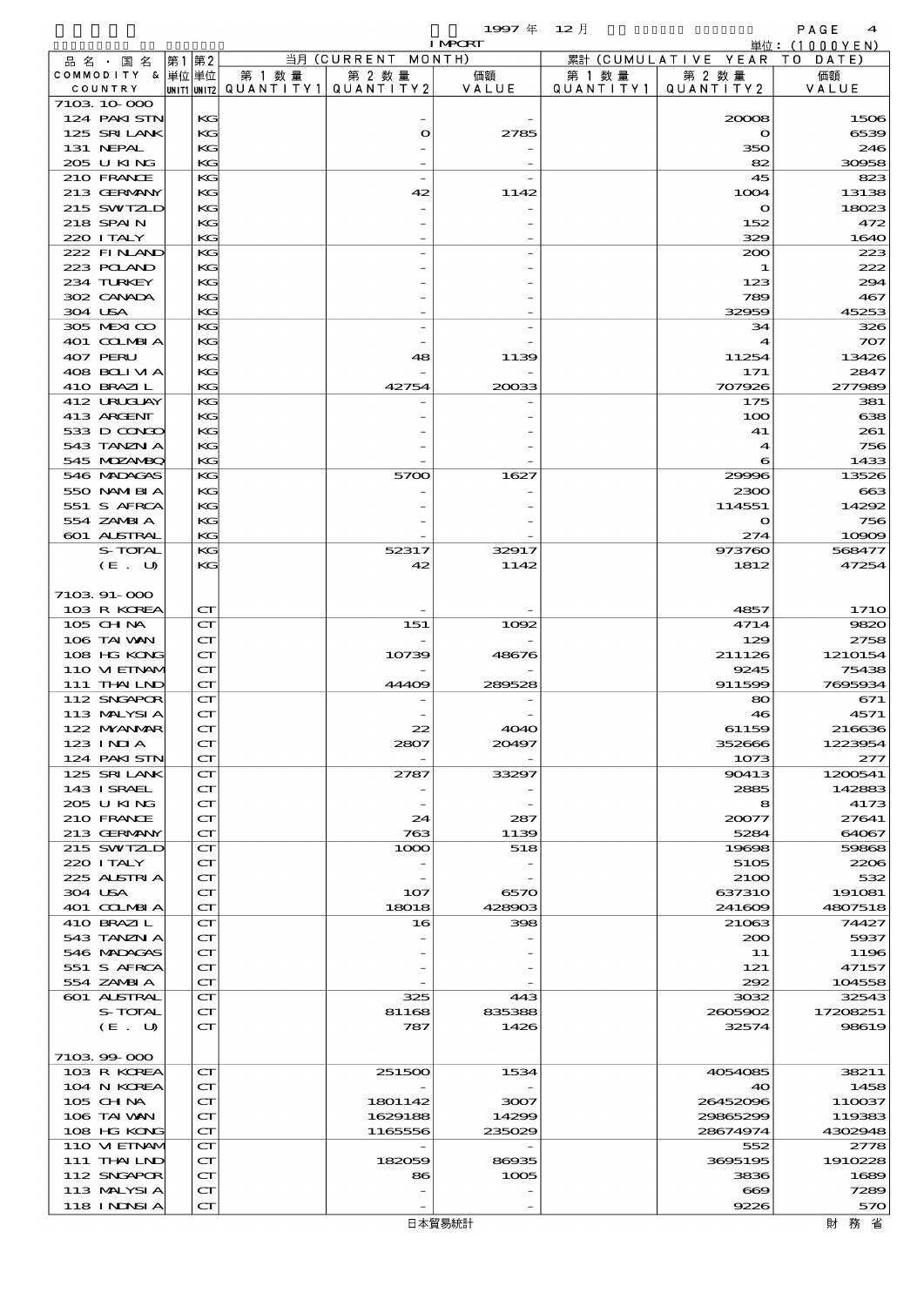|          |                             |      |                                                            |                                       |                                 | 1997年 12月      |           |                                        | PAGE<br>$\boldsymbol{4}$ |
|----------|-----------------------------|------|------------------------------------------------------------|---------------------------------------|---------------------------------|----------------|-----------|----------------------------------------|--------------------------|
|          |                             |      |                                                            |                                       |                                 | <b>I MPORT</b> |           |                                        | 単位: (1000YEN)            |
|          | 品名・国名<br>COMMODITY & 単位単位   | 第1第2 |                                                            | 第 1 数量                                | 当月 (CURRENT MONTH)<br>第 2 数量    | 価額             | 第 1 数 量   | 累計 (CUMULATIVE YEAR TO DATE)<br>第 2 数量 | 価額                       |
|          | COUNTRY                     |      |                                                            | unit1 unit2  Q∪ANT   TY1  Q∪ANT   TY2 |                                 | VALUE          | QUANTITY1 | QUANTITY 2                             | VALUE                    |
|          | 7103 10 000                 |      |                                                            |                                       |                                 |                |           |                                        |                          |
|          | 124 PAKISTN                 |      | KG                                                         |                                       |                                 |                |           | 20008                                  | 1506                     |
|          | 125 SRILANK                 |      | KG                                                         |                                       | $\bullet$                       | 2785           |           | $\mathbf o$                            | 6539                     |
|          | 131 NEPAL<br>205 U KING     |      | KG<br>KG                                                   |                                       |                                 |                |           | 350<br>82                              | 246<br>30958             |
|          | 210 FRANCE                  |      | KG                                                         |                                       |                                 |                |           | 45                                     | 823                      |
|          | 213 GERMANY                 |      | KG                                                         |                                       | 42                              | 1142           |           | 1004                                   | 13138                    |
|          | 215 SWIZLD                  |      | KG                                                         |                                       |                                 |                |           | $\circ$                                | 18023                    |
|          | 218 SPAIN                   |      | KG                                                         |                                       |                                 |                |           | 152                                    | 472                      |
|          | 220 I TALY                  |      | KG                                                         |                                       |                                 |                |           | 329                                    | 1640                     |
|          | 222 FINLAND<br>223 POLAND   |      | KG<br>KG                                                   |                                       |                                 |                |           | 200<br>1                               | 223<br>222               |
|          | 234 TURKEY                  |      | KG                                                         |                                       |                                 |                |           | 123                                    | 294                      |
|          | 302 CANADA                  |      | KG                                                         |                                       |                                 |                |           | 789                                    | 467                      |
| 304 USA  |                             |      | KG                                                         |                                       |                                 |                |           | 32959                                  | 45253                    |
|          | 305 MEXICO                  |      | KG                                                         |                                       |                                 |                |           | 34                                     | 326                      |
|          | 401 COLMBIA                 |      | KG                                                         |                                       |                                 |                |           | 4                                      | 707                      |
| 407 PERU | 408 BOLI VI A               |      | KG<br>KG                                                   |                                       | 48                              | 1139           |           | 11254<br>171                           | 13426<br>2847            |
|          | 410 BRAZIL                  |      | KG                                                         |                                       | 42754                           | 20033          |           | 707926                                 | 277989                   |
|          | 412 URUCUAY                 |      | KG                                                         |                                       |                                 |                |           | 175                                    | 381                      |
|          | 413 ARCENT                  |      | KG                                                         |                                       |                                 |                |           | 100                                    | 638                      |
|          | 533 D CONGO                 |      | KG                                                         |                                       |                                 |                |           | 41                                     | 261                      |
|          | 543 TANZN A                 |      | KG                                                         |                                       |                                 |                |           | 4                                      | 756                      |
|          | 545 MOZAMBO<br>546 MADAGAS  |      | KG<br>KG                                                   |                                       | 5700                            | 1627           |           | 6<br>29996                             | 1433<br>13526            |
|          | 550 NAMERIA                 |      | KС                                                         |                                       |                                 |                |           | 2300                                   | $_{663}$                 |
|          | 551 S AFRCA                 |      | KG                                                         |                                       |                                 |                |           | 114551                                 | 14292                    |
|          | 554 ZAMBIA                  |      | KG                                                         |                                       |                                 |                |           | $\mathbf{\Omega}$                      | 756                      |
|          | 601 ALSTRAL                 |      | KG                                                         |                                       |                                 |                |           | 274                                    | 10909                    |
|          | S-TOTAL                     |      | KG                                                         |                                       | 52317                           | 32917          |           | 973760                                 | 568477                   |
|          | (E. U)                      |      | KG                                                         |                                       | 42                              | 1142           |           | 1812                                   | 47254                    |
|          | 7103 91-000                 |      |                                                            |                                       |                                 |                |           |                                        |                          |
|          | 103 R KOREA                 |      | $\mathbf{C}\mathbf{\Gamma}$                                |                                       |                                 |                |           | 4857                                   | <b>1710</b>              |
|          | $105$ CHNA                  |      | $\mathbf{C}\mathbf{\Gamma}$                                |                                       | 151                             | 1092           |           | 4714                                   | 9820                     |
|          | 106 TAI VAN                 |      | $\mathbf{C}\mathbf{\Gamma}$                                |                                       |                                 |                |           | 129                                    | 2758                     |
|          | 108 HG KONG                 |      | $\mathbf{C}\mathbf{\Gamma}$                                |                                       | 10739                           | 48676          |           | 211126                                 | 1210154                  |
|          | 110 VI EINAM<br>111 THAILND |      | $\mathbf{C}\mathbf{\Gamma}$<br>$\mathbf{C}\mathbf{\Gamma}$ |                                       | 44409                           | 289528         |           | 9245<br>911599                         | 75438<br>7695934         |
|          | 112 SNGAPOR                 |      | $\mathbf{C}\mathbf{\Gamma}$                                |                                       |                                 |                |           | 80                                     | 671                      |
|          | 113 MALYSIA                 |      | $\mathbf{C}\mathbf{\Gamma}$                                |                                       |                                 |                |           | 46                                     | 4571                     |
|          | 122 MYANMAR                 |      | $\mathbf{C}\mathbf{\Gamma}$                                |                                       | 22                              | <b>4040</b>    |           | 61159                                  | 216636                   |
|          | 123 INIA                    |      | $\mathbf{C}\mathbf{\Gamma}$                                |                                       | 2807                            | 20497          |           | 352666                                 | 1223954                  |
|          | 124 PAKI STN                |      | $\mathbf{C}\mathbf{\Gamma}$                                |                                       | $\overline{\phantom{0}}$        |                |           | 1073                                   | 277                      |
|          | 125 SRILANK<br>143 ISRAEL   |      | $\mathbf{C}\mathbf{\Gamma}$<br>$\mathbf{C}\mathbf{\Gamma}$ |                                       | 2787                            | 33297          |           | 90413<br>2885                          | 1200541<br>142883        |
|          | 205 U KING                  |      | $\mathbf{C}\mathbf{\Gamma}$                                |                                       |                                 |                |           | 8                                      | 4173                     |
|          | 210 FRANCE                  |      | $\mathbf{C}\mathbf{\Gamma}$                                |                                       | 24                              | 287            |           | 20077                                  | 27641                    |
|          | 213 GERMANY                 |      | $\mathbf{C}\mathbf{\Gamma}$                                |                                       | 763                             | 1139           |           | 5284                                   | 64067                    |
|          | 215 SWIZLD                  |      | $\mathbf{C}\mathbf{\Gamma}$                                |                                       | 1000                            | 518            |           | 19698                                  | 59868                    |
|          | 220 I TALY<br>225 ALSTRIA   |      | $\mathbf{C}\mathbf{\Gamma}$<br>$\mathbf{C}\mathbf{\Gamma}$ |                                       |                                 |                |           | 5105<br>2100                           | 2206<br>532              |
| 304 USA  |                             |      | $\mathbf{C}\mathbf{\Gamma}$                                |                                       | $\overline{\phantom{a}}$<br>107 | 6570           |           | 637310                                 | 191081                   |
|          | 401 CCLMBIA                 |      | $\mathbf{C}\mathbf{\Gamma}$                                |                                       | 18018                           | 428903         |           | 241609                                 | 4807518                  |
|          | 410 BRAZIL                  |      | ${\bf C}\Gamma$                                            |                                       | 16                              | 398            |           | 21063                                  | 74427                    |
|          | 543 TANZN A                 |      | $\mathbf{C}\mathbf{\Gamma}$                                |                                       |                                 |                |           | 200                                    | 5937                     |
|          | 546 MADAGAS                 |      | $\mathbf{C}\mathbf{\Gamma}$                                |                                       |                                 |                |           | 11                                     | 1196                     |
|          | 551 S AFRCA<br>554 ZAMBIA   |      | $\mathbf{C}\mathbf{\Gamma}$<br>$\mathbf{C}\mathbf{\Gamma}$ |                                       |                                 |                |           | 121<br>292                             | 47157<br>104558          |
|          | 601 ALSTRAL                 |      | ${\bf C}\Gamma$                                            |                                       | 325                             | 443            |           | 3032                                   | 32543                    |
|          | S-TOTAL                     |      | $\mathbf{C}\mathbf{\Gamma}$                                |                                       | 81168                           | 835388         |           | 2605902                                | 17208251                 |
|          | (E. U)                      |      | $\mathbf{C}\mathbf{\Gamma}$                                |                                       | 787                             | 1426           |           | 32574                                  | 98619                    |
|          |                             |      |                                                            |                                       |                                 |                |           |                                        |                          |
|          | 710399000                   |      |                                                            |                                       |                                 |                |           |                                        |                          |
|          | 103 R KOREA<br>104 N KOREA  |      | $\mathbf{C}\mathbf{\Gamma}$<br>$\mathbf{C}\mathbf{\Gamma}$ |                                       | 251500                          | 1534           |           | 4054085<br>40                          | 38211<br>1458            |
|          | $105$ CHNA                  |      | ${\bf C}\Gamma$                                            |                                       | 1801142                         | 3007           |           | 26452096                               | 110037                   |
|          | 106 TAI VAN                 |      | $\mathbf{C}\mathbf{\Gamma}$                                |                                       | 1629188                         | 14299          |           | 29865299                               | 119383                   |
|          | 108 HG KONG                 |      | $\mathbf{C}\mathbf{\Gamma}$                                |                                       | 1165556                         | 235029         |           | 28674974                               | 4302948                  |
|          | 110 VI EINAM                |      | ${\bf C}\Gamma$                                            |                                       |                                 |                |           | 552                                    | 2778                     |
|          | 111 THAILND                 |      | $\mathbf{C}\mathbf{\Gamma}$                                |                                       | 182059                          | 86935          |           | 3695195                                | 1910228                  |
|          | 112 SNGAPOR<br>113 MALYSIA  |      | ${\bf C}\Gamma$<br>$\mathbf{C}\mathbf{\Gamma}$             |                                       | 86                              | 1005           |           | 3836<br>$\infty$                       | 1689<br>7289             |
|          | 118 INNSI A                 |      | $\mathbf{C}\mathbf{\Gamma}$                                |                                       |                                 |                |           | 9226                                   | 570                      |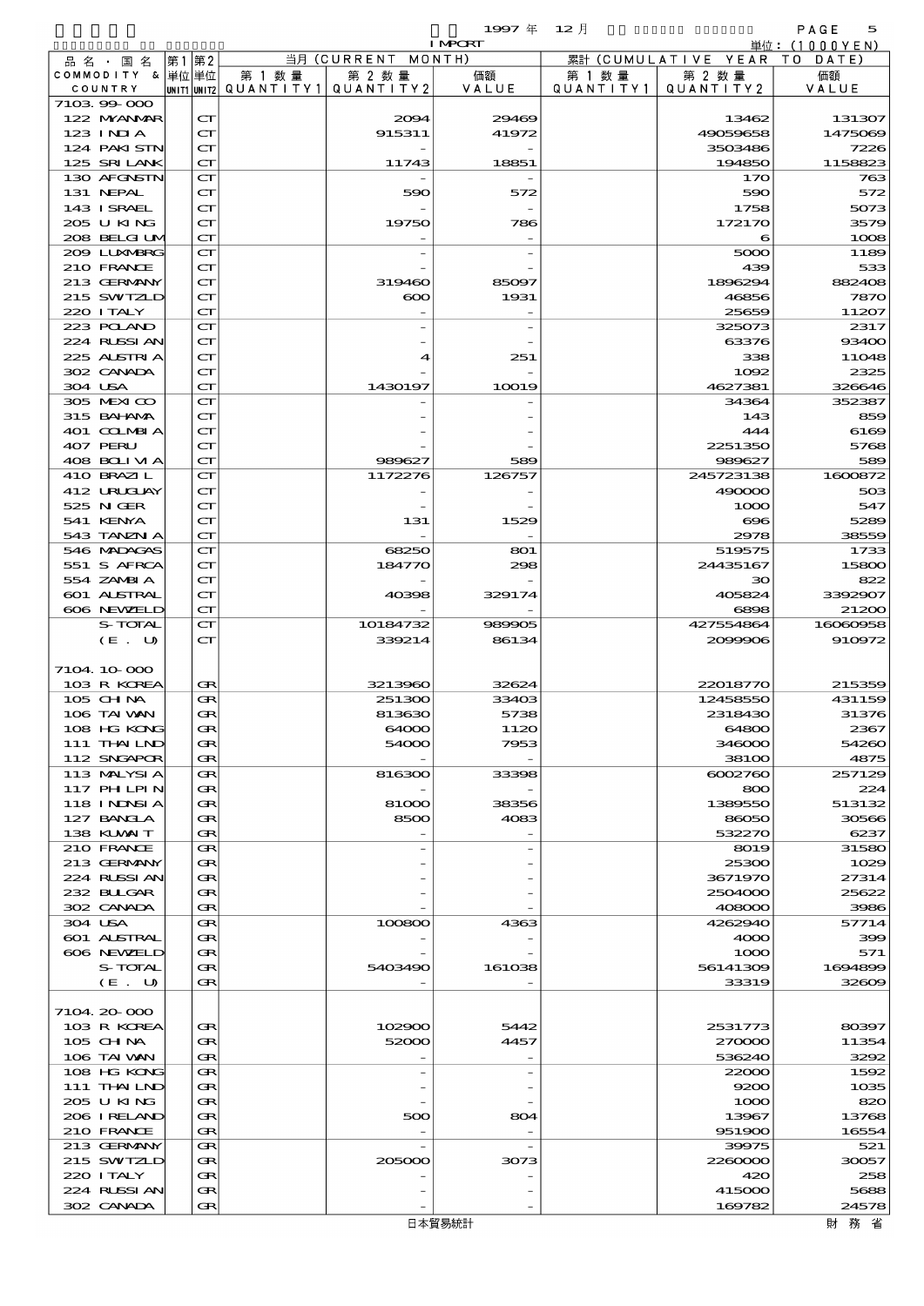品別国別表 輸 入 1997 12 確定 (Fixed Annual) 5

|                            |       |                                                            |                                       |                | <b>I MPORT</b>  |           |                              | 単位: (1000 Y E N)           |
|----------------------------|-------|------------------------------------------------------------|---------------------------------------|----------------|-----------------|-----------|------------------------------|----------------------------|
| 品 名 ・ 国 名                  | 第1 第2 |                                                            |                                       | 当月 (CURRENT    | MONTH)          |           | 累計 (CUMULATIVE YEAR TO DATE) |                            |
| COMMODITY & 単位単位           |       |                                                            | 第 1 数量                                | 第 2 数量         | 価額              | 第 1 数 量   | 第 2 数量                       | 価額                         |
| COUNTRY<br>710399000       |       |                                                            | unit1 unit2  QUANT   TY1  QUANT   TY2 |                | VALUE           | QUANTITY1 | QUANTITY 2                   | VALUE                      |
| 122 MYANMAR                |       | $\mathbf{C}\mathbf{\Gamma}$                                |                                       | 2004           | 29469           |           | 13462                        | 131307                     |
| 123 INIA                   |       | $\mathbf{C}\mathbf{\Gamma}$                                |                                       | 915311         | 41972           |           | 49059658                     | 1475069                    |
| 124 PAKISTN                |       | $\mathbf{C}\mathbf{\Gamma}$                                |                                       |                |                 |           | 3503486                      | 7226                       |
| 125 SRILANK                |       | $\mathbf{C}\mathbf{\Gamma}$                                |                                       | 11743          | 18851           |           | 194850                       | 1158823                    |
| 130 AFGNSTN                |       | $\mathbf{C}\mathbf{\Gamma}$                                |                                       |                |                 |           | 170                          | 763                        |
| 131 NEPAL                  |       | $\mathbf{C}\mathbf{\Gamma}$                                |                                       | 590            | 572             |           | 590                          | 572                        |
| 143 ISRAEL<br>205 U KING   |       | $\mathbf{C}\mathbf{\Gamma}$<br>$\mathbf{C}\mathbf{\Gamma}$ |                                       | 19750          |                 |           | 1758                         | 5073<br>3579               |
| 208 BELGI UM               |       | $\mathbf{C}\mathbf{\Gamma}$                                |                                       |                | 786             |           | 172170<br>6                  | 1008                       |
| 200 LUNABRG                |       | $\mathbf{C}\mathbf{\Gamma}$                                |                                       |                |                 |           | 5000                         | 1189                       |
| 210 FRANCE                 |       | $\mathbf{C}\mathbf{\Gamma}$                                |                                       |                |                 |           | 439                          | 533                        |
| 213 GERMANY                |       | $\mathbf{C}\mathbf{\Gamma}$                                |                                       | 319460         | 85097           |           | 1896294                      | 882408                     |
| 215 SWIZLD                 |       | $\mathbf{C}\mathbf{\Gamma}$                                |                                       | $\infty$       | 1931            |           | 46856                        | 7870                       |
| 220 I TALY                 |       | $\mathbf{C}\mathbf{\Gamma}$                                |                                       |                |                 |           | 25659                        | 11207                      |
| 223 POLAND<br>224 RUSSI AN |       | $\mathbf{C}\mathbf{\Gamma}$<br>$\mathbf{C}\mathbf{\Gamma}$ |                                       |                |                 |           | 325073<br>63376              | 2317<br>93400              |
| 225 ALSTRIA                |       | $\mathbf{C}\mathbf{\Gamma}$                                |                                       | 4              | 251             |           | 338                          | 11048                      |
| 302 CANADA                 |       | $\mathbf{C}\mathbf{\Gamma}$                                |                                       |                |                 |           | 1092                         | 2325                       |
| 304 USA                    |       | $\mathbf{C}\mathbf{\Gamma}$                                |                                       | 1430197        | 10019           |           | 4627381                      | 326646                     |
| 305 MEXICO                 |       | $\mathbf{C}\mathbf{\Gamma}$                                |                                       |                |                 |           | 34364                        | 352387                     |
| 315 BAHANAA                |       | $\mathbf{C}\mathbf{\Gamma}$                                |                                       |                |                 |           | 143                          | 859                        |
| 401 COLMBIA                |       | $\mathbf{C}\mathbf{\Gamma}$                                |                                       |                |                 |           | 444                          | 6169                       |
| 407 PERU                   |       | $\mathbf{C}\mathbf{\Gamma}$                                |                                       |                |                 |           | 2251350                      | 5768                       |
| 408 BOLIVIA                |       | $\mathbf{C}\mathbf{\Gamma}$                                |                                       | 989627         | 589             |           | 989627                       | 589                        |
| 410 BRAZIL<br>412 URUCUAY  |       | $\mathbf{C}\mathbf{\Gamma}$<br>$\mathbf{C}\mathbf{\Gamma}$ |                                       | 1172276        | 126757          |           | 245723138<br>490000          | 1600872<br>50 <sup>3</sup> |
| 525 N GER                  |       | $\mathbf{C}\mathbf{\Gamma}$                                |                                       |                |                 |           | 1000                         | 547                        |
| 541 KENYA                  |       | $\mathbf{C}\mathbf{\Gamma}$                                |                                       | 131            | 1529            |           | $\infty$                     | 5289                       |
| 543 TANZN A                |       | $\mathbf{C}\mathbf{\Gamma}$                                |                                       |                |                 |           | 2978                         | 38559                      |
| 546 MADAGAS                |       | $\mathbf{C}\mathbf{\Gamma}$                                |                                       | 68250          | 801             |           | 519575                       | 1733                       |
| 551 S AFRCA                |       | $\mathbf{C}\mathbf{\Gamma}$                                |                                       | 184770         | 298             |           | 24435167                     | 15800                      |
| 554 ZAMBI A                |       | $\mathbf{C}\mathbf{\Gamma}$                                |                                       |                |                 |           | 30                           | 822                        |
| 601 ALSTRAL<br>606 NEWELD  |       | $\mathbf{C}\mathbf{\Gamma}$<br>$\mathbf{C}\mathbf{\Gamma}$ |                                       | 40398          | 329174          |           | 405824<br>6898               | 3392907<br>21200           |
| S-TOTAL                    |       | $\mathbf{C}\mathbf{\Gamma}$                                |                                       | 10184732       | 989905          |           | 427554864                    | 16060958                   |
| $(E_U U)$                  |       | $\mathbf{C}\mathbf{\Gamma}$                                |                                       | 339214         | 86134           |           | 2099906                      | 910972                     |
|                            |       |                                                            |                                       |                |                 |           |                              |                            |
| 7104.10-000                |       |                                                            |                                       |                |                 |           |                              |                            |
| 103 R KOREA                |       | Œ                                                          |                                       | 3213960        | 32624           |           | 22018770                     | 215359                     |
| 105 CHNA                   |       | Œ                                                          |                                       | 251300         | 33403           |           | 12458550                     | 431159                     |
| 106 TAI VAN                |       | Œ<br>Œ                                                     |                                       | 813630         | 5738<br>1120    |           | 2318430                      | 31376                      |
| 108 HG KONG<br>111 THAILND |       | Œ                                                          |                                       | 64000<br>54000 | 7953            |           | 64800<br>346000              | 2367<br>54260              |
| 112 SNGAPOR                |       | Œ                                                          |                                       |                |                 |           | 381 <sub>00</sub>            | 4875                       |
| 113 MALYSIA                |       | Œ                                                          |                                       | 816300         | 33398           |           | 6002760                      | 257129                     |
| 117 PHLPIN                 |       | Œ                                                          |                                       |                |                 |           | 800                          | 224                        |
| 118 I NDSI A               |       | Œ                                                          |                                       | 81000          | 38356           |           | 1389550                      | 513132                     |
| 127 BANCLA                 |       | Œ                                                          |                                       | 8500           | 4083            |           | 86050                        | 30566                      |
| 138 KUWAIT                 |       | Œ                                                          |                                       |                |                 |           | 532270                       | 6237                       |
| 210 FRANCE<br>213 GERMANY  |       | Œ<br>Œ                                                     |                                       |                |                 |           | 8019<br>25300                | 31580<br>1029              |
| 224 RUSSI AN               |       | Œ                                                          |                                       |                |                 |           | 3671970                      | 27314                      |
| 232 BULGAR                 |       | œ                                                          |                                       |                |                 |           | 2504000                      | 25622                      |
| 302 CANADA                 |       | Œ                                                          |                                       |                |                 |           | 408000                       | 3986                       |
| 304 USA                    |       | Œ                                                          |                                       | 100800         | 4363            |           | 4262940                      | 57714                      |
| 601 ALSTRAL                |       | Œ                                                          |                                       |                |                 |           | 4000                         | 399                        |
| 606 NEWELD                 |       | Œ                                                          |                                       |                |                 |           | 1000                         | 571                        |
| S-TOTAL<br>(E. U)          |       | Œ<br>Œ                                                     |                                       | 5403490        | 161038          |           | 56141309<br>33319            | 1694899<br>32609           |
|                            |       |                                                            |                                       |                |                 |           |                              |                            |
| 7104.20-000                |       |                                                            |                                       |                |                 |           |                              |                            |
| 103 R KOREA                |       | Œ                                                          |                                       | 102900         | 5442            |           | 2531773                      | 80397                      |
| 105 CH NA                  |       | Œ                                                          |                                       | 52000          | 4457            |           | 270000                       | 11354                      |
| 106 TAI VAN                |       | Œ                                                          |                                       |                |                 |           | 536240                       | 3292                       |
| 108 HG KONG                |       | Œ                                                          |                                       |                |                 |           | 22000                        | 1592                       |
| 111 THAILND<br>2005 U KING |       | Œ<br>Œ                                                     |                                       |                |                 |           | 9200<br>1000                 | 1035<br>820                |
| 206 I RELAND               |       | œ                                                          |                                       | 500            | 804             |           | 13967                        | 13768                      |
| 210 FRANCE                 |       | Œ                                                          |                                       |                |                 |           | 951900                       | 16554                      |
| 213 GERMANY                |       | Œ                                                          |                                       |                |                 |           | 39975                        | 521                        |
| 215 SWIZLD                 |       | Œ                                                          |                                       | 205000         | 3073            |           | 2260000                      | 30057                      |
| 220 I TALY                 |       | Œ                                                          |                                       |                |                 |           | 420                          | 258                        |
| 224 RUSSI AN               |       | Œ                                                          |                                       |                |                 |           | 415000                       | 5688                       |
| 302 CANADA                 |       | Œ                                                          |                                       |                | $-452 - 67 = 1$ |           | 169782                       | 24578<br>다 하는 것은           |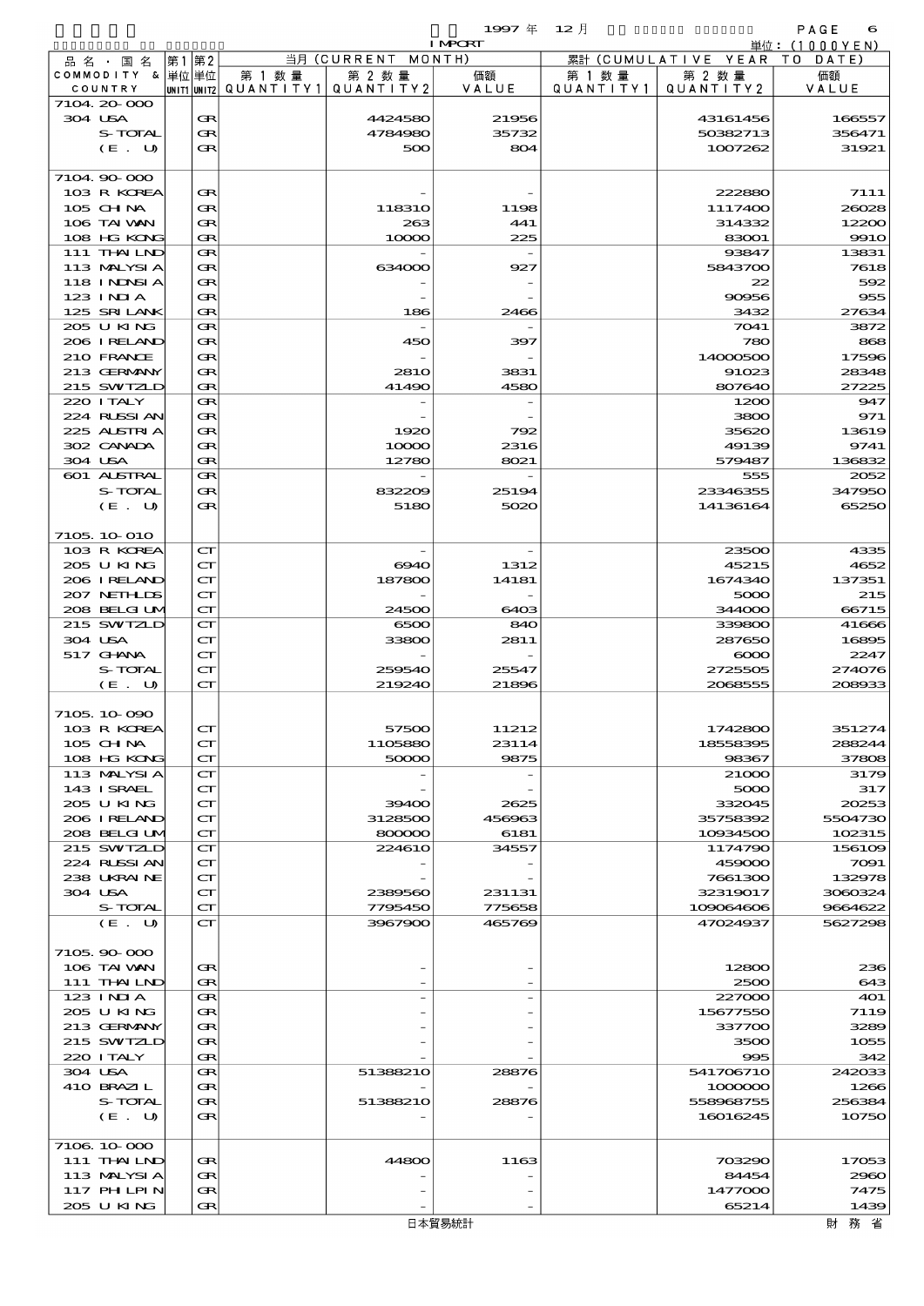$1997 \nsubseteq 12 \nparallel$  PAGE 6

|                  |                             |        |                                 | <b>I MPORT</b> |           |                              | 単位: (1000YEN) |
|------------------|-----------------------------|--------|---------------------------------|----------------|-----------|------------------------------|---------------|
| 品名・国名            | 第1第2                        |        | 当月 (CURRENT MONTH)              |                |           | 累計 (CUMULATIVE YEAR TO DATE) |               |
| COMMODITY & 単位単位 |                             | 第 1 数量 | 第 2 数量                          | 価額             | 第 1 数 量   | 第 2 数量                       | 価額            |
| COUNTRY          |                             |        | UNIT1 UNIT2 QUANTITY1 QUANTITY2 | VALUE          | QUANTITY1 | QUANTITY 2                   | VALUE         |
| 7104 20 000      |                             |        |                                 |                |           |                              |               |
| 304 USA          | Œ                           |        | 4424580                         | 21956          |           | 43161456                     | 166557        |
| S-TOTAL          | Œ                           |        | 4784980                         | 35732          |           | 50382713                     | 356471        |
| (E. U)           | Œ                           |        | 500                             | 804            |           | 1007262                      | 31921         |
|                  |                             |        |                                 |                |           |                              |               |
| 7104 90 000      |                             |        |                                 |                |           |                              |               |
| 103 R KOREA      | Œ                           |        |                                 |                |           | 222880                       | 7111          |
| 105 CHNA         | Œ                           |        | 11831O                          | 1198           |           | 1117400                      | 26028         |
| 106 TAI VAN      | Œ                           |        | 263                             | 441            |           | 314332                       | 12200         |
| 108 HG KONG      | Œ                           |        | 10000                           | 225            |           | 83001                        | <b>9910</b>   |
| 111 THAILND      | Œ                           |        |                                 |                |           | 93847                        | 13831         |
| 113 MALYSIA      | Œ                           |        | 634000                          | 927            |           | 5843700                      | 7618          |
| 118 INNSI A      | Œ                           |        |                                 |                |           | 22                           | 592           |
| $123$ INIA       | Œ                           |        |                                 |                |           | 90956                        | 955           |
| 125 SRILANK      | Œ                           |        | 186                             | 2466           |           | 3432                         | 27634         |
| 205 U KING       | Œ                           |        |                                 |                |           | 7041                         | 3872          |
| 206 IRELAND      | Œ                           |        | 450                             | 397            |           | 780                          | 868           |
| 210 FRANCE       | Œ                           |        |                                 |                |           | 14000500                     | 17596         |
| 213 GERMANY      | Œ                           |        | <b>2810</b>                     | 3831           |           | 91023                        | 28348         |
| 215 SWIZLD       | Œ                           |        | 41490                           | 4580           |           | 807640                       | 27225         |
| 220 I TALY       | Œ                           |        |                                 |                |           | 1200                         | 947           |
| 224 RUSSI AN     | Œ                           |        |                                 |                |           | 3800                         | 971           |
|                  |                             |        |                                 |                |           |                              |               |
| 225 ALSTRIA      | Œ                           |        | 1920                            | 792            |           | 35620                        | 13619         |
| 302 CANADA       | Œ                           |        | 10000                           | 2316           |           | 49139                        | 9741          |
| 304 USA          | Œ                           |        | 12780                           | 8021           |           | 579487                       | 136832        |
| 601 ALSTRAL      | Œ                           |        |                                 |                |           | 555                          | 2052          |
| S-TOTAL          | Œ                           |        | 832209                          | 25194          |           | 23346355                     | 347950        |
| (E. U)           | Œ                           |        | 5180                            | 5020           |           | 14136164                     | 65250         |
|                  |                             |        |                                 |                |           |                              |               |
| 7105 10 010      |                             |        |                                 |                |           |                              |               |
| 103 R KOREA      | $\mathbf{C}\mathbf{\Gamma}$ |        |                                 |                |           | 23500                        | 4335          |
| 205 U KING       | $\mathbf{C}\mathbf{\Gamma}$ |        | 6940                            | 1312           |           | 45215                        | 4652          |
| 206 IRELAND      | $\mathbf{C}\mathbf{\Gamma}$ |        | 187800                          | 14181          |           | 1674340                      | 137351        |
| 207 NETHLIS      | $\mathbf{C}\mathbf{\Gamma}$ |        |                                 |                |           | 5000                         | 215           |
| 208 BELGI UM     | CT                          |        | 24500                           | 6403           |           | 344000                       | 66715         |
| 215 SWIZLD       | $\mathbf{C}\mathbf{\Gamma}$ |        | 6500                            | 840            |           | 339800                       | 41666         |
| 304 USA          | $\mathbf{C}\mathbf{\Gamma}$ |        | 33800                           | 2811           |           | 287650                       | 16895         |
| 517 GHNA         | $\mathbf{C}\mathbf{\Gamma}$ |        |                                 |                |           | $\infty$                     | 2247          |
| S-TOTAL          | $\mathbf{C}\mathbf{\Gamma}$ |        | 259540                          | 25547          |           | 2725505                      | 274076        |
| (E. U)           | $\mathbf{C}\mathbf{\Gamma}$ |        | 219240                          | 21896          |           | 2068555                      | 208933        |
|                  |                             |        |                                 |                |           |                              |               |
| 7105 10 090      |                             |        |                                 |                |           |                              |               |
| 103 R KOREA      | $\mathbf{C}\mathbf{\Gamma}$ |        | 57500                           | 11212          |           | 1742800                      | 351274        |
| 105 CH NA        | $\mathbf{C}\mathbf{\Gamma}$ |        | 1105880                         | 23114          |           | 18558395                     | 288244        |
| 108 HG KONG      | $\mathbf{C}\mathbf{\Gamma}$ |        | 50000                           | 9875           |           | 98367                        | 37808         |
| 113 MALYSIA      | $\mathbf{C}\mathbf{\Gamma}$ |        |                                 |                |           | 21000                        | 3179          |
| 143 ISRAEL       | $\mathbf{C}\mathbf{\Gamma}$ |        |                                 |                |           | 5000                         | 317           |
| 205 U KING       | $\mathbf{C}\mathbf{\Gamma}$ |        | 39400                           | 2625           |           | 332045                       | 20253         |
| 206 IRELAND      | $\mathbf{C}\mathbf{\Gamma}$ |        | 3128500                         | 456963         |           | 35758392                     | 5504730       |
| 208 BELGI UM     | $\mathbf{C}\mathbf{\Gamma}$ |        | 800000                          | 6181           |           | 10934500                     | 102315        |
| 215 SWIZLD       | $\mathbf{C}\mathbf{\Gamma}$ |        | <b>224610</b>                   | 34557          |           | 1174790                      | 156109        |
| 224 RUSSI AN     | $\mathbf{C}\mathbf{\Gamma}$ |        |                                 |                |           | 459000                       | 7091          |
| 238 UKRAINE      | $\mathbf{C}\mathbf{\Gamma}$ |        |                                 |                |           | 7661300                      | 132978        |
| 304 USA          | $\mathbf{C}\mathbf{\Gamma}$ |        | 2389560                         | 231131         |           | 32319017                     | 3060324       |
| S-TOTAL          | $\mathbf{C}\mathbf{\Gamma}$ |        | 7795450                         | 775658         |           | 109064606                    | 9664622       |
| (E. U)           | $\mathbf{C}\mathbf{\Gamma}$ |        | 3967900                         | 465769         |           | 47024937                     | 5627298       |
|                  |                             |        |                                 |                |           |                              |               |
| 7105.90-000      |                             |        |                                 |                |           |                              |               |
|                  |                             |        |                                 |                |           |                              | 236           |
| 106 TAI VAN      | Œ                           |        |                                 |                |           | 12800                        |               |
| 111 THAILND      | Œ                           |        |                                 |                |           | 2500                         | 643           |
| $123$ INIA       | Œ                           |        |                                 |                |           | 227000                       | 401           |
| 205 U KING       | Œ                           |        |                                 |                |           | 15677550                     | 7119          |
| 213 GERMANY      | Œ                           |        |                                 |                |           | 337700                       | 3289          |
| 215 SWIZLD       | Œ                           |        |                                 |                |           | 3500                         | 1055          |
| 220 I TALY       | Œ                           |        |                                 |                |           | 995                          | 342           |
| 304 USA          | Œ                           |        | 51388210                        | 28876          |           | 541706710                    | 242033        |
| 410 BRAZIL       | Œ                           |        |                                 |                |           | 1000000                      | 1266          |
| S-TOTAL          | Œ                           |        | 51388210                        | 28876          |           | 558968755                    | 256384        |
| (E. U)           | Œ                           |        |                                 |                |           | 16016245                     | 10750         |
|                  |                             |        |                                 |                |           |                              |               |
| 7106 10 000      |                             |        |                                 |                |           |                              |               |
| 111 THAILND      | Œ                           |        | 44800                           | 1163           |           | 703290                       | 17053         |
| 113 MALYSIA      | Œ                           |        |                                 |                |           | 84454                        | 2960          |
| 117 PH LPIN      | Œ                           |        |                                 |                |           | 1477000                      | 7475          |
| 205 U KING       | Œ                           |        |                                 |                |           | 65214                        | 1439          |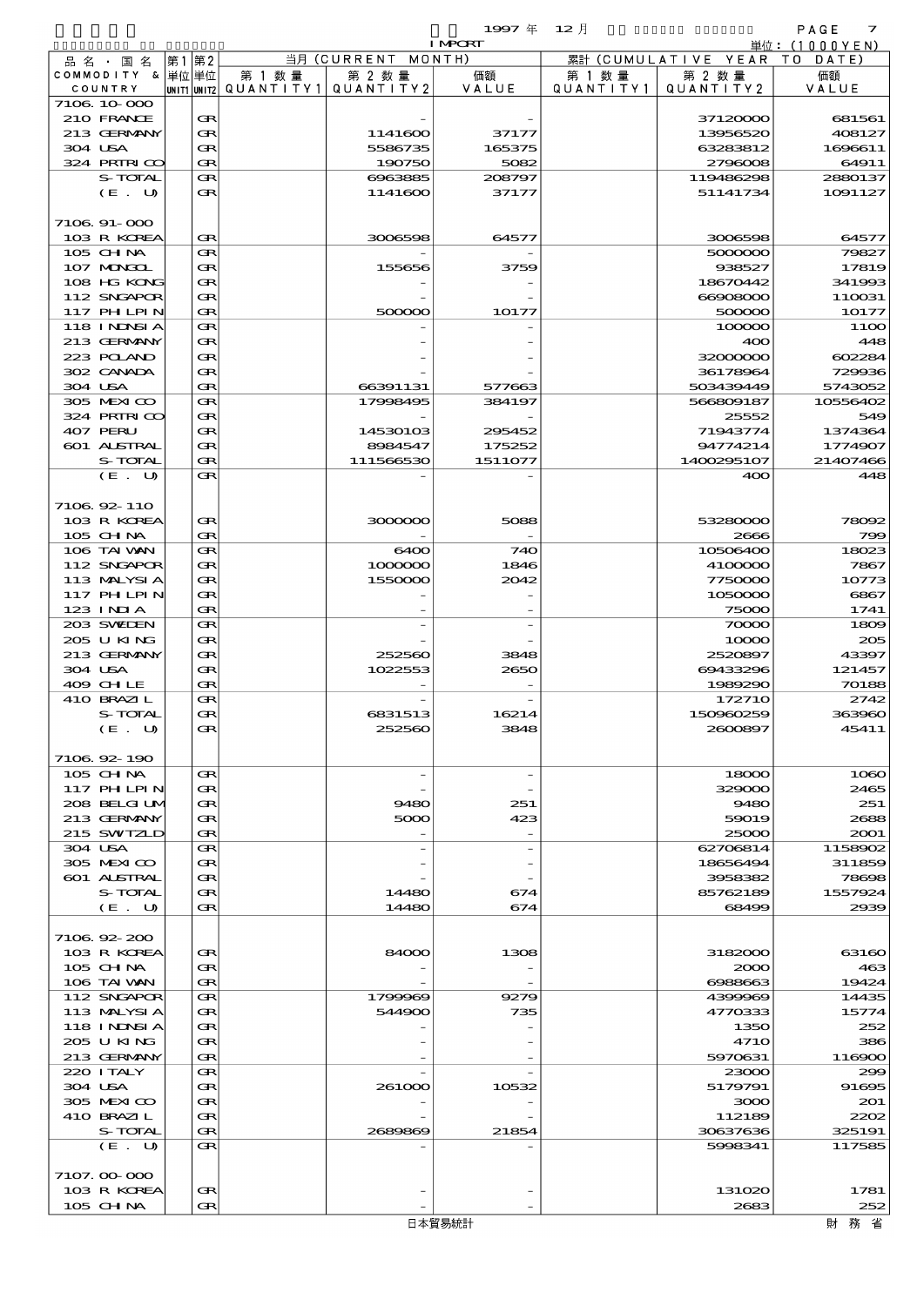|                  |     |               |           |            | 1997年          | $12\,$ H      |            | PAGE<br>$\overline{z}$ |
|------------------|-----|---------------|-----------|------------|----------------|---------------|------------|------------------------|
|                  |     |               |           |            | <b>I MPORT</b> |               |            | 000YEN<br>単位:(1        |
| 品名・<br>国 名       | 第1  | 第2            |           | 当月(CURRENT | MONTH)         | 累計(CUMULATIVE | YEAR       | DATE)<br>т о           |
| <b>COMMODITY</b> | - & | 単位 単位         | 第 1 数量    | 第 2 数量     | 価額             | 1 数 暈<br>第 1  | 第 2 数量     | 価額                     |
| COUNTRY          |     | UN TT1 UN TT2 | QUANTITY1 | QUANTITY2  | VALUE          | QUANTITY1     | QUANTITY 2 | VALUE                  |
| 7106 10 000      |     |               |           |            |                |               |            |                        |
| 210 FRANCE       |     | Œ             |           |            |                |               | 37120000   | 681561                 |
| 213 GERMANY      |     | Œ             |           | 1141600    | 37177          |               | 13956520   | 408127                 |
| 304 USA          |     | Œ             |           | 5586735    | 165375         |               | 63283812   | 1696611                |
| 324 PRINICO      |     | Œ             |           | 190750     | 5082           |               | 2796008    | 64911                  |
| S-TOTAL          |     | Œ             |           | 6963885    | 208797         |               | 119486298  | 2880137                |
| (E. U)           |     | Œ             |           | 1141600    | 37177          |               | 51141734   | 1091127                |
|                  |     |               |           |            |                |               |            |                        |
| $7106.91 - 000$  |     |               |           |            |                |               |            |                        |
| 103 R KOREA      |     | Œ             |           | 3006598    | 64577          |               | 3006598    | 64577                  |
| $105$ CHNA       |     | GR.           |           | -          |                |               | 500000     | 79827                  |

| 304 USA            | Œ | 5586735   | 165375  | 63283812    | 1696611  |
|--------------------|---|-----------|---------|-------------|----------|
| 324 PRIRICO        | Œ | 190750    | 5082    | 2796008     | 64911    |
| S-TOTAL            | Œ | 6963885   | 208797  | 119486298   | 2880137  |
| (E. U)             | Œ | 1141600   | 37177   | 51141734    | 1091127  |
|                    |   |           |         |             |          |
|                    |   |           |         |             |          |
| $7106.91 - 000$    |   |           |         |             |          |
| 103 R KOREA        | Œ | 3006598   | 64577   | 3006598     | 64577    |
| $105$ CHNA         | Œ |           |         | 5000000     | 79827    |
| 107 MONGOL         | Œ | 155656    | 3759    | 938527      | 17819    |
| 108 HG KONG        | Œ |           |         | 18670442    | 341993   |
| 112 SNGAPOR        |   |           |         | 66908000    |          |
|                    | Œ |           |         |             | 110031   |
| 117 PHLPIN         | Œ | 500000    | 10177   | 500000      | 10177    |
| 118 I NDSI A       | Œ |           |         | 100000      | 110C     |
| 213 GERMANY        | Œ |           |         | 400         | 448      |
| 223 POLAND         | Œ |           |         | 32000000    | 602284   |
| 302 CANADA         | Œ |           |         | 36178964    | 729936   |
| 304 USA            | Œ | 66391131  | 577663  | 503439449   | 5743052  |
|                    |   |           |         |             |          |
| 305 MEXICO         | Œ | 17998495  | 384197  | 566809187   | 10556402 |
| 324 PRIRICO        | Œ |           |         | 25552       | 549      |
| 407 PERU           | Œ | 14530103  | 295452  | 71943774    | 1374364  |
| <b>601 ALSTRAL</b> | Œ | 8984547   | 175252  | 94774214    | 1774907  |
| S-TOTAL            | Œ | 111566530 | 1511077 | 1400295107  | 21407466 |
|                    |   |           |         |             |          |
| (E. U)             | Œ |           |         | 400         | 448      |
|                    |   |           |         |             |          |
| 7106 92 110        |   |           |         |             |          |
| 103 R KOREA        | Œ | 3000000   | 5088    | 53280000    | 78092    |
| 105 CHNA           | Œ |           |         | 2666        | 790      |
| 106 TAI WAN        | Œ | 6400      | 740     | 10506400    | 18023    |
|                    |   |           |         |             |          |
| 112 SNGAPOR        | Œ | 1000000   | 1846    | 4100000     | 7867     |
| 113 MALYSIA        | Œ | 1550000   | 2042    | 7750000     | 10773    |
| 117 PH LPIN        | Œ |           |         | 1050000     | 6867     |
| $123$ INIA         | Œ |           |         | 75000       | 1741     |
| 203 SWEDEN         | Œ |           |         | 70000       | 1800     |
| 205 U KING         | Œ |           |         | 10000       | 205      |
|                    |   |           |         |             |          |
| 213 GERMANY        | Œ | 252560    | 3848    | 2520897     | 43397    |
| 304 USA            | Œ | 1022553   | 2650    | 69433296    | 121457   |
| 409 CHLE           | Œ |           |         | 1989290     | 70188    |
| 410 BRAZIL         | Œ |           |         | 172710      | 2742     |
| S-TOTAL            | Œ | 6831513   | 16214   | 150960259   | 36396C   |
| (E. U)             | Œ | 252560    | 3848    | 2600897     | 45411    |
|                    |   |           |         |             |          |
|                    |   |           |         |             |          |
| 7106 92 190        |   |           |         |             |          |
| 105 CH NA          | Œ |           |         | 18000       | 1000C    |
| 117 PHLPIN         | Œ |           |         | 329000      | 2465     |
| 208 BELGI UM       | Œ | 9480      | 251     | 9480        | 251      |
|                    |   |           |         |             |          |
| 213 GERMANY        | Œ | 5000      | 423     | 59019       | 2688     |
| 215 SWIZLD         | Œ |           |         | 25000       | 2001     |
| 304 USA            | Œ |           |         | 62706814    | 1158902  |
| 305 MEXICO         | Œ |           |         | 18656494    | 311859   |
| 601 ALSTRAL        | Œ |           |         | 3958382     | 78698    |
| S-TOTAL            | Œ | 14480     | 674     | 85762189    | 1557924  |
|                    |   |           |         |             |          |
| (E. U)             | Œ | 14480     | 674     | 68499       | 2939     |
|                    |   |           |         |             |          |
| 7106 92 200        |   |           |         |             |          |
| 103 R KOREA        | Œ | 84000     | 1308    | 3182000     | 6316C    |
| $105$ CHNA         | Œ |           |         | 2000        | 463      |
| 106 TAI VAN        | Œ |           |         | 6988663     | 19424    |
|                    |   |           |         |             |          |
| 112 SNGAPOR        | Œ | 1799969   | 9279    | 4399969     | 14435    |
| 113 MALYSIA        | Œ | 544900    | 735     | 4770333     | 15774    |
| 118 I NINSI A      | Œ |           |         | 1350        | 252      |
| 205 U KING         | Œ |           |         | <b>4710</b> | 386      |
| 213 GERMANY        | Œ |           |         | 5970631     | 116900   |
| 220 I TALY         | Œ |           |         | 23000       | 290      |
|                    |   |           |         |             |          |
| 304 USA            | Œ | 261000    | 10532   | 5179791     | 91695    |
| 305 MEXICO         | Œ |           |         | 3000        | 201      |
| 410 BRAZIL         | Œ |           |         | 112189      | 2202     |
| S-TOTAL            | Œ | 2689869   | 21854   | 30637636    | 325191   |
| (E. U)             | Œ |           |         | 5998341     | 117585   |
|                    |   |           |         |             |          |
|                    |   |           |         |             |          |
| 7107.00-000        |   |           |         |             |          |
| 103 R KOREA        | Œ |           |         | 131020      | 1781     |
| $105$ CHNA         | Œ |           |         | 2683        | 252      |
|                    |   |           |         |             |          |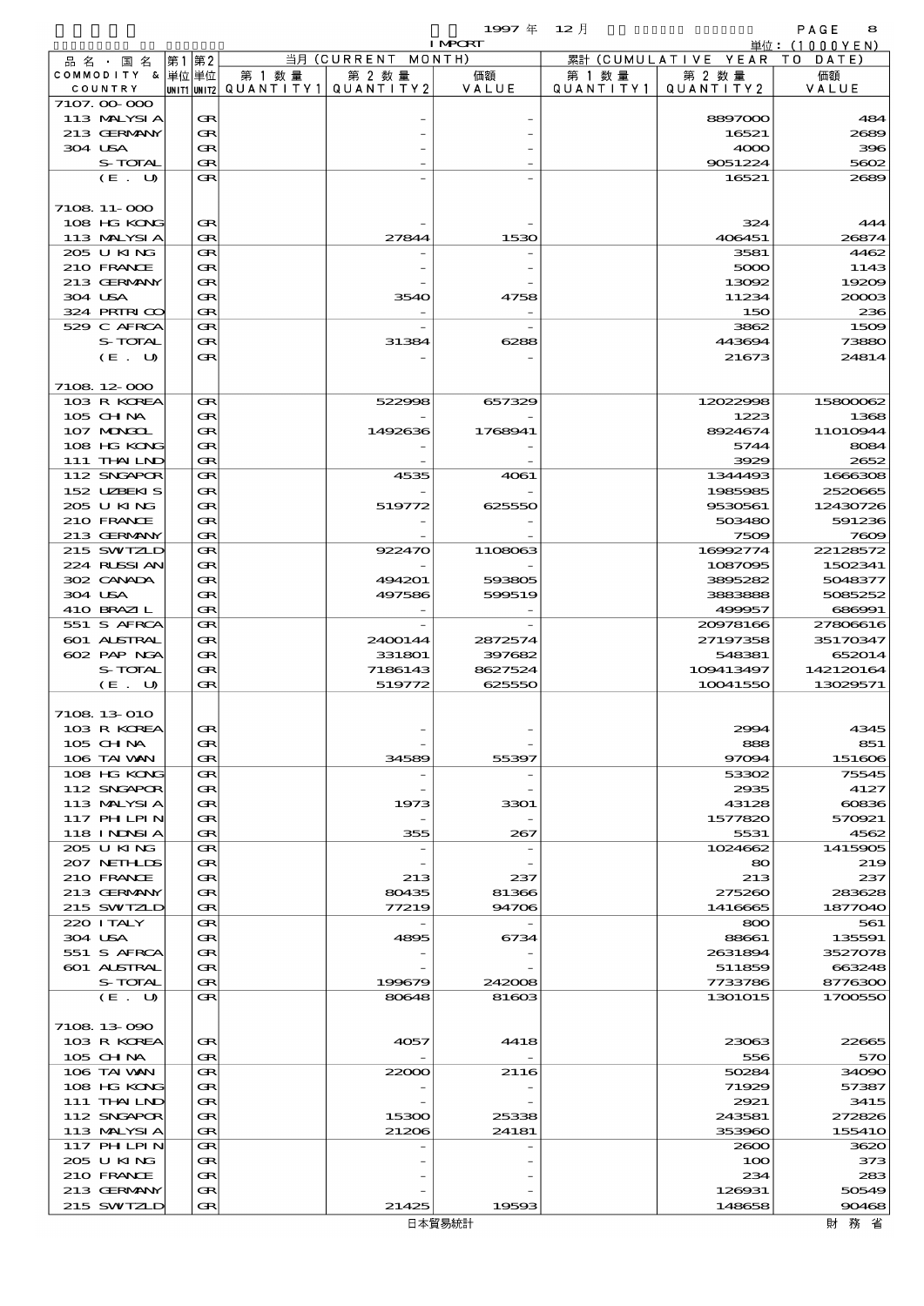$\begin{array}{cccc}\n 1997 & \# & 12 \end{array}$ 

|                             |      |        |        |                                                  | <b>I MPORT</b>    |                     |                              | 単位:(1000YEN)          |
|-----------------------------|------|--------|--------|--------------------------------------------------|-------------------|---------------------|------------------------------|-----------------------|
| 品名・国名                       | 第1第2 |        |        | 当月 (CURRENT MONTH)                               |                   |                     | 累計 (CUMULATIVE YEAR TO DATE) |                       |
| COMMODITY & 単位単位<br>COUNTRY |      |        | 第 1 数量 | 第 2 数量<br> unit1 unit2  QUANT   TY1  QUANT   TY2 | 価額<br>VALUE       | 第 1 数量<br>QUANTITY1 | 第 2 数量<br>QUANTITY 2         | 価額<br>VALUE           |
| 7107.00-000                 |      |        |        |                                                  |                   |                     |                              |                       |
| 113 MALYSIA                 |      | Œ      |        |                                                  |                   |                     | 8897000                      | 484                   |
| 213 GERMANY                 |      | Œ      |        |                                                  |                   |                     | 16521                        | 2689                  |
| 304 USA<br>S-TOTAL          |      | Œ<br>Œ |        |                                                  |                   |                     | 4000<br>9051224              | 396<br>5602           |
| (E. U)                      |      | Œ      |        |                                                  |                   |                     | 16521                        | 2689                  |
|                             |      |        |        |                                                  |                   |                     |                              |                       |
| 7108 11-000                 |      |        |        |                                                  |                   |                     |                              |                       |
| 108 HG KONG                 |      | Œ      |        |                                                  |                   |                     | 324                          | 444                   |
| 113 MALYSIA<br>205 U KING   |      | Œ<br>Œ |        | 27844                                            | 1530              |                     | 406451<br>3581               | 26874<br>4462         |
| 210 FRANCE                  |      | Œ      |        |                                                  |                   |                     | 5000                         | 1143                  |
| 213 GERMANY                 |      | Œ      |        |                                                  |                   |                     | 13092                        | 1920 <sub>€</sub>     |
| 304 USA                     |      | Œ      |        | 3540                                             | 4758              |                     | 11234                        | 20003                 |
| 324 PRIRICO                 |      | Œ      |        |                                                  |                   |                     | 150                          | 236                   |
| 529 C AFRCA<br>S-TOTAL      |      | Œ      |        |                                                  |                   |                     | 3862                         | 1500<br>73880         |
| (E. U)                      |      | Œ<br>Œ |        | 31384                                            | 6288              |                     | 443694<br>21673              | 24814                 |
|                             |      |        |        |                                                  |                   |                     |                              |                       |
| 7108 12 000                 |      |        |        |                                                  |                   |                     |                              |                       |
| 103 R KOREA                 |      | Œ      |        | 522998                                           | 657329            |                     | 12022998                     | 15800062              |
| 105 CH NA                   |      | Œ      |        |                                                  |                   |                     | 1223                         | 1365                  |
| 107 MAKKL                   |      | Œ      |        | 1492636                                          | 1768941           |                     | 8924674                      | 11010944              |
| 108 HG KONG<br>111 THAILND  |      | Œ<br>Œ |        |                                                  |                   |                     | 5744<br>3929                 | 8084<br>2652          |
| 112 SNGAPOR                 |      | Œ      |        | 4535                                             | 4061              |                     | 1344493                      | 1666306               |
| 152 UBENIS                  |      | Œ      |        |                                                  |                   |                     | 1985985                      | 2520665               |
| 205 U KING                  |      | Œ      |        | 519772                                           | 625550            |                     | 9530561                      | 12430726              |
| 210 FRANCE                  |      | Œ      |        |                                                  |                   |                     | 503480                       | 591236                |
| 213 GERMANY                 |      | Œ      |        |                                                  |                   |                     | 7509                         | 7600                  |
| 215 SWIZLD<br>224 RUSSIAN   |      | Œ<br>Œ |        | 922470                                           | 1108063           |                     | 16992774<br>1087095          | 22128572<br>1502341   |
| 302 CANADA                  |      | Œ      |        | 494201                                           | 593805            |                     | 3895282                      | 5048377               |
| 304 USA                     |      | Œ      |        | 497586                                           | 599519            |                     | 3883888                      | 5085252               |
| 410 BRAZIL                  |      | Œ      |        |                                                  |                   |                     | 499957                       | 686991                |
| 551 S AFRCA                 |      | Œ      |        |                                                  |                   |                     | 20978166                     | 27806616              |
| 601 ALSTRAL                 |      | Œ      |        | 2400144                                          | 2872574           |                     | 27197358                     | 35170347              |
| 602 PAP NGA                 |      | Œ      |        | 331801                                           | 397682            |                     | 548381                       | 652014                |
| S-TOTAL<br>(E. U)           |      | Œ<br>Œ |        | 7186143<br>519772                                | 8627524<br>625550 |                     | 109413497<br>10041550        | 142120164<br>13029571 |
|                             |      |        |        |                                                  |                   |                     |                              |                       |
| 7108 13 010                 |      |        |        |                                                  |                   |                     |                              |                       |
| 103 R KOREA                 |      | Œ      |        |                                                  |                   |                     | 2994                         | 4345                  |
| 105 CH NA                   |      | Œ      |        |                                                  |                   |                     | 888                          | 851                   |
| 106 TAI VAN<br>108 HG KONG  |      | Œ<br>Œ |        | 34589                                            | 55397             |                     | 97094<br>53302               | 151606<br>75545       |
| 112 SNGAPOR                 |      | Œ      |        |                                                  |                   |                     | 2935                         | 4127                  |
| 113 MALYSIA                 |      | Œ      |        | 1973                                             | 3301              |                     | 43128                        | 60836                 |
| 117 PH LPIN                 |      | Œ      |        |                                                  |                   |                     | 1577820                      | 570921                |
| 118 I NDSI A                |      | Œ      |        | 355                                              | 267               |                     | 5531                         | 4562                  |
| 205 U KING                  |      | Œ      |        |                                                  |                   |                     | 1024662                      | 1415905               |
| 207 NETHLIDS<br>210 FRANCE  |      | Œ<br>Œ |        | 213                                              | 237               |                     | 80 <sup>°</sup><br>213       | 219<br>237            |
| 213 GERMANY                 |      | Œ      |        | 80435                                            | 81366             |                     | 275260                       | 283628                |
| 215 SWIZLD                  |      | Œ      |        | 77219                                            | 94706             |                     | 1416665                      | 1877040               |
| 220 I TALY                  |      | Œ      |        |                                                  |                   |                     | 800                          | 561                   |
| 304 USA                     |      | Œ      |        | 4895                                             | 6734              |                     | 88661                        | 135591                |
| 551 S AFRCA                 |      | Œ      |        |                                                  |                   |                     | 2631894                      | 3527078               |
| 601 ALSTRAL                 |      | Œ      |        |                                                  |                   |                     | 511859                       | 663248                |
| S-TOTAL<br>(E. U)           |      | Œ<br>Œ |        | 199679<br>80648                                  | 242008<br>81603   |                     | 7733786<br>1301015           | 8776300<br>1700550    |
|                             |      |        |        |                                                  |                   |                     |                              |                       |
| 7108 13 090                 |      |        |        |                                                  |                   |                     |                              |                       |
| 103 R KOREA                 |      | Œ      |        | 4057                                             | 4418              |                     | 23063                        | <b>22665</b>          |
| 105 CHNA                    |      | Œ      |        |                                                  |                   |                     | 556                          | 570                   |
| 106 TAI VAN<br>108 HG KONG  |      | Œ<br>Œ |        | 22000                                            | 2116              |                     | 50284<br>71929               | 34090                 |
| 111 THAILND                 |      | Œ      |        |                                                  |                   |                     | 2921                         | 57387<br>3415         |
| 112 SNGAPOR                 |      | Œ      |        | 15300                                            | 25338             |                     | 243581                       | 272826                |
| 113 MALYSIA                 |      | Œ      |        | 21206                                            | 24181             |                     | 353960                       | 15541C                |
| 117 PH LPIN                 |      | Œ      |        |                                                  |                   |                     | 2600                         | 3620                  |
| 205 U KING                  |      | Œ      |        |                                                  |                   |                     | 100                          | 373                   |
| 210 FRANCE                  |      | Œ      |        |                                                  |                   |                     | 234                          | 283                   |
| 213 GERMANY<br>215 SWIZLD   |      | Œ<br>Œ |        | 21425                                            | 19593             |                     | 126931<br>148658             | 50549<br>90468        |
|                             |      |        |        |                                                  |                   |                     |                              |                       |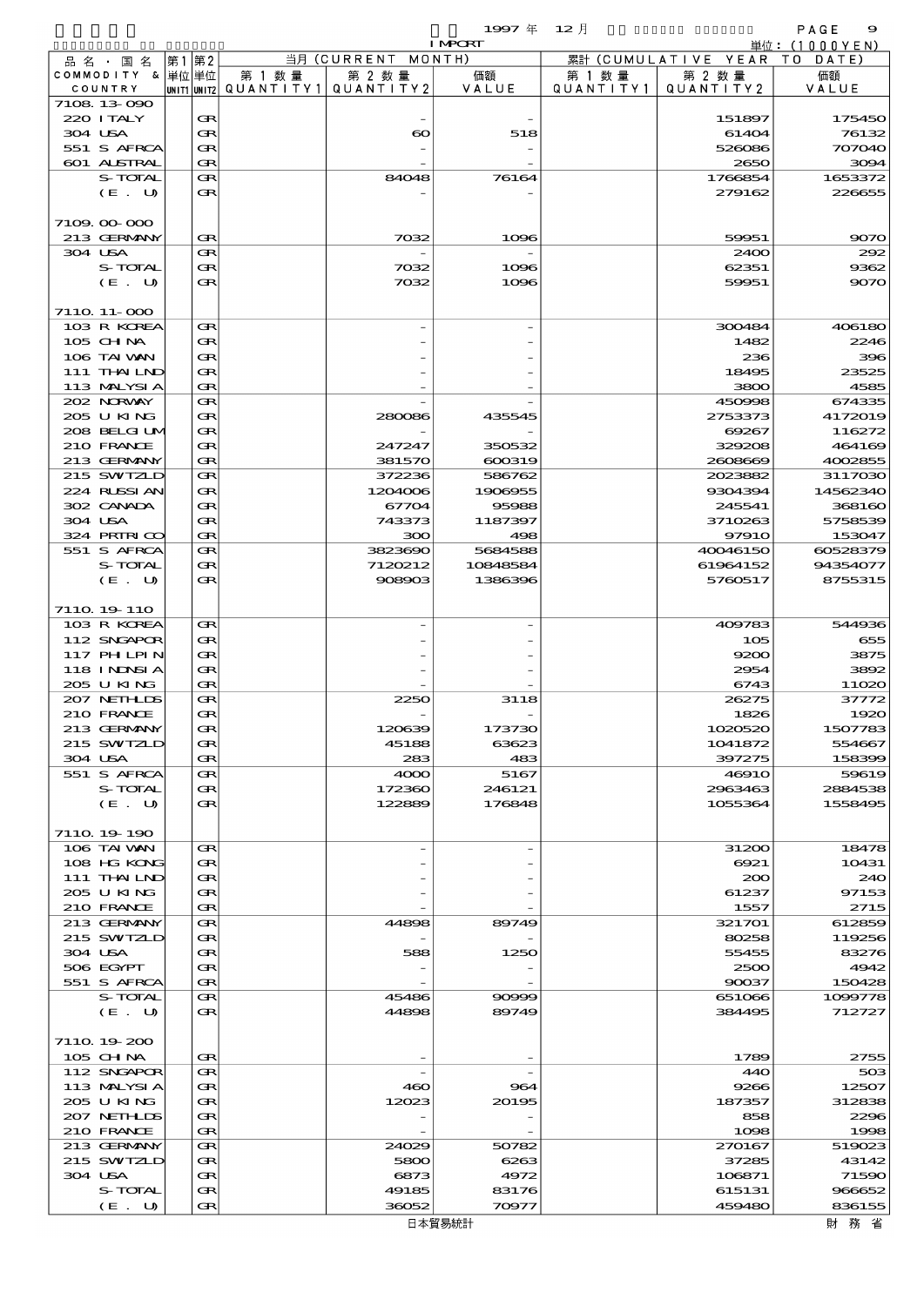$\begin{array}{cccc}\n 1997 & \# & 12 \end{array}$ 

|         |                            |    |          |        |                                       | <b>I MPORT</b> |           |                              | 単位:(1000YEN)      |
|---------|----------------------------|----|----------|--------|---------------------------------------|----------------|-----------|------------------------------|-------------------|
|         | 品名・国名                      | 第1 | 第2       |        | 当月 (CURRENT MONTH)                    |                |           | 累計 (CUMULATIVE YEAR TO DATE) |                   |
|         | COMMODITY & 単位単位           |    |          | 第 1 数量 | 第 2 数量                                | 価額             | 第 1 数 量   | 第 2 数量                       | 価額                |
|         | COUNTRY                    |    |          |        | UNIT1 UNIT2  QUANT I TY1  QUANT I TY2 | VALUE          | QUANTITY1 | QUANTITY 2                   | VALUE             |
|         | 7108 13 090                |    |          |        |                                       |                |           |                              |                   |
|         | 220 I TALY                 |    | Œ        |        |                                       |                |           | 151897                       | 175450            |
| 304 USA | 551 S AFRCA                |    | Œ<br>Œ   |        | $\boldsymbol{\infty}$                 | 518            |           | 61404<br>526086              | 76132<br>707040   |
|         | 601 ALSTRAL                |    | Œ        |        |                                       |                |           | 2650                         | 3094              |
|         | S-TOTAL                    |    | Œ        |        | 84048                                 | 76164          |           | 1766854                      | 1653372           |
|         | (E. U)                     |    | Œ        |        |                                       |                |           | 279162                       | 226655            |
|         |                            |    |          |        |                                       |                |           |                              |                   |
|         | 7109.00-000                |    |          |        |                                       |                |           |                              |                   |
|         | 213 GERMANY                |    | Œ        |        | 7032                                  | 1096           |           | 59951                        | 9070              |
| 304 USA |                            |    | Œ        |        |                                       |                |           | 2400                         | 292               |
|         | S-TOTAL                    |    | Œ        |        | 7032                                  | 1096           |           | 62351                        | 9362              |
|         | (E. U)                     |    | $\bf{R}$ |        | 7032                                  | 1096           |           | 59951                        | 9070              |
|         |                            |    |          |        |                                       |                |           |                              |                   |
|         | 7110 11-000                |    |          |        |                                       |                |           |                              |                   |
|         | 103 R KOREA                |    | Œ        |        |                                       |                |           | 300484                       | 406180            |
|         | $105$ CHNA                 |    | Œ        |        |                                       |                |           | 1482                         | 2246              |
|         | 106 TAI VAN                |    | Œ        |        |                                       |                |           | 236                          | 396               |
|         | 111 THAILND                |    | Œ        |        |                                       |                |           | 18495                        | 23525             |
|         | 113 MALYSIA                |    | Œ        |        |                                       |                |           | 3800                         | 4585              |
|         | 202 NORWAY                 |    | Œ        |        |                                       |                |           | 450998                       | 674335            |
|         | 205 U KING<br>208 BELGI UM |    | Œ        |        | 280086                                | 435545         |           | 2753373                      | 4172019           |
|         | 210 FRANCE                 |    | Œ<br>Œ   |        |                                       | 350532         |           | 69267<br>329208              | 116272            |
|         | 213 GERMANY                |    | Œ        |        | 247247<br>381570                      | 600319         |           | 2608669                      | 464169<br>4002855 |
|         | 215 SWIZLD                 |    | Œ        |        | 372236                                | 586762         |           | 2023882                      | 3117030           |
|         | 224 RUSSI AN               |    | Œ        |        | 1204006                               | 1908955        |           | 9304394                      | 14562340          |
|         | 302 CANADA                 |    | Œ        |        | 67704                                 | 95988          |           | 245541                       | 368160            |
| 304 USA |                            |    | Œ        |        | 743373                                | 1187397        |           | 3710263                      | 5758539           |
|         | 324 PRIRICO                |    | Œ        |        | 300                                   | 498            |           | 97910                        | 153047            |
|         | 551 S AFRCA                |    | Œ        |        | 3823690                               | 5684588        |           | 40046150                     | 60528379          |
|         | S-TOTAL                    |    | Œ        |        | 7120212                               | 10848584       |           | 61964152                     | 94354077          |
|         | (E. U)                     |    | $\bf{R}$ |        | 908903                                | 1386396        |           | 5760517                      | 8755315           |
|         |                            |    |          |        |                                       |                |           |                              |                   |
|         | 711Q 19 110                |    |          |        |                                       |                |           |                              |                   |
|         | 103 R KOREA                |    | Œ        |        |                                       |                |           | 409783                       | 544936            |
|         | 112 SNGAPOR                |    | Œ        |        |                                       |                |           | 105                          | 655               |
|         | 117 PHLPIN                 |    | Œ        |        |                                       |                |           | 9200                         | 3875              |
|         | 118 I NDSI A               |    | Œ        |        |                                       |                |           | 2954                         | 3892              |
|         | 205 U KING                 |    | Œ        |        |                                       |                |           | 6743<br>26275                | 11020             |
|         | 207 NETHLIS<br>210 FRANCE  |    | Œ        |        | 2250                                  | 3118           |           |                              | 37772             |
|         | 213 GERMANY                |    | Œ<br>Œ   |        | 120639                                | 173730         |           | 1826<br>1020520              | 1920<br>1507783   |
|         | 215 SWIZLD                 |    | Œ        |        | 45188                                 | 63623          |           | 1041872                      | 554667            |
| 304 USA |                            |    | Œ        |        | 283                                   | 483            |           | 397275                       | 158399            |
|         | 551 S AFRCA                |    | Œ        |        | 4000                                  | 5167           |           | 4691O                        | 59619             |
|         | S-TOTAL                    |    | Œ        |        | 172360                                | 246121         |           | 2963463                      | 2884538           |
|         | (E. U)                     |    | Œ        |        | 122889                                | 176848         |           | 1055364                      | 1558495           |
|         |                            |    |          |        |                                       |                |           |                              |                   |
|         | 7110 19 190                |    |          |        |                                       |                |           |                              |                   |
|         | 106 TAI VAN                |    | Œ        |        |                                       |                |           | 31200                        | 18478             |
|         | 108 HG KONG                |    | Œ        |        |                                       |                |           | 6921                         | 10431             |
|         | 111 THAILND                |    | Œ        |        |                                       |                |           | 200                          | 240               |
|         | 205 U KING                 |    | Œ        |        |                                       |                |           | 61237                        | 97153             |
|         | 210 FRANCE                 |    | Œ        |        |                                       |                |           | 1557                         | 2715              |
|         | 213 GERMANY                |    | Œ        |        | 44898                                 | 89749          |           | 321701                       | 612859            |
| 304 USA | 215 SWIZLD                 |    | Œ<br>Œ   |        | 588                                   | 1250           |           | 80258<br>55455               | 119256<br>83276   |
|         | 506 EGYPT                  |    | Œ        |        |                                       |                |           | 2500                         | 4942              |
|         | 551 S AFRCA                |    | Œ        |        |                                       |                |           | 90037                        | 150428            |
|         | S-TOTAL                    |    | Œ        |        | 45486                                 | 90999          |           | 651066                       | 1099778           |
|         | (E. U)                     |    | Œ        |        | 44898                                 | 89749          |           | 384495                       | 712727            |
|         |                            |    |          |        |                                       |                |           |                              |                   |
|         | 7110 19 200                |    |          |        |                                       |                |           |                              |                   |
|         | 105 CHNA                   |    | Œ        |        |                                       |                |           | 1789                         | 2755              |
|         | 112 SNGAPOR                |    | Œ        |        |                                       |                |           | 44O                          | 503               |
|         | 113 MALYSIA                |    | Œ        |        | 460                                   | 964            |           | 9266                         | 12507             |
|         | 205 U KING                 |    | Œ        |        | 12023                                 | 20195          |           | 187357                       | 312838            |
|         | 207 NETHLIS                |    | Œ        |        |                                       |                |           | 858                          | 2296              |
|         | 210 FRANCE                 |    | Œ        |        |                                       |                |           | 1098                         | 1998              |
|         | 213 GERMANY                |    | Œ        |        | 24029                                 | 50782          |           | 270167                       | 519023            |
|         | 215 SWIZLD                 |    | Œ        |        | 5800                                  | 6263           |           | 37285                        | 43142             |
| 304 USA | S-TOTAL                    |    | Œ<br>Œ   |        | 6873<br>49185                         | 4972<br>83176  |           | 106871<br>615131             | 71590<br>966652   |
|         | (E. U)                     |    | Œ        |        | 36052                                 | 70977          |           | 459480                       | 836155            |
|         |                            |    |          |        |                                       |                |           |                              |                   |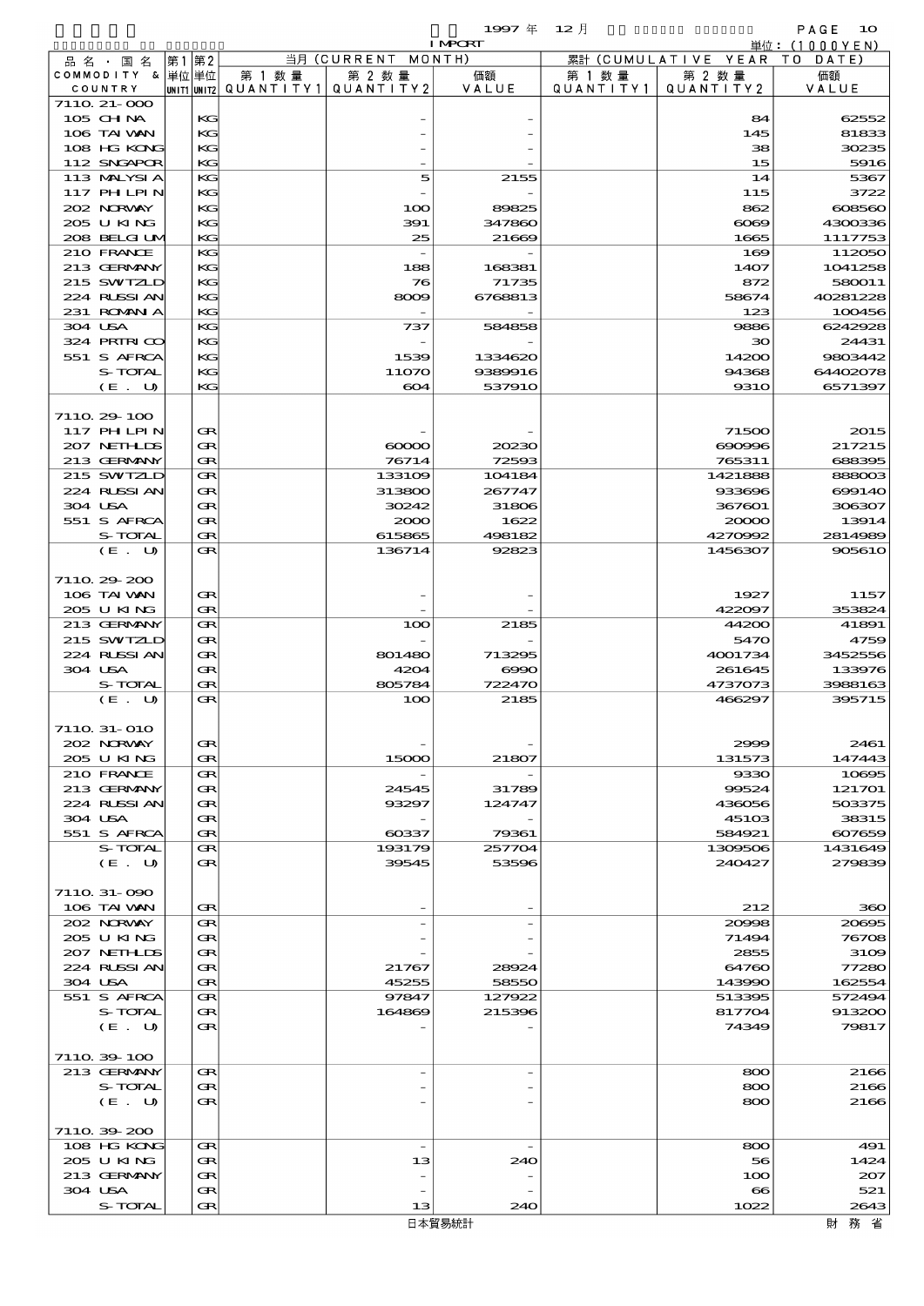$1997 \nsubseteq 12 \nexists$ 

|                             |  |          |                                                  |                          | <b>I MPORT</b>  |                      |                              | 単位:(1000YEN)       |
|-----------------------------|--|----------|--------------------------------------------------|--------------------------|-----------------|----------------------|------------------------------|--------------------|
| 品名・国名                       |  | 第1第2     |                                                  | 当月 (CURRENT MONTH)       |                 |                      | 累計 (CUMULATIVE YEAR TO DATE) |                    |
| COMMODITY & 単位単位<br>COUNTRY |  |          | 第 1 数量<br> UNIT1 UNIT2  QUANT I TY1  QUANT I TY2 | 第 2 数量                   | 価額<br>VALUE     | 第 1 数 量<br>QUANTITY1 | 第 2 数量<br>QUANTITY 2         | 価額<br>VALUE        |
| 7110 21-000                 |  |          |                                                  |                          |                 |                      |                              |                    |
| 105 CH NA                   |  | KG       |                                                  |                          |                 |                      | 84                           | 62552              |
| 106 TAI VAN                 |  | KG       |                                                  |                          |                 |                      | 145                          | 81833              |
| 108 HG KONG                 |  | KG       |                                                  |                          |                 |                      | 38                           | 30235              |
| 112 SNGAPOR                 |  | KG       |                                                  |                          |                 |                      | 15                           | 5916               |
| 113 MALYSIA<br>117 PH LPIN  |  | KG<br>KG |                                                  | 5                        | 2155            |                      | 14<br>115                    | 5367<br>3722       |
| 202 NRWAY                   |  | KG       |                                                  | 100                      | 89825           |                      | 862                          | 608560             |
| 205 U KING                  |  | KG       |                                                  | 391                      | 347860          |                      | $\infty$                     | 4300336            |
| 208 BELGI UM                |  | KG       |                                                  | 25                       | 21669           |                      | 1665                         | 1117753            |
| 210 FRANCE                  |  | KG       |                                                  |                          |                 |                      | 169                          | 112050             |
| 213 GERMANY                 |  | KG       |                                                  | 188                      | 168381          |                      | 1407                         | 1041258            |
| 215 SWIZLD                  |  | KG<br>KG |                                                  | 76                       | 71735           |                      | 872                          | 580011<br>40281228 |
| 224 RUSSIAN<br>231 ROMAN A  |  | KG       |                                                  | 8009                     | 6768813         |                      | 58674<br>123                 | 100456             |
| 304 USA                     |  | KG       |                                                  | 737                      | 584858          |                      | 9886                         | 6242928            |
| 324 PRIRICO                 |  | KG       |                                                  |                          |                 |                      | ЗО                           | 24431              |
| 551 S AFRCA                 |  | KG       |                                                  | 1539                     | 1334620         |                      | 14200                        | 9803442            |
| S-TOTAL                     |  | KG       |                                                  | 11070                    | 9389916         |                      | 94368                        | 64402078           |
| (E. U)                      |  | KG       |                                                  | 604                      | 537910          |                      | <b>9310</b>                  | 6571397            |
| 7110 29 100                 |  |          |                                                  |                          |                 |                      |                              |                    |
| 117 PHLPIN                  |  | Œ        |                                                  |                          |                 |                      | 71500                        | 2015               |
| 207 NETHLIS                 |  | Œ        |                                                  | $\infty$                 | 20230           |                      | 690996                       | 217215             |
| 213 GERMANY                 |  | Œ        |                                                  | 76714                    | 72593           |                      | 765311                       | 688395             |
| 215 SWIZLD                  |  | Œ        |                                                  | 133109                   | 104184          |                      | 1421888                      | 888003             |
| 224 RUSSI AN                |  | Œ        |                                                  | 313800                   | 267747          |                      | 933696                       | 699140             |
| 304 USA                     |  | Œ        |                                                  | 30242                    | 31806           |                      | 367601                       | 306307             |
| 551 S AFRCA                 |  | Œ        |                                                  | 2000                     | 1622            |                      | 20000                        | 13914              |
| S-TOTAL<br>(E. U)           |  | Œ<br>Œ   |                                                  | 615865<br>136714         | 498182<br>92823 |                      | 4270992<br>1456307           | 2814989<br>905610  |
|                             |  |          |                                                  |                          |                 |                      |                              |                    |
| 7110 29 200                 |  |          |                                                  |                          |                 |                      |                              |                    |
| 106 TAI VAN                 |  | Œ        |                                                  |                          |                 |                      | 1927                         | 1157               |
| 205 U KING                  |  | Œ        |                                                  |                          |                 |                      | 422097                       | 353824             |
| 213 GERMANY                 |  | Œ        |                                                  | 100                      | 2185            |                      | 44200                        | 41891              |
| 215 SWIZLD<br>224 RUSSI AN  |  | Œ        |                                                  | 801480                   |                 |                      | 5470                         | 4759               |
| 304 USA                     |  | Œ<br>Œ   |                                                  | 4204                     | 713295<br>6000  |                      | 4001734<br>261645            | 3452556<br>133976  |
| S-TOTAL                     |  | Œ        |                                                  | 805784                   | 722470          |                      | 4737073                      | 3988163            |
| (E. U)                      |  | Œ        |                                                  | 100                      | 2185            |                      | 466297                       | 395715             |
|                             |  |          |                                                  |                          |                 |                      |                              |                    |
| 7110 31-010                 |  |          |                                                  |                          |                 |                      |                              |                    |
| 202 N.R.WAY<br>205 U KING   |  | œ<br>Œ   |                                                  | 15000                    | 21807           |                      | 2999<br>131573               | 2461<br>147443     |
| 210 FRANCE                  |  | Œ        |                                                  |                          |                 |                      | 9330                         | 10695              |
| 213 GERMANY                 |  | Œ        |                                                  | 24545                    | 31789           |                      | 99524                        | 121701             |
| 224 RUSSI AN                |  | Œ        |                                                  | 93297                    | 124747          |                      | 436056                       | 503375             |
| 304 USA                     |  | Œ        |                                                  |                          |                 |                      | 45103                        | 38315              |
| 551 S AFRCA                 |  | Œ        |                                                  | $\cos 37$                | 79361           |                      | 584921                       | 607659             |
| S-TOTAL                     |  | Œ        |                                                  | 193179                   | 257704          |                      | 1309506                      | 1431649            |
| (E. U)                      |  | Œ        |                                                  | 39545                    | 53596           |                      | 240427                       | 279839             |
| 7110 31-090                 |  |          |                                                  |                          |                 |                      |                              |                    |
| 106 TAI VAN                 |  | Œ        |                                                  |                          |                 |                      | 212                          | 360                |
| 202 NRWAY                   |  | Œ        |                                                  |                          |                 |                      | 20008                        | 20695              |
| 205 U KING                  |  | Œ        |                                                  |                          |                 |                      | 71494                        | 76708              |
| 207 NETHLIS                 |  | Œ        |                                                  |                          |                 |                      | 2855                         | 3109               |
| 224 RUSSIAN                 |  | œ        |                                                  | 21767                    | 28924           |                      | 64760                        | 77280              |
| 304 USA<br>551 S AFRCA      |  | Œ<br>Œ   |                                                  | 45255<br>97847           | 58550<br>127922 |                      | 143990<br>513395             | 162554<br>572494   |
| S-TOTAL                     |  | Œ        |                                                  | 164869                   | 215396          |                      | 817704                       | 913200             |
| (E. U)                      |  | Œ        |                                                  |                          |                 |                      | 74349                        | 79817              |
|                             |  |          |                                                  |                          |                 |                      |                              |                    |
| 7110 39 100                 |  |          |                                                  |                          |                 |                      |                              |                    |
| 213 GERMANY                 |  | Œ        |                                                  |                          |                 |                      | 800                          | 2166               |
| S-TOTAL                     |  | Œ        |                                                  |                          |                 |                      | 800                          | 2166               |
| (E. U)                      |  | Œ        |                                                  |                          |                 |                      | 800                          | 2166               |
| 711039200                   |  |          |                                                  |                          |                 |                      |                              |                    |
| 108 HG KONG                 |  | Œ        |                                                  | $\overline{\phantom{a}}$ |                 |                      | 800                          | 491                |
| 205 U KING                  |  | Œ        |                                                  | 13                       | 240             |                      | 56                           | 1424               |
| 213 GERMANY                 |  | Œ        |                                                  |                          |                 |                      | 100                          | 207                |
| 304 USA                     |  | Œ        |                                                  |                          |                 |                      | $\bf{8}$                     | 521                |
| S-TOTAL                     |  | Œ        |                                                  | 13                       | 240             |                      | 1022                         | 2643               |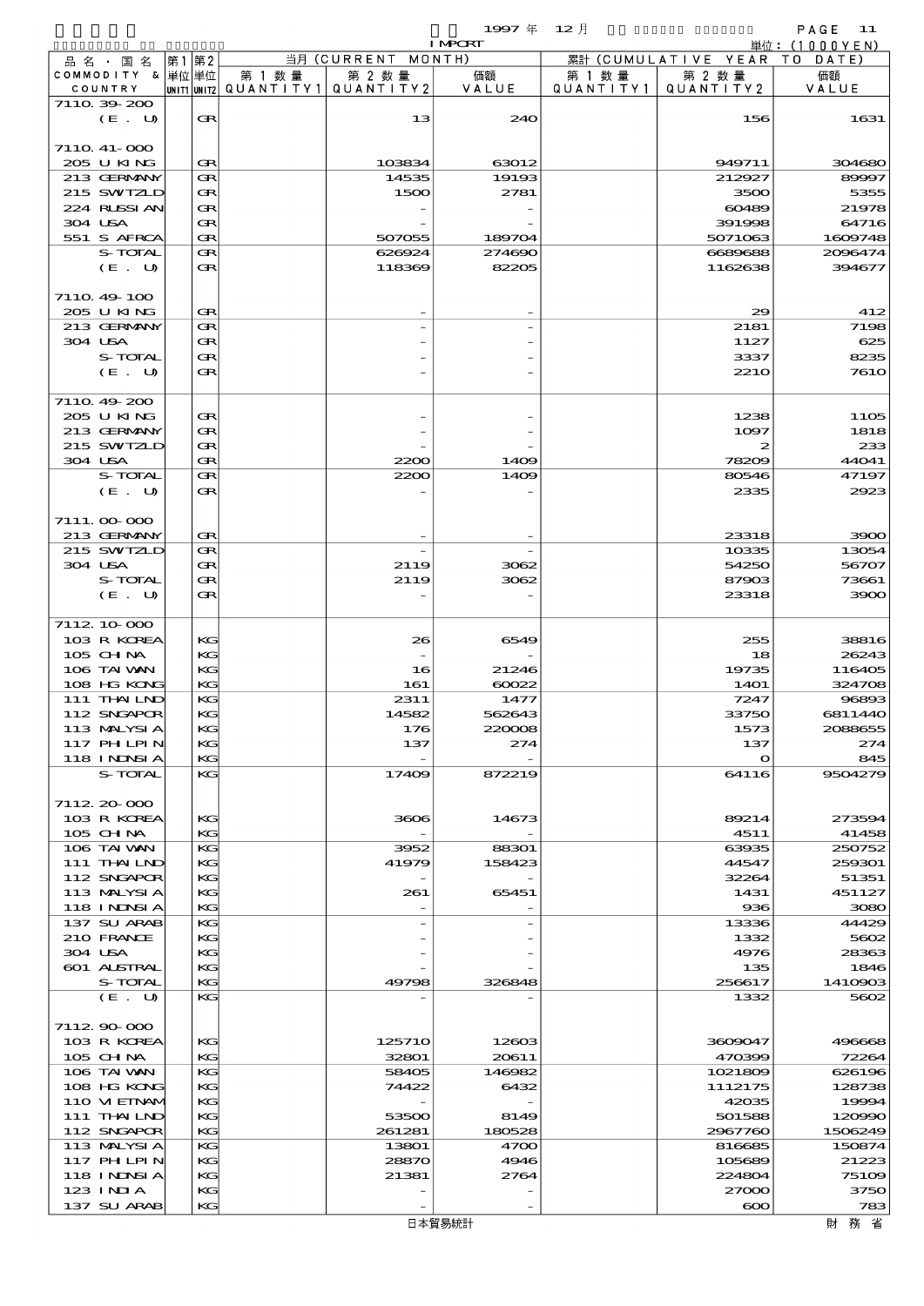|         |                            |       |          |        |                                                  | 1997年 12月      |                      |                              | PAGE 11             |
|---------|----------------------------|-------|----------|--------|--------------------------------------------------|----------------|----------------------|------------------------------|---------------------|
|         |                            |       |          |        |                                                  | <b>I MPCRT</b> |                      |                              | 単位: (1000YEN)       |
|         | 品 名 ・ 国 名                  | 第1 第2 |          |        | 当月 (CURRENT MONTH)                               |                |                      | 累計 (CUMULATIVE YEAR TO DATE) |                     |
| COUNTRY | COMMODITY & 単位単位           |       |          | 第 1 数量 | 第 2 数量<br> unit1 unit2  QUANT   TY1  QUANT   TY2 | 価額<br>VALUE    | 第 1 数 量<br>QUANTITY1 | 第 2 数量<br>QUANTITY 2         | 価額<br>VALUE         |
|         | 7110 39 200                |       |          |        |                                                  |                |                      |                              |                     |
|         | (E. U)                     |       | Œ        |        | 13                                               | 240            |                      | 156                          | 1631                |
|         |                            |       |          |        |                                                  |                |                      |                              |                     |
|         | 7110 41-000                |       |          |        |                                                  |                |                      |                              |                     |
|         | 205 U KING                 |       | Œ        |        | 103834                                           | 63012          |                      | 949711                       | 304680              |
|         | 213 GERMANY                |       | Œ        |        | 14535                                            | 19193          |                      | 212927                       | 89997               |
|         | 215 SWIZLD                 |       | Œ        |        | 1500                                             | 2781           |                      | 3500                         | 5355                |
|         | 224 RUSSIAN                |       | Œ        |        |                                                  |                |                      | 60489                        | 21978               |
| 304 USA | 551 S AFRCA                |       | Œ<br>Œ   |        | 507055                                           | 189704         |                      | 391998<br>5071063            | 64716<br>1609748    |
|         | S-TOTAL                    |       | Œ        |        | 626924                                           | 274690         |                      | 6689688                      | 2096474             |
|         | (E. U)                     |       | Œ        |        | 118369                                           | 82205          |                      | 1162638                      | 394677              |
|         |                            |       |          |        |                                                  |                |                      |                              |                     |
|         | 711049-100                 |       |          |        |                                                  |                |                      |                              |                     |
|         | 205 U KING                 |       | Œ        |        |                                                  |                |                      | 29                           | 412                 |
|         | 213 GERMANY                |       | Œ        |        |                                                  |                |                      | 2181                         | 7198                |
| 304 USA |                            |       | Œ        |        |                                                  |                |                      | 1127                         | 625                 |
|         | S-TOTAL                    |       | Œ        |        |                                                  |                |                      | 3337                         | 8235                |
|         | (E. U)                     |       | Œ        |        |                                                  |                |                      | <b>2210</b>                  | <b>7610</b>         |
|         |                            |       |          |        |                                                  |                |                      |                              |                     |
|         | 7110.49-200<br>205 U KING  |       |          |        |                                                  |                |                      | 1238                         |                     |
|         | 213 GERMANY                |       | Œ<br>Œ   |        |                                                  |                |                      | 1097                         | <b>1105</b><br>1818 |
|         | 215 SWIZLD                 |       | Œ        |        |                                                  |                |                      | $\boldsymbol{z}$             | 233                 |
| 304 USA |                            |       | Œ        |        | 2200                                             | 1409           |                      | 78209                        | 44041               |
|         | S-TOTAL                    |       | Œ        |        | 2200                                             | 1409           |                      | 80546                        | 47197               |
|         | (E. U)                     |       | Œ        |        |                                                  |                |                      | 2335                         | 2923                |
|         |                            |       |          |        |                                                  |                |                      |                              |                     |
|         | 7111.00-000                |       |          |        |                                                  |                |                      |                              |                     |
|         | 213 GERMANY                |       | Œ        |        |                                                  |                |                      | 23318                        | 3900                |
|         | 215 SWIZLD                 |       | Œ        |        |                                                  |                |                      | 10335                        | 13054               |
| 304 USA |                            |       | Œ        |        | 2119                                             | 3062           |                      | 54250                        | 56707               |
|         | S-TOTAL                    |       | Œ        |        | 2119                                             | 3062           |                      | 87903                        | 73661               |
|         | (E. U)                     |       | Œ        |        |                                                  |                |                      | 23318                        | 3900                |
|         |                            |       |          |        |                                                  |                |                      |                              |                     |
|         | 7112 10 000<br>103 R KOREA |       | KG       |        | 26                                               | 6549           |                      | 255                          | 38816               |
|         | 105 CH NA                  |       | KG       |        |                                                  |                |                      | 18                           | 26243               |
|         | 106 TAI VAN                |       | KG       |        | 16                                               | 21246          |                      | 19735                        | 116405              |
|         | 108 HG KONG                |       | KG       |        | 161                                              | 60022          |                      | <b>14O1</b>                  | 324708              |
|         | 111 THAILND                |       | KG       |        | 2311                                             | 1477           |                      | 7247                         | 96893               |
|         | 112 SNGAPOR                |       | KG       |        | 14582                                            | 562643         |                      | 33750                        | 6811440             |
|         | 113 MALYSIA                |       | KG       |        | 176                                              | 220008         |                      | 1573                         | 2088655             |
|         | 117 PHLPIN                 |       | KG       |        | 137                                              | 274            |                      | 137                          | 274                 |
|         | 118 I NDSI A               |       | KG       |        | $\overline{\phantom{a}}$                         |                |                      | $\mathbf o$                  | 845                 |
|         | S-TOTAL                    |       | KG       |        | 17409                                            | 872219         |                      | 64116                        | 9504279             |
|         | 7112.20-000                |       |          |        |                                                  |                |                      |                              |                     |
|         | 103 R KOREA                |       | KG       |        | 3606                                             | 14673          |                      | 89214                        | 273594              |
|         | 105 CH NA                  |       | KG       |        |                                                  |                |                      | 4511                         | 41458               |
|         | 106 TAI VAN                |       | KG       |        | 3952                                             | 88301          |                      | 63935                        | 250752              |
|         | 111 THAILND                |       | KG       |        | 41979                                            | 158423         |                      | 44547                        | 259301              |
|         | 112 SNGAPOR                |       | KC       |        |                                                  |                |                      | 32264                        | 51351               |
|         | 113 MALYSIA                |       | KG       |        | 261                                              | 65451          |                      | 1431                         | 451127              |
|         | <b>118 INNSIA</b>          |       | KG       |        |                                                  |                |                      | 936                          | 3080                |
|         | 137 SU ARAB                |       | KG       |        |                                                  |                |                      | 13336                        | 44429               |
|         | 210 FRANCE                 |       | KG       |        |                                                  |                |                      | 1332                         | 5602                |
| 304 USA |                            |       | KC       |        |                                                  |                |                      | 4976                         | 28363               |
|         | 601 ALSTRAL                |       | KG       |        |                                                  |                |                      | 135                          | 1846                |
|         | S-TOTAL<br>(E. U)          |       | KG<br>KС |        | 49798                                            | 326848         |                      | 256617<br>1332               | 1410903<br>5602     |
|         |                            |       |          |        |                                                  |                |                      |                              |                     |
|         | 711290000                  |       |          |        |                                                  |                |                      |                              |                     |
|         | 103 R KOREA                |       | KG       |        | 125710                                           | 12603          |                      | 3609047                      | 496668              |
|         | 105 CH NA                  |       | KG       |        | 32801                                            | 20611          |                      | 470399                       | 72264               |
|         | 106 TAI VAN                |       | KG       |        | 58405                                            | 146982         |                      | 1021809                      | 626196              |
|         | 108 HG KONG                |       | KG       |        | 74422                                            | 6432           |                      | 1112175                      | 128738              |
|         | 110 VIEINAM                |       | KG       |        |                                                  |                |                      | 42035                        | 19994               |
|         | 111 THAILND                |       | KG       |        | 53500                                            | 8149           |                      | 501588                       | 120990              |
|         | 112 SNGAPOR                |       | KG       |        | 261281                                           | 180528         |                      | 2967760                      | 1506249             |
|         | 113 MALYSIA                |       | KG       |        | 13801                                            | 4700           |                      | 816685                       | 150874              |
|         | 117 PH LPIN                |       | KG       |        | 28870                                            | 4946           |                      | 105689                       | 21223               |
|         | 118 I NINSI A<br>123 INIA  |       | KG<br>KG |        | 21381                                            | 2764           |                      | 224804<br>27000              | 75109<br>3750       |
|         | 137 SU ARAB                |       | KG       |        |                                                  |                |                      | $\infty$                     | 783                 |
|         |                            |       |          |        |                                                  |                |                      |                              |                     |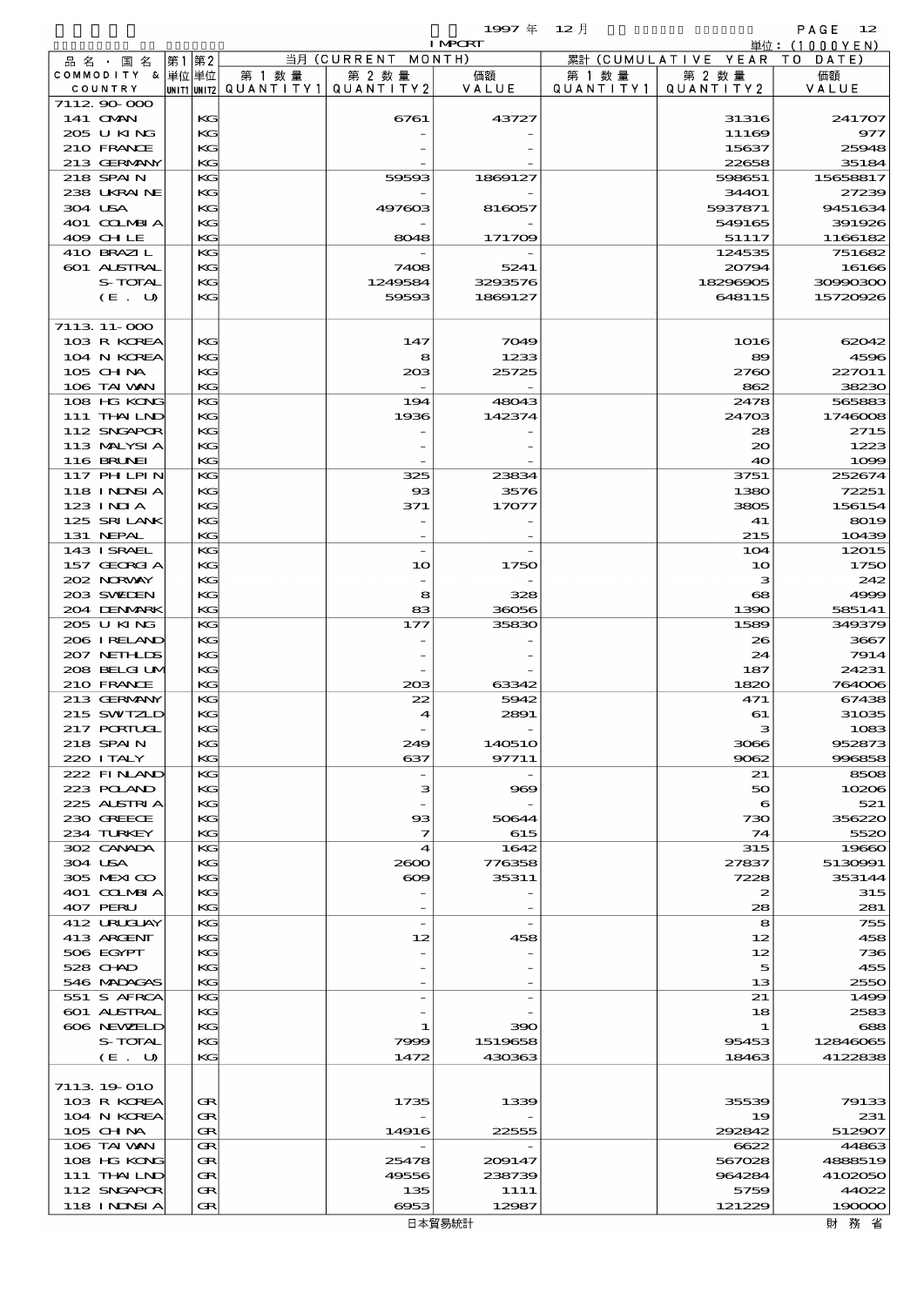$1997 \frac{1}{4}$   $12 \frac{1}{2}$ 

|                              |       |          |                                       |                    | <b>I MPORT</b> |           |                              | 単位:(1000YEN)    |
|------------------------------|-------|----------|---------------------------------------|--------------------|----------------|-----------|------------------------------|-----------------|
| 品 名 ・ 国 名                    | 第1 第2 |          |                                       | 当月(CURRENT         | MONTH)         |           | 累計 (CUMULATIVE YEAR TO DATE) |                 |
| COMMODITY & 単位単位             |       |          | 第 1 数量                                | 第 2 数量             | 価額             | 第 1 数 量   | 第 2 数量                       | 価額              |
| COUNTRY                      |       |          | UNIT1 UNIT2  QUANT   TY1  QUANT   TY2 |                    | VALUE          | QUANTITY1 | QUANTITY 2                   | VALUE           |
| 7112 90 000                  |       |          |                                       |                    |                |           |                              |                 |
| 141 <b>OMN</b><br>205 U KING |       | KG<br>KG |                                       | 6761               | 43727          |           | 31316<br>11169               | 241707<br>977   |
| 210 FRANCE                   |       | KG       |                                       |                    |                |           | 15637                        | 25948           |
| 213 GERMANY                  |       | KG       |                                       |                    |                |           | 22658                        | 35184           |
| 218 SPAIN                    |       | KG       |                                       | 59593              | 1869127        |           | 598651                       | 15658817        |
| 238 UKRAINE                  |       | КG       |                                       |                    |                |           | 34401                        | 27239           |
| 304 USA                      |       | KG       |                                       | 497603             | 816057         |           | 5937871                      | 9451634         |
| 401 COLMBIA                  |       | KС       |                                       |                    |                |           | 549165                       | 391926          |
| 409 CHLE                     |       | KG       |                                       | 8048               | 171709         |           | 51117                        | 1166182         |
| 410 BRAZIL                   |       | KG       |                                       |                    |                |           | 124535                       | 751682          |
| 601 ALSTRAL                  |       | КG       |                                       | 7408               | 5241           |           | 20794                        | 16166           |
| S-TOTAL                      |       | KG       |                                       | 1249584            | 3293576        |           | 18296905                     | 30990300        |
| (E. U)                       |       | KG       |                                       | 59593              | 1869127        |           | 648115                       | 15720926        |
| 7113 11-000                  |       |          |                                       |                    |                |           |                              |                 |
| 103 R KOREA                  |       | KС       |                                       | 147                | 7049           |           | 1016                         | 62012           |
| 104 N KOREA                  |       | KG       |                                       | 8                  | 1233           |           | 89                           | 4596            |
| $105$ CHNA                   |       | KС       |                                       | 20B                | 25725          |           | 2760                         | 227011          |
| 106 TAI VAN                  |       | KG       |                                       |                    |                |           | 862                          | 38230           |
| 108 HG KONG                  |       | KG       |                                       | 194                | 48043          |           | 2478                         | 565883          |
| 111 THAILND                  |       | КG       |                                       | 1936               | 142374         |           | 24703                        | 1746008         |
| 112 SNGAPOR                  |       | KG       |                                       |                    |                |           | 28                           | 2715            |
| 113 MALYSIA                  |       | KС       |                                       |                    |                |           | 20                           | 1223            |
| <b>116 BRUNEI</b>            |       | KG       |                                       |                    |                |           | 40                           | 1000            |
| 117 PH LPIN                  |       | KG       |                                       | 325                | 23834          |           | 3751                         | 252674          |
| 118 I NDSI A<br>123 INIA     |       | KG<br>KG |                                       | $_{\rm ss}$<br>371 | 3576<br>17077  |           | 1380<br>3805                 | 72251<br>156154 |
| 125 SRILANK                  |       | KС       |                                       |                    |                |           | 41                           | 8019            |
| 131 NEPAL                    |       | KG       |                                       |                    |                |           | 215                          | 10439           |
| 143 ISRAEL                   |       | KG       |                                       |                    |                |           | 104                          | 12015           |
| 157 GEORGIA                  |       | KG       |                                       | 10                 | 1750           |           | 10                           | 1750            |
| 202 NORWAY                   |       | KG       |                                       |                    |                |           | з                            | 242             |
| 203 SWIEN                    |       | KС       |                                       | 8                  | 328            |           | 68                           | 4999            |
| 204 DENMARK                  |       | KG       |                                       | 83                 | 36056          |           | 1390                         | 585141          |
| 205 U KING                   |       | KG       |                                       | 177                | 35830          |           | 1589                         | 349379          |
| 206 IRELAND                  |       | KG       |                                       |                    |                |           | 26                           | 3667            |
| 207 NETHLIS                  |       | KG       |                                       |                    |                |           | 24                           | 7914            |
| 208 BELGI UM                 |       | KС       |                                       |                    |                |           | 187                          | 24231           |
| 210 FRANCE<br>213 GERMANY    |       | KG<br>KG |                                       | 20B                | 63342<br>5942  |           | 1820<br>471                  | 764006          |
| 215 SWIZLD                   |       | KG       |                                       | 22<br>4            | 2891           |           | 61                           | 67438<br>31035  |
| <b>217 PORTUGL</b>           |       | KG       |                                       |                    |                |           | з                            | 1083            |
| 218 SPAIN                    |       | KС       |                                       | 249                | 140510         |           | 3066                         | 952873          |
| 220 I TALY                   |       | KG       |                                       | 637                | 97711          |           | 9062                         | 996858          |
| 222 FINLAND                  |       | KG       |                                       |                    |                |           | 21                           | 8508            |
| 223 POLAND                   |       | KG       |                                       | з                  | 969            |           | 50                           | 10206           |
| 225 ALSTRIA                  |       | KG       |                                       |                    |                |           | 6                            | 521             |
| 230 GREECE                   |       | KС       |                                       | $_{\rm \alpha}$    | 50644          |           | 730                          | 356220          |
| 234 TURKEY                   |       | KG       |                                       | 7                  | 615            |           | 74                           | 5520            |
| 302 CANADA                   |       | KG       |                                       | $\boldsymbol{4}$   | 1642           |           | 315                          | 19660           |
| 304 USA                      |       | KG       |                                       | 2000               | 776358         |           | 27837                        | 5130991         |
| 305 MEXICO                   |       | KG       |                                       | $\infty$           | 35311          |           | 7228                         | 353144          |
| 401 COLMBIA<br>407 PERU      |       | KС<br>KG |                                       |                    |                |           | 2<br>28                      | 315<br>281      |
| 412 URUCUAY                  |       | KG       |                                       |                    |                |           | 8                            | 755             |
| 413 ARGENT                   |       | KG       |                                       | 12                 | 458            |           | 12                           | 458             |
| 506 EGYPT                    |       | KG       |                                       |                    |                |           | 12                           | 736             |
| 528 CHAD                     |       | KС       |                                       |                    |                |           | 5                            | 455             |
| 546 MADAGAS                  |       | KG       |                                       |                    |                |           | 13                           | 2550            |
| 551 S AFRCA                  |       | KG       |                                       |                    |                |           | 21                           | 1499            |
| <b>601 ALSTRAL</b>           |       | KG       |                                       |                    |                |           | 18                           | 2583            |
| 606 NEWELD                   |       | KG       |                                       | 1                  | 390            |           | 1                            | 688             |
| S-TOTAL                      |       | KС       |                                       | 7999               | 1519658        |           | 95453                        | 12846065        |
| (E. U)                       |       | KG       |                                       | 1472               | 430363         |           | 18463                        | 4122838         |
|                              |       |          |                                       |                    |                |           |                              |                 |
| 7113 19 010<br>103 R KOREA   |       | Œ        |                                       | 1735               | 1339           |           | 35539                        | 79133           |
| 104 N KOREA                  |       | œ        |                                       |                    |                |           | 19                           | 231             |
| $105$ CHNA                   |       | Œ        |                                       | 14916              | 22555          |           | 292842                       | 512907          |
| 106 TAI VAN                  |       | Œ        |                                       |                    |                |           | 6622                         | 44863           |
| 108 HG KONG                  |       | Œ        |                                       | 25478              | 209147         |           | 567028                       | 4888519         |
| 111 THAILND                  |       | Œ        |                                       | 49556              | 238739         |           | 964284                       | 4102050         |
| 112 SNGAPOR                  |       | Œ        |                                       | 135                | 1111           |           | 5759                         | 44022           |
| 118 I NJNSI A                |       | Œ        |                                       | 6953               | 12987          |           | 121229                       | 190000          |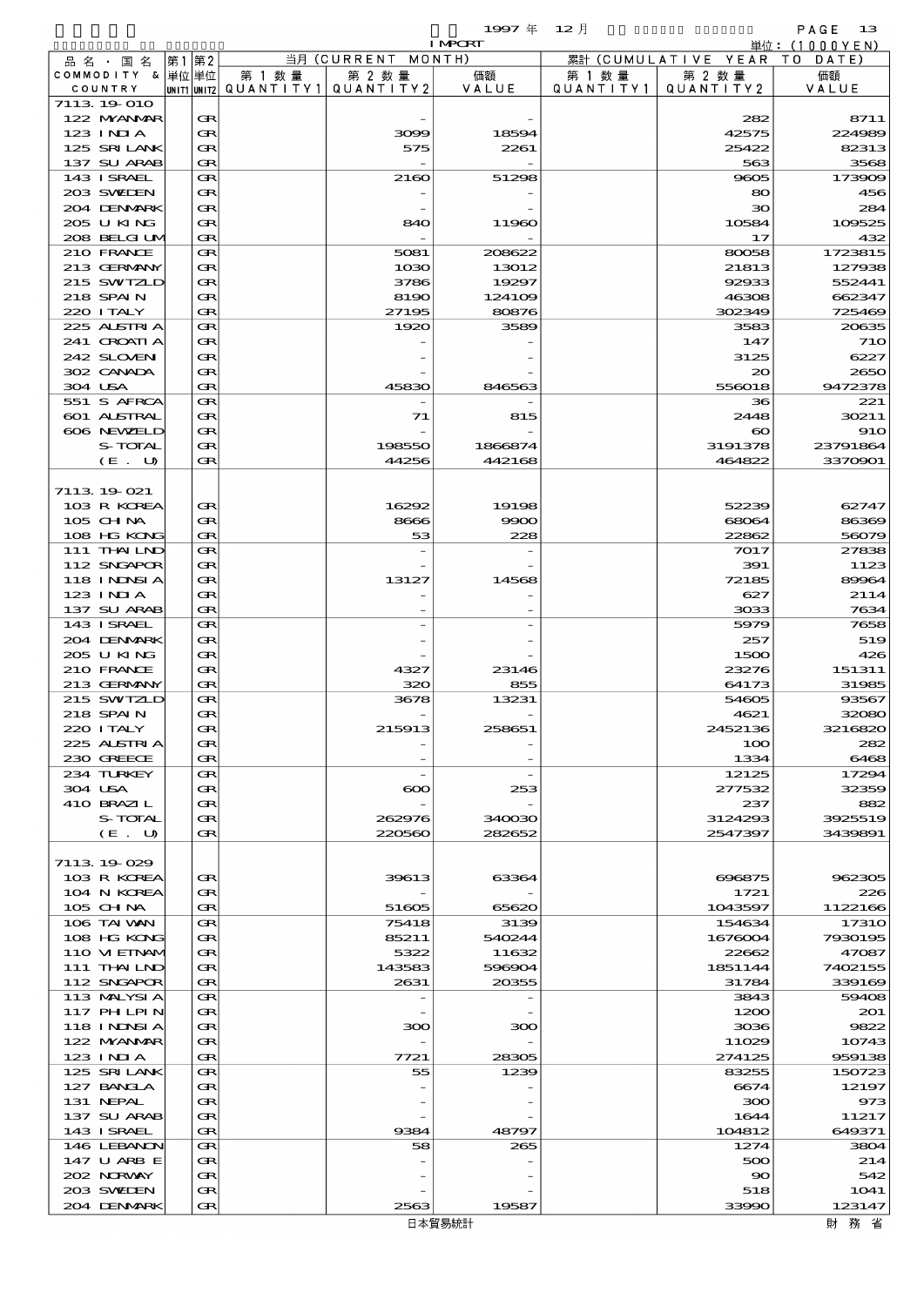|                                |              |           |                       | 1997 $#$                 | $12$ 月    |                                | PAGE<br>13       |
|--------------------------------|--------------|-----------|-----------------------|--------------------------|-----------|--------------------------------|------------------|
|                                |              |           | 当月 (CURRENT           | <b>I MPCRT</b><br>MONTH) |           |                                | 単位:(1000YEN)     |
| 品 名 ・ 国 名<br>COMMODITY & 単位 単位 | 第2<br>第1     | 第 1 数 量   | 第 2 数量                | 価額                       | 第 1 数 量   | 累計 (CUMULATIVE YEAR)<br>第 2 数量 | TO<br>DATE<br>価額 |
| COUNTRY                        | UNIT1  UNIT2 | QUANTITY1 | QUANTITY2             | VALUE                    | QUANTITY1 | QUANTITY2                      | VALUE            |
| 7113 19 010                    |              |           |                       |                          |           |                                |                  |
| 122 MYANMAR                    | Œ            |           |                       |                          |           | 282                            | 8711             |
| $123$ INJA<br>125 SRILANK      | Œ<br>Œ       |           | 3099<br>575           | 18594<br>2261            |           | 42575<br>25422                 | 224989<br>82313  |
| 137 SU ARAB                    | Œ            |           |                       |                          |           | 563                            | 3568             |
| 143 ISRAEL                     | Œ            |           | 2160                  | 51298                    |           | 9605                           | 173909           |
| 203 SWIDEN                     | Œ            |           |                       |                          |           | 80                             | 456              |
| 204 DENMARK                    | Œ            |           |                       |                          |           | 30                             | 284              |
| 205 U KING                     | Œ            |           | 840                   | 11960                    |           | 10584                          | 109525           |
| 208 BELGI UM<br>210 FRANCE     | Œ<br>Œ       |           | 5081                  | 208622                   |           | 17<br>80058                    | 432<br>1723815   |
| 213 GERMANY                    | Œ            |           | 1030                  | 13012                    |           | 21813                          | 127938           |
| 215 SWIZLD                     | Œ            |           | 3786                  | 19297                    |           | 92933                          | 552441           |
| 218 SPAIN                      | Œ            |           | 8190                  | 124109                   |           | 46308                          | 662347           |
| 220 I TALY                     | Œ            |           | 27195                 | 80876                    |           | 302349                         | 725469           |
| 225 ALSTRIA                    | Œ            |           | 1920                  | 3589                     |           | 3583                           | 20635            |
| 241 CROATIA<br>242 SLOVEN      | Œ<br>Œ       |           |                       |                          |           | 147<br>3125                    | 71C<br>6227      |
| 302 CANADA                     | Œ            |           |                       |                          |           | $\infty$                       | 2650             |
| 304 USA                        | Œ            |           | 45830                 | 846563                   |           | 556018                         | 9472378          |
| 551 S AFRCA                    | Œ            |           |                       |                          |           | 36                             | 221              |
| 601 ALSTRAL                    | Œ            |           | 71                    | 815                      |           | 2448                           | 30211            |
| 606 NEWELD                     | Œ            |           |                       |                          |           | $\boldsymbol{\infty}$          | <b>910</b>       |
| S-TOTAL                        | Œ            |           | 198550                | 1866874                  |           | 3191378                        | 23791864         |
| (E. U)                         | Œ            |           | 44256                 | 442168                   |           | 464822                         | 3370901          |
| 7113 19 021                    |              |           |                       |                          |           |                                |                  |
| 103 R KOREA                    | œ            |           | 16292                 | 19198                    |           | 52239                          | 62747            |
| 105 CH NA                      | œ            |           | 8666                  | 9900                     |           | 68064                          | 86369            |
| 108 HG KONG                    | Œ            |           | 53                    | 228                      |           | 22862                          | 56079            |
| 111 THAILND                    | Œ            |           |                       |                          |           | 7017                           | 27838            |
| 112 SNGAPOR                    | œ<br>Œ       |           |                       |                          |           | 391<br>72185                   | 1123<br>89964    |
| <b>118 INNSIA</b><br>123 INIA  | Œ            |           | 13127                 | 14568                    |           | 627                            | 2114             |
| 137 SU ARAB                    | Œ            |           |                       |                          |           | 3033                           | 7634             |
| 143 ISRAEL                     | Œ            |           |                       |                          |           | 5979                           | 7658             |
| 204 DENMARK                    | Œ            |           |                       |                          |           | 257                            | 519              |
| 205 U KING                     | Œ            |           |                       |                          |           | 1500                           | 426              |
| 210 FRANCE                     | Œ            |           | 4327                  | 23146<br>855             |           | 23276                          | 151311           |
| 213 GERMANY<br>215 SWIZLD      | œ<br>Œ       |           | 320<br>3678           | 13231                    |           | 64173<br>54605                 | 31985<br>93567   |
| 218 SPAIN                      | Œ            |           |                       |                          |           | 4621                           | 32080            |
| 220 I TALY                     | Œ            |           | 215913                | 258651                   |           | 2452136                        | 3216820          |
| 225 ALSTRIA                    | Œ            |           |                       |                          |           | 100                            | 282              |
| 230 GREECE                     | Œ            |           |                       |                          |           | 1334                           | 6468             |
| 234 TURKEY                     | Œ            |           |                       |                          |           | 12125                          | 17294            |
| 304 USA<br>410 BRAZIL          | Œ<br>Œ       |           | $\boldsymbol{\infty}$ | 253                      |           | 277532<br>237                  | 32359<br>882     |
| S-TOTAL                        | Œ            |           | 262976                | 340030                   |           | 3124293                        | 3925519          |
| (E. U)                         | Œ            |           | 220560                | 282652                   |           | 2547397                        | 3439891          |
|                                |              |           |                       |                          |           |                                |                  |
| 7113 19 029                    |              |           |                       |                          |           |                                |                  |
| 103 R KOREA                    | Œ            |           | 39613                 | 63364                    |           | 696875                         | 962305           |
| 104 N KOREA<br>105 CH NA       | œ<br>Œ       |           | 51605                 | 65620                    |           | 1721<br>1043597                | 226<br>1122166   |
| 106 TAI VAN                    | Œ            |           | 75418                 | 3139                     |           | 154634                         | 17310            |
| 108 HG KONG                    | Œ            |           | 85211                 | 540244                   |           | 1676004                        | 7930195          |
| 110 VI EINAM                   | Œ            |           | 5322                  | 11632                    |           | 22662                          | 47087            |
| 111 THAILND                    | Œ            |           | 143583                | 596904                   |           | 1851144                        | 7402155          |
| 112 SNGAPOR                    | Œ            |           | 2631                  | 20355                    |           | 31784                          | 339169           |
| 113 MALYSIA<br>117 PH LPIN     | Œ<br>Œ       |           |                       |                          |           | 3843<br>1200                   | 59408<br>201     |
| 118 I NINSI A                  | Œ            |           | 300                   | 300                      |           | 3036                           | 9822             |
| 122 MYANMAR                    | Œ            |           |                       |                          |           | 11029                          | 10743            |
| 123 INIA                       | Œ            |           | 7721                  | 28305                    |           | 274125                         | 959138           |
| 125 SRILANK                    | Œ            |           | 55                    | 1239                     |           | 83255                          | 150723           |
| 127 BANCLA                     | Œ            |           |                       |                          |           | 6674                           | 12197            |
| 131 NEPAL<br>137 SU ARAB       | Œ<br>Œ       |           |                       |                          |           | 300<br>1644                    | 973<br>11217     |
| 143 ISRAEL                     | Œ            |           | 9384                  | 48797                    |           | 104812                         | 649371           |
| 146 LEBANON                    | Œ            |           | 58                    | 265                      |           | 1274                           | 3804             |
| 147 U ARB E                    | œ            |           |                       |                          |           | 500                            | 214              |
| 202 NRWAY                      | Œ            |           |                       |                          |           | $\infty$                       | 542              |
| 203 SWIEN                      | Œ            |           |                       |                          |           | 518                            | 1041             |
| 204 DENMARK                    | Œ            |           | 2563                  | 19587                    |           | 33990                          | 123147           |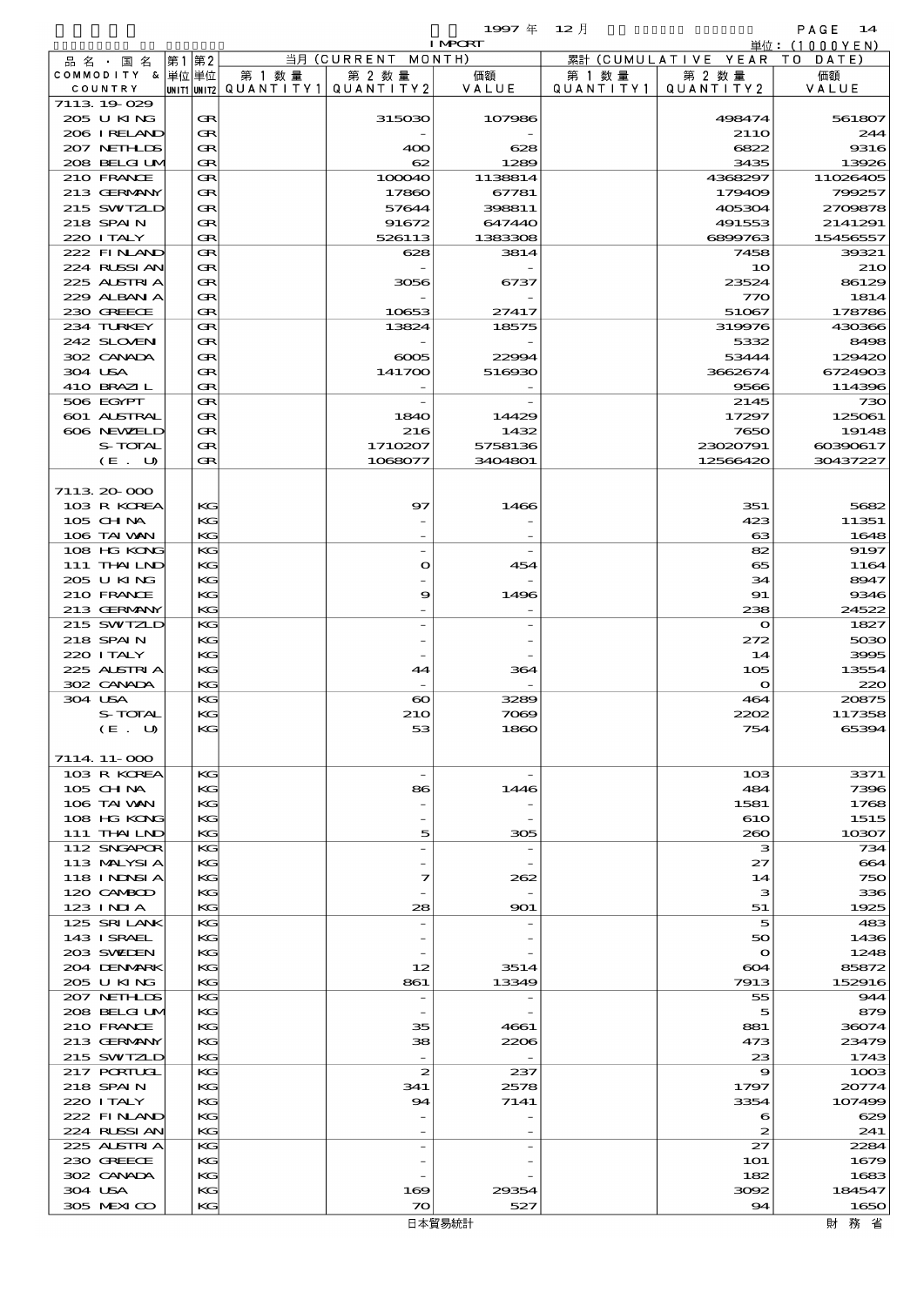$1997 \stackrel{\pm}{\text{\small{#}}} \quad 12 \stackrel{\pm}{\text{\small{[}}} \quad$ I MPORT

|                               |         |       |           |                                       |                              | 1997 $#$                 | - 12 月    |                                         | PAGE 14         |
|-------------------------------|---------|-------|-----------|---------------------------------------|------------------------------|--------------------------|-----------|-----------------------------------------|-----------------|
|                               |         |       |           |                                       | 当月 (CURRENT MONTH)           | <b>I MPORT</b>           |           |                                         | 単位:(1000YEN)    |
| 品 名 ・ 国 名<br>COMMODITY & 単位単位 |         | 第1 第2 |           | 第 1 数量                                | 第 2 数量                       | 価額                       | 第 1 数 量   | 累計 (CUMULATIVE YEAR TO DATE)<br>第 2 数 量 | 価額              |
| COUNTRY                       |         |       |           | unit1 unit2  QUANT   TY1  QUANT   TY2 |                              | VALUE                    | QUANTITY1 | QUANTITY2                               | VALUE           |
| 7113 19 029                   |         |       |           |                                       |                              |                          |           |                                         |                 |
| 205 U KING                    |         |       | Œ         |                                       | 315030                       | 107986                   |           | 498474                                  | 561807          |
| 206 IRELAND                   |         |       | Œ         |                                       |                              |                          |           | 21 <sub>10</sub>                        | 244             |
| 207 NETHLIS<br>208 BELGI UM   |         |       | Œ<br>Œ    |                                       | 400<br>62                    | 628<br>1289              |           | 6822<br>3435                            | 9316<br>13926   |
| 210 FRANCE                    |         |       | Œ         |                                       | 100040                       | 1138814                  |           | 4368297                                 | 11026405        |
| 213 GERMANY                   |         |       | Œ         |                                       | 17860                        | 67781                    |           | 179409                                  | 799257          |
| 215 SWIZLD                    |         |       | Œ         |                                       | 57644                        | 398811                   |           | 405304                                  | 2709878         |
| 218 SPAIN                     |         |       | Œ         |                                       | 91672                        | 647440                   |           | 491553                                  | 2141291         |
| 220 I TALY                    |         |       | Œ         |                                       | 526113                       | 1383308                  |           | 6899763                                 | 15456557        |
| 222 FINAND                    |         |       | Œ         |                                       | 628                          | 3814                     |           | 7458                                    | 39321           |
| 224 RUSSI AN                  |         |       | Œ<br>Œ    |                                       |                              |                          |           | 10                                      | <b>210</b>      |
| 225 ALSTRIA<br>229 ALBAN A    |         |       | Œ         |                                       | 3056                         | 6737                     |           | 23524<br>770                            | 86129<br>1814   |
| 230 GREECE                    |         |       | Œ         |                                       | 10653                        | 27417                    |           | 51067                                   | 178786          |
| 234 TURKEY                    |         |       | Œ         |                                       | 13824                        | 18575                    |           | 319976                                  | 430366          |
| 242 SLOVEN                    |         |       | Œ         |                                       |                              |                          |           | 5332                                    | 8498            |
| 302 CANADA                    |         |       | Œ         |                                       | $\infty$                     | 22994                    |           | 53444                                   | 129420          |
| 304 USA                       |         |       | Œ         |                                       | 141700                       | 516930                   |           | 3662674                                 | 6724903         |
| 410 BRAZIL                    |         |       | Œ         |                                       |                              |                          |           | 9566                                    | 114396          |
| 506 EGYPT                     |         |       | Œ         |                                       |                              |                          |           | 2145                                    | 730             |
| 601 ALSTRAL<br>606 NEWELD     |         |       | Œ<br>Œ    |                                       | 1840<br>216                  | 14429<br>1432            |           | 17297<br>7650                           | 125061<br>19148 |
|                               | S-TOTAL |       | Œ         |                                       | 1710207                      | 5758136                  |           | 23020791                                | 60390617        |
|                               | (E. U)  |       | Œ         |                                       | 1068077                      | 3404801                  |           | 12566420                                | 30437227        |
|                               |         |       |           |                                       |                              |                          |           |                                         |                 |
| 7113 20 000                   |         |       |           |                                       |                              |                          |           |                                         |                 |
| 103 R KOREA                   |         |       | KG        |                                       | 97                           | 1466                     |           | 351                                     | 5682            |
| $105$ CHNA                    |         |       | KG        |                                       |                              |                          |           | 423                                     | 11351           |
| 106 TAI VAN                   |         |       | KG        |                                       |                              |                          |           | 63                                      | 1648            |
| 108 HG KONG                   |         |       | KG        |                                       |                              |                          |           | 82                                      | 9197            |
| 111 THAILND<br>205 U KING     |         |       | KG<br>KG  |                                       | $\bullet$                    | 454                      |           | 65<br>34                                | 1164<br>8947    |
| 210 FRANCE                    |         |       | KG        |                                       | 9                            | 1496                     |           | 91                                      | 9346            |
| 213 GERMANY                   |         |       | KG        |                                       |                              |                          |           | 238                                     | 24522           |
| 215 SWIZLD                    |         |       | KG        |                                       |                              |                          |           | $\circ$                                 | 1827            |
| 218 SPAIN                     |         |       | KG        |                                       |                              |                          |           | 272                                     | 5030            |
| 220 I TALY                    |         |       | KG        |                                       |                              |                          |           | 14                                      | 3995            |
| 225 ALSTRIA                   |         |       | KG        |                                       | 44                           | 364                      |           | 105                                     | 13554           |
| 302 CANADA                    |         |       | KG        |                                       |                              |                          |           | $\mathbf o$                             | 220             |
| 304 USA                       | S-TOTAL |       | KG<br>KG. |                                       | $\boldsymbol{\infty}$<br>210 | 3289<br>7069             |           | 464<br>2202                             | 20875<br>117358 |
|                               | (E. U)  |       | KG        |                                       | 53                           | 1860                     |           | 754                                     | 65394           |
|                               |         |       |           |                                       |                              |                          |           |                                         |                 |
| 7114 11-000                   |         |       |           |                                       |                              |                          |           |                                         |                 |
| 103 R KOREA                   |         |       | КG        |                                       |                              |                          |           | 10 <sub>3</sub>                         | 3371            |
| $105$ CHNA                    |         |       | KG        |                                       | 86                           | 1446                     |           | 484                                     | 7396            |
| 106 TAI VAN                   |         |       | KG        |                                       |                              |                          |           | 1581                                    | 1768            |
| 108 HG KONG<br>111 THAILND    |         |       | KC<br>KG  |                                       | 5                            |                          |           | 610<br>260                              | 1515<br>10307   |
| 112 SNGAPOR                   |         |       | KG        |                                       |                              | 305                      |           | з                                       | 734             |
| 113 MALYSIA                   |         |       | KG        |                                       |                              |                          |           | 27                                      | 664             |
| 118 I NDSI A                  |         |       | KG        |                                       | 7                            | 262                      |           | 14                                      | 750             |
| 120 CAMBOD                    |         |       | KC        |                                       |                              |                          |           | з                                       | 336             |
| 123 INIA                      |         |       | KG        |                                       | 28                           | 901                      |           | 51                                      | 1925            |
| 125 SRILANK                   |         |       | KG        |                                       |                              |                          |           | 5                                       | 483             |
| 143 ISRAEL                    |         |       | KG        |                                       |                              |                          |           | 50                                      | 1436            |
| 203 SWIDEN<br>204 DENMARK     |         |       | KG<br>KC  |                                       | 12                           | 3514                     |           | $\mathbf{\Omega}$<br>604                | 1248<br>85872   |
| 205 U KING                    |         |       | KG        |                                       | 861                          | 13349                    |           | 7913                                    | 152916          |
| 207 NETHLIDS                  |         |       | KG        |                                       | $\overline{\phantom{a}}$     |                          |           | 55                                      | 944             |
| 208 BELGI UM                  |         |       | KG        |                                       |                              |                          |           | 5                                       | 879             |
| 210 FRANCE                    |         |       | KG        |                                       | 35                           | 4661                     |           | 881                                     | 36074           |
| 213 GERMANY                   |         |       | KC        |                                       | 38                           | 2206                     |           | 473                                     | 23479           |
| 215 SWIZLD                    |         |       | KG        |                                       | $\overline{\phantom{a}}$     | $\overline{\phantom{a}}$ |           | 23                                      | 1743            |
| 217 PORTUGL                   |         |       | KG        |                                       | $\boldsymbol{z}$             | 237                      |           | 9                                       | 1003            |
| 218 SPAIN<br>220 I TALY       |         |       | KG<br>КG  |                                       | 341<br>94                    | 2578<br>7141             |           | 1797                                    | 20774<br>107499 |
| 222 FINLAND                   |         |       | KC        |                                       |                              |                          |           | 3354<br>6                               | 629             |
| 224 RUSSI AN                  |         |       | KG        |                                       |                              |                          |           | 2                                       | 241             |
| 225 ALSTRIA                   |         |       | КG        |                                       |                              |                          |           | 27                                      | 2284            |
| 230 GREECE                    |         |       | KG        |                                       |                              |                          |           | <b>1O1</b>                              | 1679            |
| 302 CANADA                    |         |       | КG        |                                       |                              |                          |           | 182                                     | 1683            |
| 304 USA                       |         |       | KG        |                                       | 169                          | 29354                    |           | 3092                                    | 184547          |
| 305 MEXICO                    |         |       | KG        |                                       | $\infty$                     | 527                      |           | 94                                      | 1650            |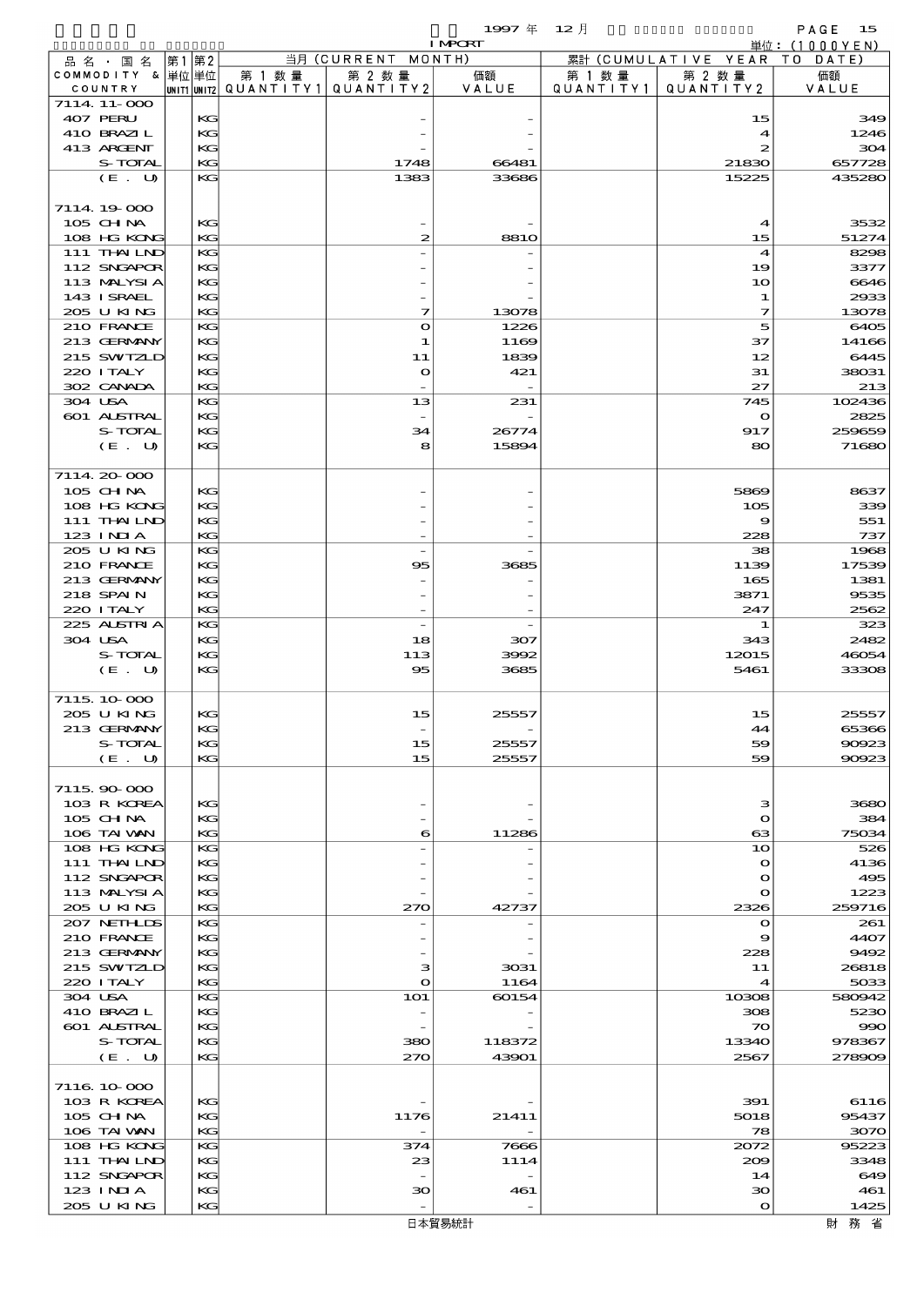$1997 \quad \oplus \quad 12 \quad \uparrow$  PAGE 15

|                             |          |        |                                                  | <b>I MPORT</b> |                      |                              | 単位: (1000YEN)  |
|-----------------------------|----------|--------|--------------------------------------------------|----------------|----------------------|------------------------------|----------------|
| 品名・国名                       | 第1 第2    |        | 当月 (CURRENT MONTH)                               |                |                      | 累計 (CUMULATIVE YEAR TO DATE) |                |
| COMMODITY & 単位単位<br>COUNTRY |          | 第 1 数量 | 第 2 数量<br> UNIT1 UNIT2  QUANT   TY1  QUANT   TY2 | 価額<br>VALUE    | 第 1 数 量<br>QUANTITY1 | 第 2 数量<br>QUANTITY 2         | 価額<br>VALUE    |
| 7114 11-000                 |          |        |                                                  |                |                      |                              |                |
| 407 PERU                    | KG       |        |                                                  |                |                      | 15                           | 349            |
| 410 BRAZIL                  | KG       |        |                                                  |                |                      | $\boldsymbol{\mathcal{A}}$   | 1246           |
| 413 ARCENT                  | KG       |        |                                                  |                |                      | $\boldsymbol{z}$             | 304            |
| S-TOTAL                     | KG       |        | 1748                                             | 66481          |                      | 21830                        | 657728         |
| (E. U)                      | KG       |        | 1383                                             | 33686          |                      | 15225                        | 435280         |
| 7114 19 000                 |          |        |                                                  |                |                      |                              |                |
| 105 CHNA                    | KG       |        |                                                  |                |                      | $\boldsymbol{4}$             | 3532           |
| 108 HG KONG                 | KG       |        | $\boldsymbol{z}$                                 | <b>8810</b>    |                      | 15                           | 51274          |
| 111 THAILND                 | KG       |        |                                                  |                |                      | $\boldsymbol{4}$             | 8298           |
| 112 SNGAPOR                 | KG       |        |                                                  |                |                      | 19                           | 3377           |
| 113 MALYSIA                 | KG       |        |                                                  |                |                      | 10                           | 6646           |
| 143 I SRAEL<br>205 U KING   | КC<br>KG |        | 7                                                | 13078          |                      | 1<br>$\mathcal I$            | 2933<br>13078  |
| 210 FRANCE                  | KG       |        | $\bullet$                                        | 1226           |                      | 5                            | 6405           |
| 213 GERMANY                 | KG       |        | 1                                                | 1169           |                      | 37                           | 14166          |
| 215 SWIZLD                  | KG       |        | 11                                               | 1839           |                      | 12                           | 6445           |
| 220 ITALY                   | КC       |        | $\mathbf{o}$                                     | 421            |                      | 31                           | 38031          |
| 302 CANADA                  | KG       |        |                                                  |                |                      | 27                           | 213            |
| 304 USA<br>601 ALSTRAL      | KG<br>KG |        | 13                                               | 231            |                      | 745                          | 102436<br>2825 |
| S-TOTAL                     | KG       |        | 34                                               | 26774          |                      | $\mathbf o$<br>917           | 259659         |
| $(E_U U)$                   | KG       |        | 8                                                | 15894          |                      | 80                           | 71680          |
|                             |          |        |                                                  |                |                      |                              |                |
| 7114 20 000                 |          |        |                                                  |                |                      |                              |                |
| 105 CHNA                    | KG       |        |                                                  |                |                      | 5869                         | 8637           |
| 108 HG KONG                 | KG       |        |                                                  |                |                      | 105                          | 339            |
| 111 THAILND                 | КC       |        |                                                  |                |                      | 9                            | 551            |
| 123 INIA<br>205 U KING      | KG<br>KG |        | $\overline{\phantom{a}}$                         |                |                      | 228<br>38                    | 737<br>1968    |
| 210 FRANCE                  | KG       |        | 95                                               | 3685           |                      | 1139                         | 17539          |
| 213 GERMANY                 | KG       |        |                                                  |                |                      | 165                          | 1381           |
| 218 SPAIN                   | KG       |        |                                                  |                |                      | 3871                         | 9535           |
| 220 I TALY                  | KG       |        |                                                  |                |                      | 247                          | 2562           |
| 225 ALSTRIA                 | KG       |        | $\overline{\phantom{a}}$                         |                |                      | 1                            | 323            |
| 304 USA                     | KG       |        | 18                                               | 307            |                      | 343                          | 2482           |
| S-TOTAL<br>(E. U)           | KG<br>KG |        | 113<br>95                                        | 3992<br>3685   |                      | 12015<br>5461                | 46054<br>33308 |
|                             |          |        |                                                  |                |                      |                              |                |
| 7115, 10, 000               |          |        |                                                  |                |                      |                              |                |
| 205 U KING                  | KG       |        | 15                                               | 25557          |                      | 15                           | 25557          |
| 213 GERMANY                 | KG       |        |                                                  |                |                      | 44                           | 65366          |
| S-TOTAL                     | КC<br>KG |        | 15<br>15                                         | 25557<br>25557 |                      | 59<br>59                     | 90923<br>90923 |
| (E. U)                      |          |        |                                                  |                |                      |                              |                |
| 7115.90-000                 |          |        |                                                  |                |                      |                              |                |
| 103 R KOREA                 | KG       |        |                                                  |                |                      | з                            | 3680           |
| 105 CH NA                   | КC       |        |                                                  |                |                      | $\mathbf{\Omega}$            | 384            |
| 106 TAI VAN                 | KG       |        | 6                                                | 11286          |                      | $\boldsymbol{\alpha}$        | 75034          |
| 108 HG KONG<br>111 THAILND  | KG<br>KG |        |                                                  |                |                      | 10<br>$\mathbf{o}$           | 526<br>4136    |
| 112 SNGAPOR                 | KG       |        |                                                  |                |                      | $\mathbf{o}$                 | 495            |
| 113 MALYSIA                 | КC       |        |                                                  |                |                      | $\mathbf o$                  | 1223           |
| 205 U KING                  | KG       |        | 270                                              | 42737          |                      | 2326                         | 259716         |
| 207 NETHLIS                 | KG       |        |                                                  |                |                      | $\mathbf o$                  | 261            |
| 210 FRANCE                  | KG       |        |                                                  |                |                      | 9                            | 4407           |
| 213 GERMANY<br>215 SWIZLD   | KG<br>КC |        | з                                                |                |                      | 228                          | 9492           |
| 220 I TALY                  | KG       |        | $\bullet$                                        | 3031<br>1164   |                      | 11<br>$\boldsymbol{4}$       | 26818<br>5033  |
| 304 USA                     | KG       |        | <b>1O1</b>                                       | 60154          |                      | 10308                        | 580942         |
| 410 BRAZIL                  | KG       |        |                                                  |                |                      | 308                          | 5230           |
| 601 ALSTRAL                 | KG       |        |                                                  |                |                      | $\infty$                     | 990            |
| S-TOTAL                     | КC       |        | 380                                              | 118372         |                      | 13340                        | 978367         |
| (E. U)                      | KG       |        | 270                                              | 43901          |                      | 2567                         | 278909         |
| 7116 10 000                 |          |        |                                                  |                |                      |                              |                |
| 103 R KOREA                 | KG       |        |                                                  |                |                      | 391                          | 6116           |
| 105 CHNA                    | КC       |        | 1176                                             | 21411          |                      | 5018                         | 95437          |
| 106 TAI VAN                 | KG       |        |                                                  |                |                      | 78                           | 3070           |
| 108 HG KONG                 | KG       |        | 374                                              | 7666           |                      | 2072                         | 95223          |
| 111 THAILND                 | KG       |        | 23                                               | 1114           |                      | 200                          | 3348           |
| 112 SNGAPOR<br>123 INIA     | KG<br>KG |        | зо                                               | 461            |                      | 14<br>30                     | 649<br>461     |
| 205 U KING                  | KG       |        |                                                  |                |                      | $\mathbf o$                  | 1425           |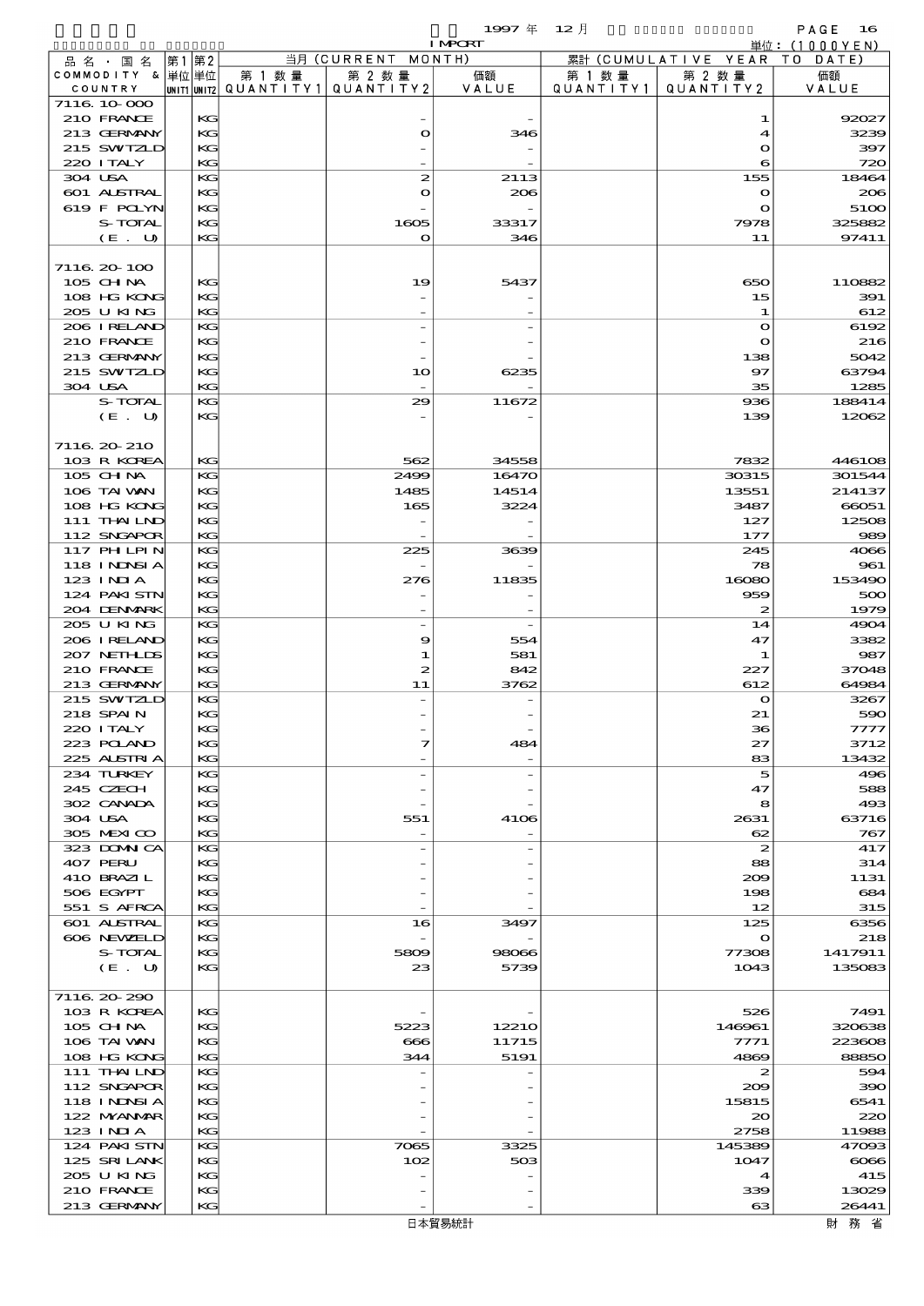|                             |           |       |          |                                       |                    | 1997 $#$       | $12$ 月    |                          | PAGE<br>16                      |
|-----------------------------|-----------|-------|----------|---------------------------------------|--------------------|----------------|-----------|--------------------------|---------------------------------|
| 品 名 ・ 国 名                   |           | 第1 第2 |          |                                       | 当月 (CURRENT MONTH) | <b>I MPORT</b> |           | 累計 (CUMULATIVE YEAR      | 単位: $(1000YEN)$<br>T O<br>DATE) |
| COMMODITY & 単位単位            |           |       |          | 第 1 数量                                | 第 2 数量             | 価額             | 第 1 数 量   | 第 2 数量                   | 価額                              |
| COUNTRY                     |           |       |          | unit1 unit2  QUANT   TY1  QUANT   TY2 |                    | VALUE          | QUANTITY1 | QUANTITY 2               | VALUE                           |
| 7116 10 000<br>210 FRANCE   |           |       | KG       |                                       |                    |                |           | 1                        | 92027                           |
| 213 GERMANY                 |           |       | KG       |                                       | $\bullet$          | 346            |           | 4                        | 3239                            |
| 215 SWIZLD                  |           |       | KG       |                                       |                    |                |           | $\mathbf o$              | 397                             |
| 220 I TALY                  |           |       | KG       |                                       |                    |                |           | 6                        | 720                             |
| 304 USA                     |           |       | KG       |                                       | $\boldsymbol{z}$   | 2113           |           | 155                      | 18464                           |
| 601 ALSTRAL<br>619 F POLYN  |           |       | KG<br>KG |                                       | $\bullet$          | 206            |           | $\bullet$<br>$\mathbf o$ | 206<br>5100                     |
|                             | S-TOTAL   |       | KG       |                                       | 1605               | 33317          |           | 7978                     | 325882                          |
|                             | $(E_U U)$ |       | KG       |                                       | $\mathbf o$        | 346            |           | 11                       | 97411                           |
|                             |           |       |          |                                       |                    |                |           |                          |                                 |
| 7116.20-100                 |           |       |          |                                       |                    |                |           |                          |                                 |
| 105 CHNA<br>108 HG KONG     |           |       | KG<br>KG |                                       | 19                 | 5437           |           | 650<br>15                | 110882<br>391                   |
| 205 U KING                  |           |       | KG       |                                       |                    |                |           | 1                        | 612                             |
| 206 I RELAND                |           |       | KG       |                                       |                    |                |           | $\mathbf o$              | 6192                            |
| 210 FRANCE                  |           |       | KG       |                                       |                    |                |           | $\bullet$                | 216                             |
| 213 GERMANY                 |           |       | KG       |                                       |                    |                |           | 138                      | 5042                            |
| 215 SWIZLD<br>304 USA       |           |       | KG<br>KG |                                       | 10                 | 6235           |           | 97<br>35                 | 63794<br>1285                   |
|                             | S-TOTAL   |       | KG       |                                       | 29                 | 11672          |           | 936                      | 188414                          |
|                             | (E. U)    |       | KG       |                                       |                    |                |           | 139                      | 12062                           |
|                             |           |       |          |                                       |                    |                |           |                          |                                 |
| 7116 20 210                 |           |       |          |                                       |                    |                |           |                          |                                 |
| 103 R KOREA<br>$105$ CHNA   |           |       | KG<br>KG |                                       | 562<br>2499        | 34558<br>16470 |           | 7832<br>30315            | 446108<br>301544                |
| 106 TAI VAN                 |           |       | KG       |                                       | 1485               | 14514          |           | 13551                    | 214137                          |
| 108 HG KONG                 |           |       | KG       |                                       | 165                | 3224           |           | 3487                     | 66051                           |
| $111$ THAILND               |           |       | KG       |                                       |                    |                |           | 127                      | 12508                           |
| 112 SNGAPOR                 |           |       | KG       |                                       |                    |                |           | 177                      | 989                             |
| 117 PH LPIN<br>118 I NDSI A |           |       | КG<br>KG |                                       | 225                | 3639           |           | 245<br>78                | 4066<br>961                     |
| 123 INIA                    |           |       | KG       |                                       | 276                | 11835          |           | 16080                    | 153490                          |
| 124 PAKISTN                 |           |       | KG       |                                       |                    |                |           | 959                      | 500                             |
| 204 DENMARK                 |           |       | KG       |                                       |                    |                |           | $\boldsymbol{z}$         | 1979                            |
| 205 U KING<br>206 IRELAND   |           |       | KG<br>KG |                                       | 9                  | 554            |           | 14<br>47                 | 4904<br>3382                    |
| 207 NETHLIS                 |           |       | KG       |                                       | 1                  | 581            |           | $\mathbf 1$              | 987                             |
| 210 FRANCE                  |           |       | KG       |                                       | 2                  | 842            |           | 227                      | 37048                           |
| 213 GERMANY                 |           |       | KG       |                                       | 11                 | 3762           |           | 612                      | 64984                           |
| 215 SWIZLD                  |           |       | KG       |                                       |                    |                |           | $\mathbf o$              | 3267                            |
| 218 SPAIN<br>220 I TALY     |           |       | KG<br>KG |                                       |                    |                |           | 21<br>36                 | 590<br>7777                     |
| 223 POLAND                  |           |       | KG       |                                       | 7                  | 484            |           | 27                       | 3712                            |
| 225 ALSTRIA                 |           |       | KG       |                                       |                    |                |           | 83                       | 13432                           |
| 234 TURKEY                  |           |       | KG       |                                       |                    |                |           | 5                        | 496                             |
| 245 CZECH<br>302 CANADA     |           |       | KG<br>KG |                                       |                    |                |           | 47                       | 588                             |
| 304 USA                     |           |       | KG       |                                       | 551                | 4106           |           | 8<br>2631                | 493<br>63716                    |
| 305 MEXICO                  |           |       | KG       |                                       | $\overline{a}$     |                |           | 62                       | 767                             |
| 323 DOMNICA                 |           |       | KG       |                                       |                    |                |           | 2                        | 417                             |
| 407 PERU                    |           |       | KG       |                                       |                    |                |           | 88                       | 314                             |
| 410 BRAZIL<br>506 EGYPT     |           |       | KG<br>KG |                                       |                    |                |           | 209<br>198               | 1131<br>684                     |
| 551 S AFRCA                 |           |       | KG       |                                       |                    |                |           | 12                       | 315                             |
| <b>601 ALSTRAL</b>          |           |       | КG       |                                       | 16                 | 3497           |           | 125                      | 6356                            |
| 606 NEWELD                  |           |       | KG       |                                       |                    |                |           | $\bullet$                | 218                             |
|                             | S-TOTAL   |       | KG       |                                       | 5809<br>23         | 98066<br>5739  |           | 77308<br>1043            | 1417911<br>135083               |
|                             | (E. U)    |       | KG       |                                       |                    |                |           |                          |                                 |
| 7116.20-290                 |           |       |          |                                       |                    |                |           |                          |                                 |
| 103 R KOREA                 |           |       | KG       |                                       |                    |                |           | 526                      | 7491                            |
| 105 CH NA                   |           |       | КG       |                                       | 5223               | 12210          |           | 146961                   | 320638                          |
| 106 TAI VAN<br>108 HG KONG  |           |       | KG<br>KG |                                       | 666<br>344         | 11715<br>5191  |           | 7771<br>4869             | 223608<br>88850                 |
| 111 THAILND                 |           |       | KG       |                                       |                    |                |           | 2                        | 594                             |
| 112 SNGAPOR                 |           |       | KG       |                                       |                    |                |           | 209                      | 390                             |
| 118 I NDSI A                |           |       | КG       |                                       |                    |                |           | 15815                    | 6541                            |
| 122 MYANAR                  |           |       | KG       |                                       |                    |                |           | $\infty$                 | 220                             |
| $123$ INIA<br>124 PAKISTN   |           |       | KG<br>KG |                                       | 7065               | 3325           |           | 2758<br>145389           | 11988<br>47093                  |
| 125 SRILANK                 |           |       | KG       |                                       | 102                | 503            |           | 1047                     | $\cos$                          |
| 205 U KING                  |           |       | КG       |                                       |                    |                |           | $\boldsymbol{4}$         | 415                             |
| 210 FRANCE                  |           |       | KG       |                                       |                    |                |           | 339                      | 13029                           |
| 213 GERMANY                 |           |       | KG       |                                       |                    |                |           | $\boldsymbol{\alpha}$    | 26441                           |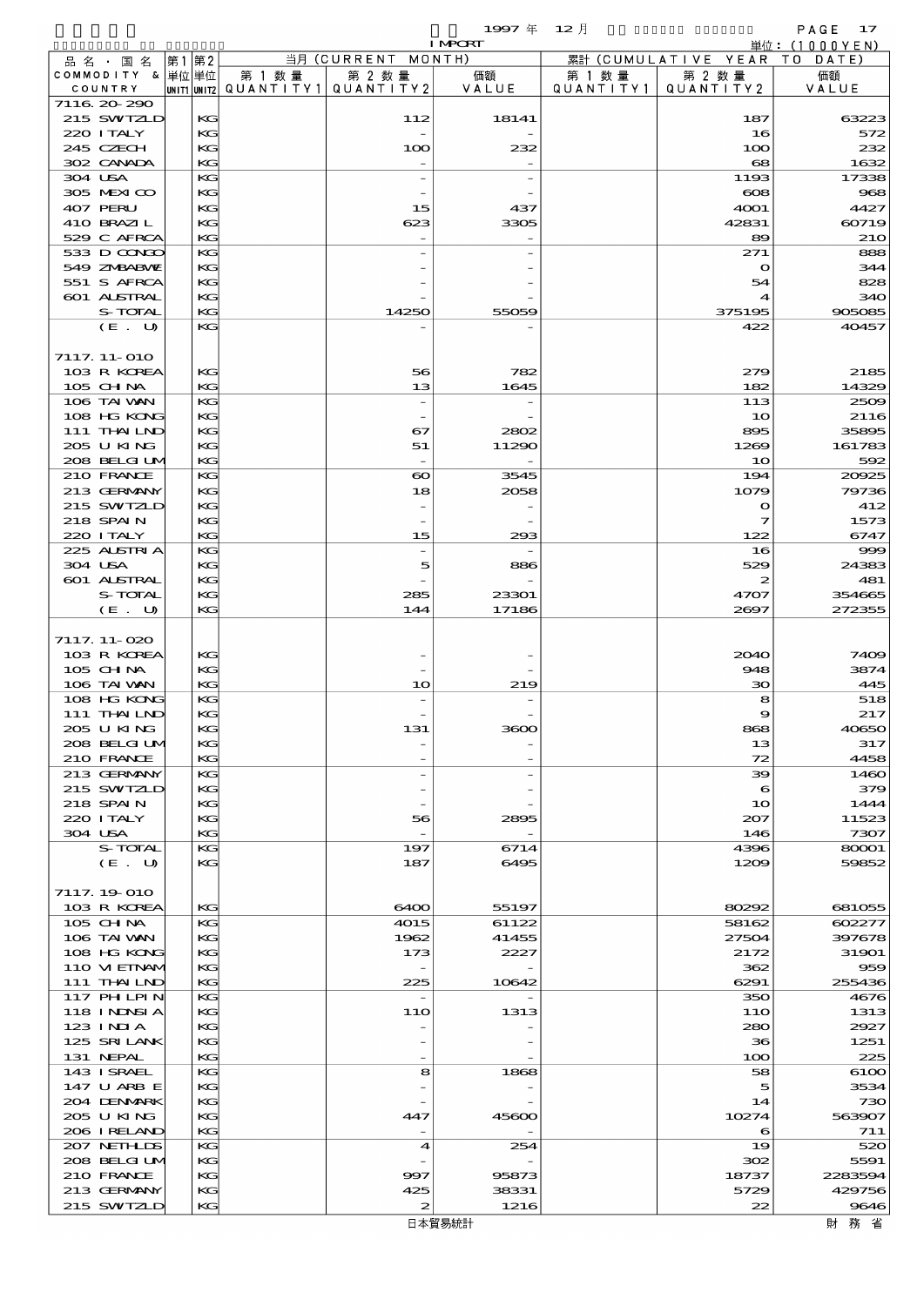$1$ 997  $\overline{4}$  12  $\overline{7}$  12  $\overline{7}$  PAGE 17

|                           |          |        |                                       | <b>I MPORT</b> |           |                              | 単位: (1000YEN) |
|---------------------------|----------|--------|---------------------------------------|----------------|-----------|------------------------------|---------------|
| 品名・国名                     | 第1 第2    |        | 当月 (CURRENT MONTH)                    |                |           | 累計 (CUMULATIVE YEAR TO DATE) |               |
| COMMODITY & 単位単位          |          | 第 1 数量 | 第 2 数量                                | 価額             | 第 1 数量    | 第 2 数量                       | 価額            |
| COUNTRY                   |          |        | UNIT1 UNIT2  QUANT   TY1  QUANT   TY2 | VALUE          | QUANTITY1 | QUANTITY 2                   | VALUE         |
| 7116 20 290<br>215 SWIZLD |          |        |                                       |                |           |                              | 63223         |
| 220 I TALY                | KG<br>KG |        | 112                                   | 18141          |           | 187<br>16                    | 572           |
| 245 CZECH                 | KG       |        | 100                                   | 232            |           | 100                          | 232           |
| 302 CANADA                | KG       |        |                                       |                |           | 68                           | 1632          |
| 304 USA                   | KG       |        |                                       |                |           | 1193                         | 17338         |
| 305 MEXICO                | KG       |        |                                       |                |           | $\infty$                     | 968           |
| 407 PERU                  | KG       |        | 15                                    | 437            |           | 4001                         | 4427          |
| 410 BRAZIL                | KG       |        | 623                                   | 3305           |           | 42831                        | 60719         |
| 529 C AFRCA               | KG       |        |                                       |                |           | 89                           | 210           |
| 533 D CONCO               | KG       |        |                                       |                |           | 271                          | 888           |
| 549 ZMBABMZ               | КG       |        |                                       |                |           | $\mathbf{\Omega}$            | 344           |
| 551 S AFRCA               | KG       |        |                                       |                |           | 54                           | 828           |
| 601 ALSTRAL               | KG       |        |                                       |                |           |                              | 340           |
| S-TOTAL                   | KG<br>KG |        | 14250                                 | 55059          |           | 375195                       | 905085        |
| (E. U)                    |          |        |                                       |                |           | 422                          | 40457         |
| 7117. 11-010              |          |        |                                       |                |           |                              |               |
| 103 R KOREA               | KG       |        | 56                                    | 782            |           | 279                          | 2185          |
| 105 CH NA                 | KG       |        | 13                                    | 1645           |           | 182                          | 14329         |
| 106 TAI VAN               | KG       |        | $\overline{\phantom{a}}$              |                |           | 113                          | 2509          |
| 108 HG KONG               | KG       |        |                                       |                |           | 10                           | 2116          |
| 111 THAILND               | KG       |        | 67                                    | 2802           |           | 895                          | 35895         |
| 205 U KING                | KG       |        | 51                                    | 11290          |           | 1269                         | 161783        |
| 208 BELGI UM              | KG       |        |                                       |                |           | 10                           | 592           |
| 210 FRANCE                | KG       |        | $\boldsymbol{\infty}$                 | 3545           |           | 194                          | 20025         |
| 213 GERMANY               | KG       |        | 18                                    | 2058           |           | 1079                         | 79736         |
| 215 SWIZLD                | KG       |        |                                       |                |           | $\mathbf{o}$                 | 412           |
| 218 SPAIN                 | KG       |        |                                       |                |           | 7                            | 1573          |
| 220 I TALY                | KG       |        | 15                                    | 293            |           | 122                          | 6747          |
| 225 ALSTRIA               | KG       |        |                                       |                |           | 16                           | 999           |
| 304 USA<br>601 ALSTRAL    | KG       |        | 5                                     | 886            |           | 529                          | 24383<br>481  |
| S-TOTAL                   | KG<br>KG |        | 285                                   | 23301          |           | 2<br>4707                    | 354665        |
| (E. U)                    | KG       |        | 144                                   | 17186          |           | 2697                         | 272355        |
|                           |          |        |                                       |                |           |                              |               |
| 7117.11-020               |          |        |                                       |                |           |                              |               |
| 103 R KOREA               | KG       |        |                                       |                |           | 2040                         | 7409          |
| 105 CH NA                 | KG       |        |                                       |                |           | 948                          | 3874          |
| 106 TAI VAN               | KG       |        | 10                                    | 219            |           | 30                           | 445           |
| 108 HG KONG               | KG       |        |                                       |                |           | 8                            | 518           |
| 111 THAILND               | KG       |        |                                       |                |           | 9                            | 217           |
| 205 U KING                | KG       |        | 131                                   |                |           |                              | 40650         |
| 208 BELGI UM              | KG       |        |                                       |                |           | 13                           | 317           |
| 210 FRANCE                | KG       |        |                                       |                |           | 72                           | 4458          |
| 213 GERMANY               | KG       |        | $\overline{a}$                        |                |           | 39                           | 1460          |
| 215 SWIZLD                | KG       |        |                                       |                |           | 6                            | 379           |
| 218 SPAIN<br>220 I TALY   | KG<br>KG |        |                                       | 2895           |           | 10<br>207                    | 1444<br>11523 |
| 304 USA                   | KG       |        | 56<br>$\overline{\phantom{a}}$        |                |           | 146                          | 7307          |
| S-TOTAL                   | KG       |        | 197                                   | 6714           |           | 4396                         | 80001         |
| (E. U)                    | KG       |        | 187                                   | 6495           |           | 1209                         | 59852         |
|                           |          |        |                                       |                |           |                              |               |
| 7117. 19 010              |          |        |                                       |                |           |                              |               |
| 103 R KOREA               | KG       |        | 6400                                  | 55197          |           | 80292                        | 681055        |
| $105$ CHNA                | KG       |        | 4015                                  | 61122          |           | 58162                        | 602277        |
| 106 TAI VAN               | KG       |        | 1962                                  | 41455          |           | 27504                        | 397678        |
| 108 HG KONG               | KG       |        | 173                                   | 2227           |           | 2172                         | 31901         |
| 110 VIEINAM               | KG       |        |                                       |                |           | 362                          | 959           |
| 111 THAILND               | KG       |        | 225                                   | 10642          |           | 6291                         | 255436        |
| 117 PHLPIN                | KG       |        | $\overline{\phantom{a}}$              |                |           | 350                          | 4676          |
| 118 I NDSI A              | KG       |        | 11O                                   | 1313           |           | 11O                          | 1313          |
| 123 INIA<br>125 SRILANK   | KG<br>KG |        |                                       |                |           | 280<br>36                    | 2927<br>1251  |
| 131 NEPAL                 | KG       |        |                                       |                |           | 100                          | 225           |
| 143 ISRAEL                | KG       |        | 8                                     | 1868           |           | 58                           | 6100          |
| 147 U ARB E               | KG       |        |                                       |                |           | 5                            | 3534          |
| 204 DENMARK               | KG       |        |                                       |                |           | 14                           | 730           |
| 2005 U KING               | KG       |        | 447                                   | 45600          |           | 10274                        | 563907        |
| 206 IRELAND               | KG       |        |                                       |                |           | 6                            | 711           |
| 207 NETHLIS               | KG       |        | 4                                     | 254            |           | 19                           | 520           |
| 208 BELGI UM              | KG       |        |                                       |                |           | 302                          | 5591          |
| 210 FRANCE                | KG       |        | 997                                   | 95873          |           | 18737                        | 2283594       |
| 213 GERMANY               | КC       |        | 425                                   | 38331          |           | 5729                         | 429756        |
| 215 SWIZLD                | KG       |        | $\boldsymbol{z}$                      | 1216           |           | 22                           | 9646          |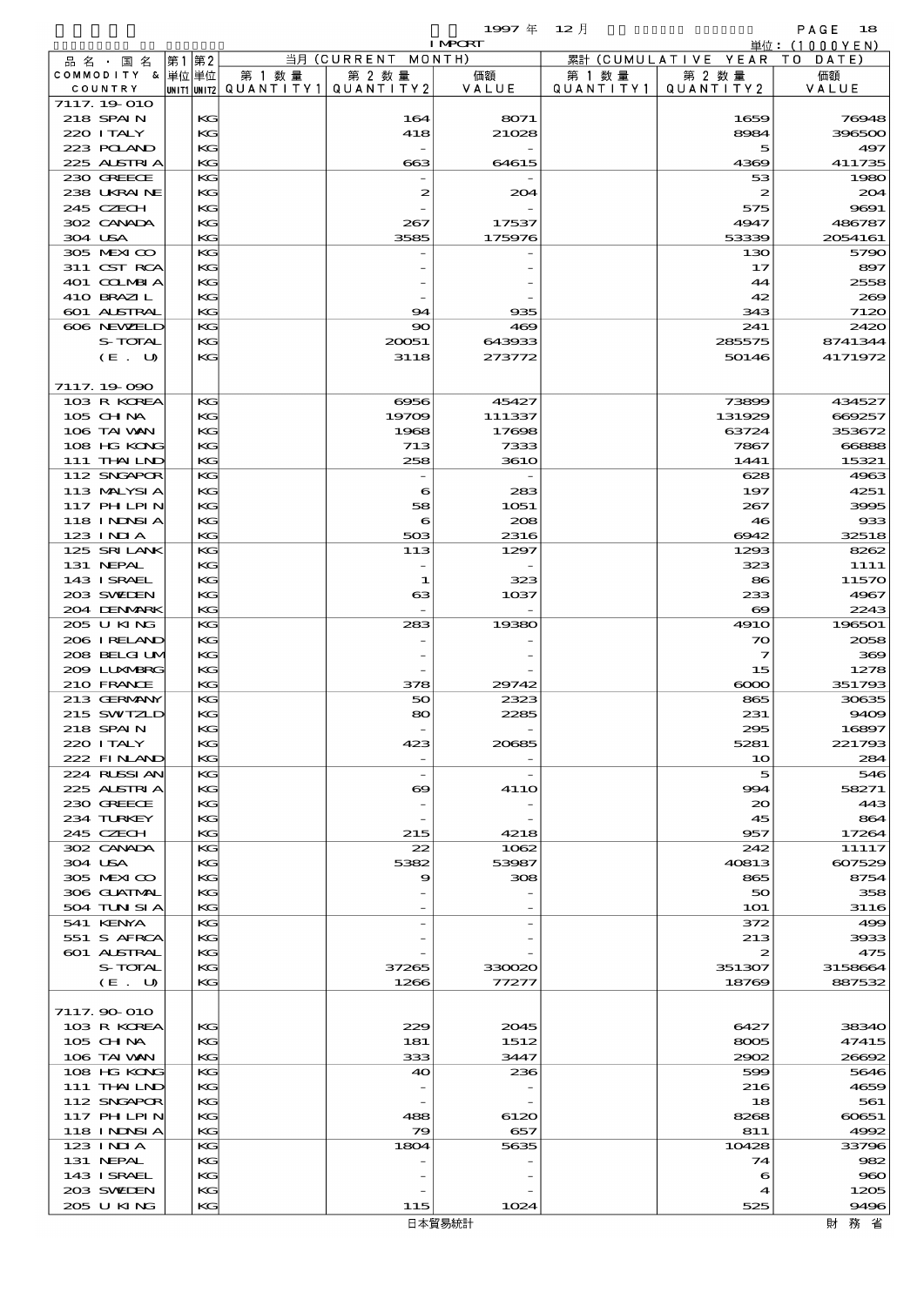$1997 \frac{\pi}{4}$   $12 \frac{\pi}{4}$   $12 \frac{\pi}{4}$  PAGE 18

|                             |          |        |                                       | <b>I MPORT</b> |                   |                              | 単位: (1000YEN) |
|-----------------------------|----------|--------|---------------------------------------|----------------|-------------------|------------------------------|---------------|
| 品名・国名                       | 第1 第2    |        | 当月 (CURRENT MONTH)                    |                |                   | 累計 (CUMULATIVE YEAR TO DATE) |               |
| COMMODITY & 単位単位            |          | 第 1 数量 | 第 2 数量                                | 価額             | 第 1 数量            | 第 2 数量                       | 価額            |
| COUNTRY                     |          |        | UNIT1 UNIT2 QUANT I TY 1 QUANT I TY 2 | VALUE          | Q U A N T I T Y 1 | QUANTITY2                    | VALUE         |
| 7117.19-010<br>218 SPAIN    | KG       |        | 164                                   |                |                   | 1659                         | 76948         |
| 220 I TALY                  | KG       |        | 418                                   | 8071<br>21028  |                   | 8984                         | 396500        |
| 223 POLAND                  | KG       |        |                                       |                |                   | 5                            | 497           |
| 225 ALSTRIA                 | KG       |        | 663                                   | 64615          |                   | 4369                         | 411735        |
| 230 GREECE                  | KG       |        |                                       |                |                   | 53                           | 1980          |
| 238 UKRAINE                 | KG       |        | 2                                     | 204            |                   | 2                            | 204           |
| 245 CZECH                   | KG       |        |                                       |                |                   | 575                          | 9691          |
| 302 CANADA                  | KG       |        | 267                                   | 17537          |                   | 4947                         | 486787        |
| 304 USA                     | KG       |        | 3585                                  | 175976         |                   | 53339                        | 2054161       |
| 305 MEXICO                  | KG       |        |                                       |                |                   | 130                          | 5790          |
| 311 CST RCA                 | KG       |        |                                       |                |                   | 17                           | 897           |
| 401 COLMBIA                 | KG       |        |                                       |                |                   | 44                           | 2558          |
| 410 BRAZIL                  | KG       |        |                                       |                |                   | 42                           | 269           |
| 601 ALSTRAL<br>606 NEWELD   | KG<br>KG |        | 94<br>$\infty$                        | 935<br>469     |                   | 343<br>241                   | 7120<br>2420  |
| S-TOTAL                     | KG       |        | 20051                                 | 643933         |                   | 285575                       | 8741344       |
| (E. U)                      | KG       |        | 3118                                  | 273772         |                   | 50146                        | 4171972       |
|                             |          |        |                                       |                |                   |                              |               |
| 7117.19.090                 |          |        |                                       |                |                   |                              |               |
| 103 R KOREA                 | KG       |        | 6956                                  | 45427          |                   | 73899                        | 434527        |
| 105 CHNA                    | KG       |        | 19709                                 | 111337         |                   | 131929                       | 669257        |
| 106 TAI VAN                 | KG       |        | 1968                                  | 17698          |                   | 63724                        | 353672        |
| 108 HG KONG                 | KG       |        | 713                                   | 7333           |                   | 7867                         | 66888         |
| 111 THAILND                 | KG       |        | 258                                   | <b>3610</b>    |                   | 1441                         | 15321         |
| 112 SNGAPOR                 | KG       |        |                                       |                |                   | 628                          | 4963          |
| 113 MALYSIA                 | KG       |        | 6                                     | 283            |                   | 197                          | 4251          |
| 117 PHLPIN                  | KG       |        | 58                                    | 1051           |                   | 267                          | 3995          |
| 118 INNSI A                 | KG       |        | 6                                     | 208            |                   | 46                           | 933           |
| $123$ INIA                  | KG       |        | 503                                   | 2316           |                   | 6942                         | 32518         |
| 125 SRILANK<br>131 NEPAL    | KG<br>KG |        | 113                                   | 1297           |                   | 1293<br>323                  | 8262          |
| 143 I SRAEL                 | KG       |        | 1                                     | 323            |                   | 86                           | 1111<br>11570 |
| 203 SWILEN                  | KG       |        | 63                                    | 1037           |                   | 233                          | 4967          |
| 204 DENMARK                 | KG       |        |                                       |                |                   | $\infty$                     | 2243          |
| 205 U KING                  | KG       |        | 283                                   | 19380          |                   | <b>4910</b>                  | 196501        |
| 206 IRELAND                 | KG       |        |                                       |                |                   | 70                           | 2058          |
| 208 BELGI UM                | KG       |        |                                       |                |                   | $\overline{\mathbf{z}}$      | 369           |
| 200 LUNABRG                 | KG       |        |                                       |                |                   | 15                           | 1278          |
| 210 FRANCE                  | KG       |        | 378                                   | 29742          |                   | $\infty$                     | 351793        |
| 213 GERMANY                 | KG       |        | 50                                    | 2323           |                   | 865                          | 30635         |
| 215 SWIZLD                  | KG       |        | 80                                    | 2285           |                   | 231                          | 9409          |
| 218 SPAIN                   | KG       |        |                                       |                |                   | 295                          | 16897         |
| 220 I TALY                  | KG       |        | 423                                   | 20685          |                   | 5281                         | 221793        |
| 222 FINAND                  | KG       |        |                                       |                |                   | 10                           | 284           |
| 224 RUSSI AN<br>225 ALSTRIA | KG       |        | $\overline{\phantom{a}}$              |                |                   | 5                            | 546           |
| 230 GREECE                  | KG<br>KG |        | ဓ                                     | 41 1O          |                   | 994<br>$\infty$              | 58271<br>443  |
| 234 TURKEY                  | КC       |        |                                       |                |                   | 45                           | 864           |
| 245 CZECH                   | KG       |        | 215                                   | 4218           |                   | 957                          | 17264         |
| 302 CANADA                  | KG       |        | 22                                    | 1062           |                   | 242                          | 11117         |
| 304 USA                     | KG       |        | 5382                                  | 53987          |                   | 40813                        | 607529        |
| 305 MEXICO                  | KG       |        | 9                                     | 308            |                   | 865                          | 8754          |
| 306 GUATMAL                 | КC       |        |                                       |                |                   | 50                           | 358           |
| 504 TUN SI A                | KG       |        |                                       |                |                   | <b>1O1</b>                   | 3116          |
| 541 KENYA                   | KС       |        |                                       |                |                   | 372                          | 499           |
| 551 S AFRCA                 | KG       |        |                                       |                |                   | 213                          | 3933          |
| 601 ALSTRAL                 | KG       |        |                                       |                |                   | 2                            | 475           |
| S-TOTAL                     | КC       |        | 37265                                 | 330020         |                   | 351307                       | 3158664       |
| (E. U)                      | KG       |        | 1266                                  | 77277          |                   | 18769                        | 887532        |
| 7117.90 010                 |          |        |                                       |                |                   |                              |               |
| 103 R KOREA                 | KG       |        | 229                                   | 2045           |                   | 6427                         | 38340         |
| 105 CH NA                   | КC       |        | 181                                   | 1512           |                   | 8005                         | 47415         |
| 106 TAI VAN                 | KG       |        | 333                                   | 3447           |                   | 2902                         | 26692         |
| 108 HG KONG                 | KС       |        | 40                                    | 236            |                   | 599                          | 5646          |
| 111 THAILND                 | KG       |        |                                       |                |                   | 216                          | 4659          |
| 112 SNGAPOR                 | KG       |        |                                       |                |                   | 18                           | 561           |
| 117 PHLPIN                  | КC       |        | 488                                   | 6120           |                   | 8268                         | 60651         |
| 118 I NDSI A                | KG       |        | 79                                    | 657            |                   | 811                          | 4992          |
| $123$ INIA                  | KG       |        | 1804                                  | 5635           |                   | 10428                        | 33796         |
| 131 NEPAL                   | KG       |        |                                       |                |                   | 74                           | 982           |
| 143 ISRAEL                  | KG       |        |                                       |                |                   | 6                            | 960           |
| 203 SWIDEN                  | KС       |        |                                       |                |                   | 4                            | 1205          |
| 205 U KING                  | KG       |        | 115                                   | 1024           |                   | 525                          | 9496          |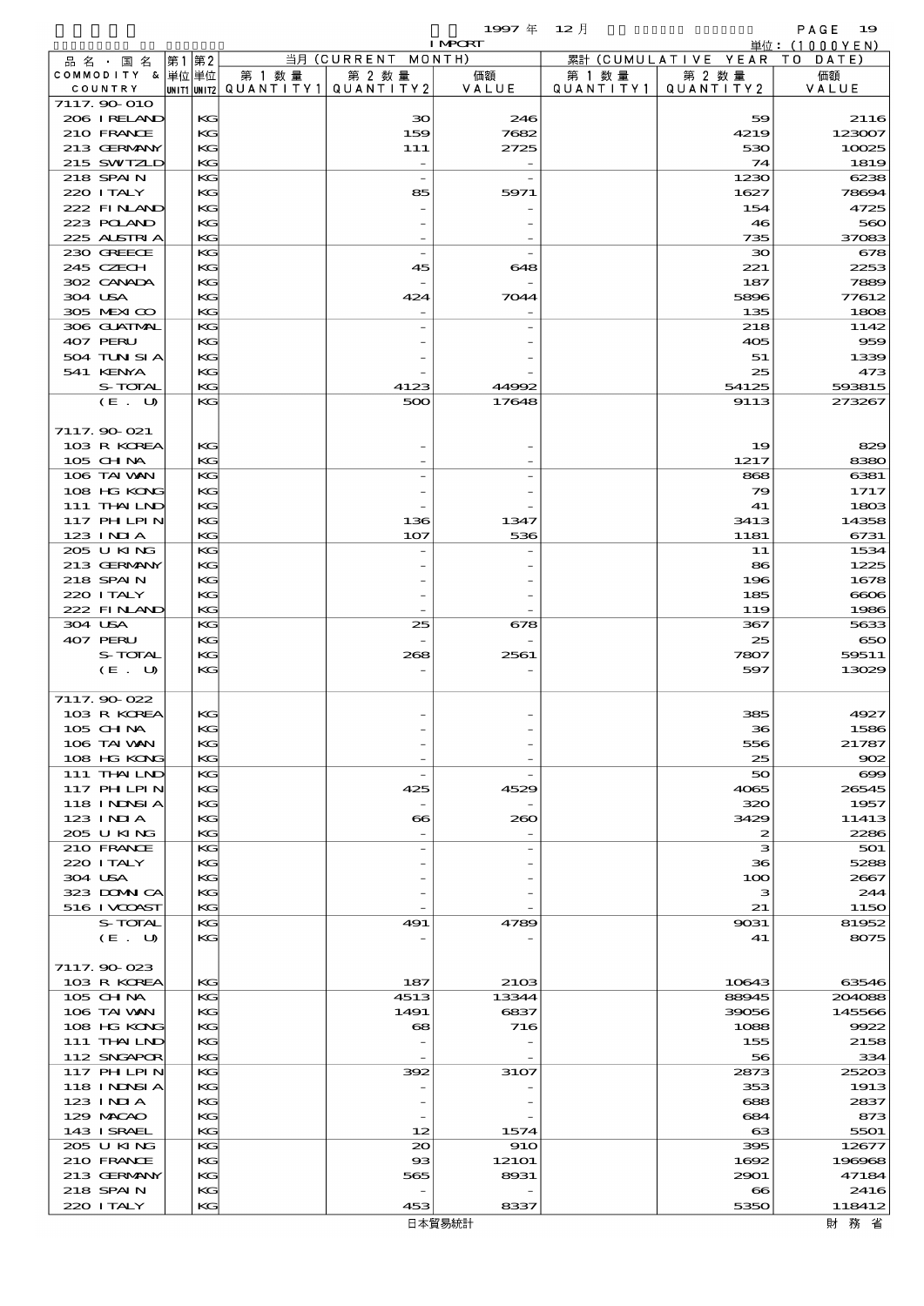$1997 \quad \oplus \quad 12 \quad \frac{1}{2}$ 

|                             |      |          |                                                  |                                | <b>I MPORT</b> |                      |                              | 単位: (1000YEN)   |
|-----------------------------|------|----------|--------------------------------------------------|--------------------------------|----------------|----------------------|------------------------------|-----------------|
| 品 名 ・ 国 名                   | 第1第2 |          |                                                  | 当月 (CURRENT MONTH)             |                |                      | 累計 (CUMULATIVE YEAR TO DATE) |                 |
| COMMODITY & 単位単位<br>COUNTRY |      |          | 第 1 数量<br> UNIT1 UNIT2  QUANT I TY1  QUANT I TY2 | 第 2 数量                         | 価額<br>VALUE    | 第 1 数 量<br>QUANTITY1 | 第 2 数量<br>QUANTITY 2         | 価額<br>VALUE     |
| 7117.90 010                 |      |          |                                                  |                                |                |                      |                              |                 |
| 206 IRELAND                 |      | KG       |                                                  | 30                             | 246            |                      | 59                           | 2116            |
| 210 FRANCE                  |      | KG       |                                                  | 159                            | 7682           |                      | 4219                         | 123007          |
| 213 GERMANY                 |      | KG       |                                                  | 111                            | 2725           |                      | 530                          | 10025           |
| 215 SWIZLD                  |      | KG       |                                                  |                                |                |                      | 74                           | 1819            |
| 218 SPAIN<br>220 I TALY     |      | KG<br>KG |                                                  | $\overline{\phantom{0}}$<br>85 | 5971           |                      | 1230<br>1627                 | 6238<br>78694   |
| 222 FINAND                  |      | KG       |                                                  |                                |                |                      | 154                          | 4725            |
| 223 POLAND                  |      | KG       |                                                  |                                |                |                      | 46                           | 560             |
| 225 ALSTRIA                 |      | KG       |                                                  |                                |                |                      | 735                          | 37083           |
| 230 GREECE                  |      | KG       |                                                  | $\overline{a}$                 |                |                      | $\infty$                     | 678             |
| 245 CZECH                   |      | KG       |                                                  | 45                             | 648            |                      | 221                          | 2253            |
| 302 CANADA                  |      | KG       |                                                  |                                |                |                      | 187                          | 7889            |
| 304 USA<br>305 MEXICO       |      | KG<br>KG |                                                  | 424                            | 7044           |                      | 5896<br>135                  | 77612<br>1808   |
| 306 GUATMAL                 |      | KG       |                                                  |                                |                |                      | 218                          | 1142            |
| 407 PERU                    |      | KG       |                                                  |                                |                |                      | 405                          | 959             |
| 504 TUN SI A                |      | KG       |                                                  |                                |                |                      | 51                           | 1339            |
| 541 KENYA                   |      | KG       |                                                  |                                |                |                      | 25                           | 473             |
| S-TOTAL                     |      | KG       |                                                  | 4123                           | 44992          |                      | 54125                        | 593815          |
| (E. U)                      |      | KG       |                                                  | 500                            | 17648          |                      | 9113                         | 273267          |
| 7117.90 021                 |      |          |                                                  |                                |                |                      |                              |                 |
| 103 R KOREA                 |      | KG       |                                                  |                                |                |                      | 19                           | 829             |
| 105 CHNA                    |      | KG       |                                                  |                                |                |                      | 1217                         | 8380            |
| 106 TAI VAN                 |      | KG       |                                                  |                                |                |                      | 868                          | 6381            |
| 108 HG KONG                 |      | KG       |                                                  |                                |                |                      | 79                           | 1717            |
| 111 THAILND                 |      | KG       |                                                  |                                |                |                      | 41                           | 1803            |
| 117 PH LPIN                 |      | KG       |                                                  | 136                            | 1347           |                      | 3413                         | 14358           |
| $123$ INIA                  |      | KG       |                                                  | 107                            | 536            |                      | 1181                         | 6731            |
| 205 U KING<br>213 GERMANY   |      | KG<br>KG |                                                  |                                |                |                      | 11<br>86                     | 1534<br>1225    |
| 218 SPAIN                   |      | KG       |                                                  |                                |                |                      | 196                          | 1678            |
| 220 I TALY                  |      | KG       |                                                  |                                |                |                      | 185                          | 6606            |
| 222 FINAND                  |      | KG       |                                                  |                                |                |                      | 119                          | 1986            |
| 304 USA                     |      | KG       |                                                  | 25                             | 678            |                      | 367                          | 5633            |
| 407 PERU                    |      | KG       |                                                  |                                |                |                      | 25                           | 650             |
| S-TOTAL                     |      | KG       |                                                  | 268                            | 2561           |                      | 7807                         | 59511           |
| (E. U)                      |      | KG       |                                                  |                                |                |                      | 597                          | 13029           |
| 7117.90 022                 |      |          |                                                  |                                |                |                      |                              |                 |
| 103 R KOREA                 |      | KG       |                                                  |                                |                |                      | 385                          | 4927            |
| 105 CH NA                   |      | KG       |                                                  |                                |                |                      | 36                           | 1586            |
| 106 TAI VAN                 |      | KG       |                                                  |                                |                |                      | 556                          | 21787           |
| 108 HG KONG                 |      | KG       |                                                  |                                |                |                      | 25                           | 902             |
| 111 THAILND                 |      | KG       |                                                  | $\overline{\phantom{a}}$       |                |                      | 50                           | $\infty$        |
| 117 PHLPIN<br>118 INNSI A   |      | KG<br>KG |                                                  | 425                            | 4529           |                      | 4065<br>320                  | 26545<br>1957   |
| 123 INIA                    |      | KG       |                                                  | $\bf{8}$                       | 260            |                      | 3429                         | 11413           |
| 205 U KING                  |      | KG       |                                                  |                                |                |                      | 2                            | 2286            |
| 210 FRANCE                  |      | KG       |                                                  |                                |                |                      | з                            | 501             |
| 220 I TALY                  |      | KG       |                                                  |                                |                |                      | 36                           | 5288            |
| 304 USA                     |      | KG       |                                                  |                                |                |                      | 100                          | 2667            |
| 323 DOMNICA                 |      | KG       |                                                  |                                |                |                      | з                            | 244             |
| 516 I VOOST<br>S-TOTAL      |      | KG<br>KG |                                                  | 491                            | 4789           |                      | 21<br>9031                   | 1150<br>81952   |
| (E. U)                      |      | KG       |                                                  |                                |                |                      | 41                           | 8075            |
|                             |      |          |                                                  |                                |                |                      |                              |                 |
| 7117.90-023                 |      |          |                                                  |                                |                |                      |                              |                 |
| 103 R KOREA                 |      | KG       |                                                  | 187                            | 2103           |                      | 10643                        | 63546           |
| 105 CHNA                    |      | KG       |                                                  | 4513                           | 13344          |                      | 88945                        | 204088          |
| 106 TAI VAN                 |      | KG       |                                                  | 1491                           | 6837           |                      | 39056                        | 145566          |
| 108 HG KONG                 |      | KG       |                                                  | 68                             | 716            |                      | 1088                         | 9922            |
| 111 THAILND<br>112 SNGAPOR  |      | KG<br>KG |                                                  |                                |                |                      | 155<br>56                    | 2158<br>334     |
| 117 PHLPIN                  |      | KG       |                                                  | 392                            | 3107           |                      | 2873                         | 25203           |
| 118 I NINSI A               |      | KG       |                                                  |                                |                |                      | 353                          | 1913            |
| 123 INIA                    |      | KG       |                                                  |                                |                |                      | 688                          | 2837            |
| 129 MACAO                   |      | KG       |                                                  |                                |                |                      | 684                          | 873             |
| 143 ISRAEL                  |      | KG       |                                                  | 12                             | 1574           |                      | $\boldsymbol{\alpha}$        | 5501            |
| 205 U KING                  |      | KG       |                                                  | $_{\infty}$                    | <b>910</b>     |                      | 395                          | 12677           |
| 210 FRANCE<br>213 GERMANY   |      | KG<br>KG |                                                  | $_{\rm \alpha}$                | 12101<br>8931  |                      | 1692                         | 196968<br>47184 |
| 218 SPAIN                   |      | KG       |                                                  | 565                            |                |                      | 2901<br>$\bf{8}$             | 2416            |
| 220 I TALY                  |      | KC       |                                                  | 453                            | 8337           |                      | 5350                         | 118412          |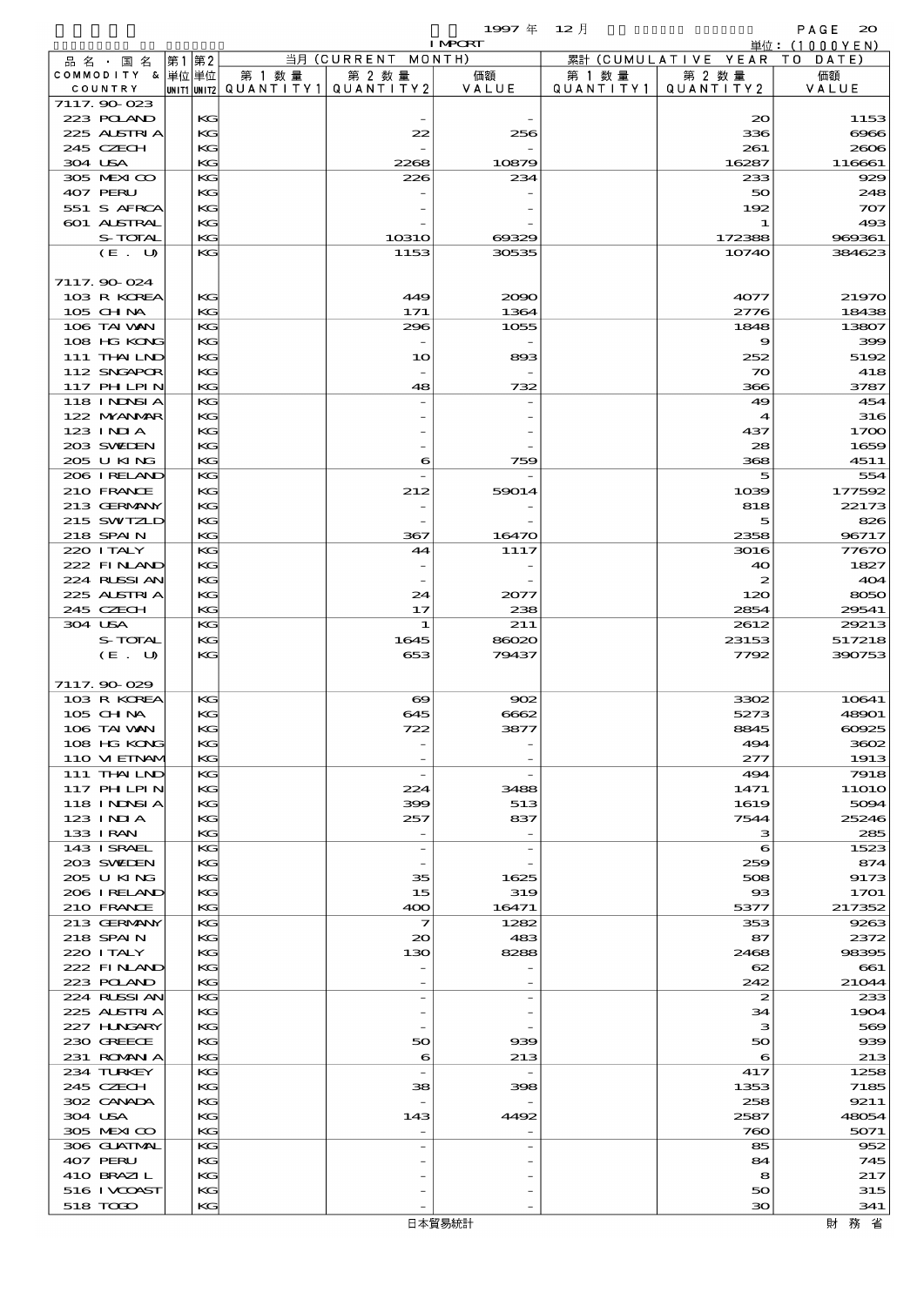$1997 \nsubseteq 12 \nexists$ 

|                             |          |        |                                                  | <b>I MPORT</b>           |                     |                              | 単位: (1000 Y E N)           |
|-----------------------------|----------|--------|--------------------------------------------------|--------------------------|---------------------|------------------------------|----------------------------|
| 品名・国名                       | 第1 第2    |        | 当月 (CURRENT MONTH)                               |                          |                     | 累計 (CUMULATIVE YEAR TO DATE) |                            |
| COMMODITY & 単位単位<br>COUNTRY |          | 第 1 数量 | 第 2 数量<br> UNIT1 UNIT2  QUANT   TY1  QUANT   TY2 | 価額<br>VALUE              | 第 1 数量<br>QUANTITY1 | 第 2 数量<br>QUANTITY 2         | 価額<br>VALUE                |
| 7117.90-023                 |          |        |                                                  |                          |                     |                              |                            |
| 223 POLAND                  | KG       |        |                                                  |                          |                     | $\infty$                     | 1153                       |
| 225 ALSTRIA                 | KG       |        | 22                                               | 256                      |                     | 336                          | $\Theta$ $\Theta$ $\Theta$ |
| 245 CZECH                   | KG       |        |                                                  |                          |                     | 261                          | 2606                       |
| 304 USA                     | KG       |        | 2268                                             | 10879                    |                     | 16287                        | 116661                     |
| 305 MEXICO<br>407 PERU      | KG<br>KG |        | 226                                              | 234                      |                     | 233<br>50                    | 929<br>248                 |
| 551 S AFRCA                 | KG       |        |                                                  |                          |                     | 192                          | 707                        |
| 601 ALSTRAL                 | KG       |        |                                                  |                          |                     | 1                            | 493                        |
| S-TOTAL                     | KG       |        | <b>10310</b>                                     | 69329                    |                     | 172388                       | 969361                     |
| (E. U)                      | KG       |        | 1153                                             | 30535                    |                     | 10740                        | 384623                     |
|                             |          |        |                                                  |                          |                     |                              |                            |
| 7117.90 024                 |          |        |                                                  |                          |                     |                              |                            |
| 103 R KOREA<br>105 CH NA    | KG<br>KG |        | 449<br>171                                       | 2090<br>1364             |                     | 4077<br>2776                 | 21970<br>18438             |
| 106 TAI VAN                 | KG       |        | 296                                              | 1055                     |                     | 1848                         | 13807                      |
| 108 HG KONG                 | KG       |        |                                                  |                          |                     | 9                            | 399                        |
| 111 THAILND                 | KG       |        | 10                                               | 893                      |                     | 252                          | 5192                       |
| 112 SNGAPOR                 | KG       |        |                                                  |                          |                     | $\infty$                     | 418                        |
| <b>117 PHLPIN</b>           | KG       |        | 48                                               | 732                      |                     | 366                          | 3787                       |
| 118 I NDSI A                | KG       |        |                                                  |                          |                     | 49                           | 454                        |
| 122 NYANAR<br>123 INIA      | KG<br>KG |        |                                                  |                          |                     | $\blacktriangleleft$<br>437  | 316<br>1700                |
| 203 SWIJEN                  | KG       |        |                                                  |                          |                     | 28                           | 1659                       |
| 205 U KING                  | KG       |        | 6                                                | 759                      |                     | 368                          | 4511                       |
| 206 IRELAND                 | KG       |        |                                                  |                          |                     | 5                            | 554                        |
| 210 FRANCE                  | KG       |        | 212                                              | 59014                    |                     | 1039                         | 177592                     |
| 213 GERMANY                 | KG       |        |                                                  |                          |                     | 818                          | 22173                      |
| 215 SWIZLD                  | KG       |        |                                                  |                          |                     | 5                            | 826                        |
| 218 SPAIN                   | KG<br>KG |        | 367                                              | 16470                    |                     | 2358                         | 96717                      |
| 220 I TALY<br>222 FINAND    | KG       |        | 44                                               | 1117                     |                     | 3016<br>40                   | 77670<br>1827              |
| 224 RUSSIAN                 | KG       |        |                                                  |                          |                     | 2                            | 404                        |
| 225 ALSTRIA                 | KG       |        | 24                                               | 2077                     |                     | 120                          | 8050                       |
| 245 CZECH                   | KG       |        | 17                                               | 238                      |                     | 2854                         | 29541                      |
| 304 USA                     | KG       |        | $\mathbf{1}$                                     | 211                      |                     | 2612                         | 29213                      |
| S-TOTAL                     | KG       |        | 1645                                             | 86020                    |                     | 23153                        | 517218                     |
| (E. U)                      | KG       |        | 653                                              | 79437                    |                     | 7792                         | 390753                     |
| 7117.90 029                 |          |        |                                                  |                          |                     |                              |                            |
| 103 R KOREA                 | KG       |        | $\boldsymbol{\infty}$                            | 902                      |                     | 3302                         | 10641                      |
| 105 CHNA                    | KG       |        | 645                                              | 6662                     |                     | 5273                         | 48901                      |
| 106 TAI VAN                 | KG       |        | 722                                              | 3877                     |                     | 8845                         | 60925                      |
| 108 HG KONG                 | KG       |        |                                                  |                          |                     | 494                          | 3602                       |
| 110 VIEINAM                 | KG       |        |                                                  |                          |                     | 277                          | 1913                       |
| 111 THAILND<br>117 PH LPIN  | KG<br>KG |        | $\overline{\phantom{a}}$<br>224                  | 3488                     |                     | 494                          | 7918<br><b>11O1O</b>       |
| <b>118 INNSIA</b>           | KG       |        | 399                                              | 513                      |                     | 1471<br>1619                 | 5094                       |
| 123 INIA                    | KG       |        | 257                                              | 837                      |                     | 7544                         | 25246                      |
| 133 I RAN                   | KG       |        |                                                  |                          |                     | з                            | 285                        |
| 143 ISRAEL                  | KG       |        | $\overline{\phantom{a}}$                         |                          |                     | 6                            | 1523                       |
| 203 SWIDEN                  | KG       |        |                                                  |                          |                     | 259                          | 874                        |
| 205 U KING                  | KG       |        | 35<br>15                                         | 1625                     |                     | 508                          | 9173                       |
| 206 I RELAND<br>210 FRANCE  | КG<br>KG |        | 400                                              | 319<br>16471             |                     | $_{\rm ss}$<br>5377          | 1701<br>217352             |
| 213 GERMANY                 | KG       |        | $\overline{\mathbf{z}}$                          | 1282                     |                     | 353                          | 9263                       |
| 218 SPAIN                   | KG       |        | $\infty$                                         | 483                      |                     | 87                           | 2372                       |
| 220 I TALY                  | KG       |        | 130                                              | 8288                     |                     | 2468                         | 98395                      |
| 222 FINAND                  | KG       |        |                                                  |                          |                     | 62                           | 661                        |
| 223 POLAND                  | KG       |        |                                                  |                          |                     | 242                          | 21044                      |
| 224 RUSSI AN<br>225 ALSTRIA | KС<br>KG |        | $\overline{a}$                                   |                          |                     | 2<br>34                      | 233<br>1904                |
| 227 H.NGARY                 | KG       |        |                                                  |                          |                     | з                            | 569                        |
| 230 GREECE                  | KG       |        | 50                                               | 939                      |                     | 50                           | 939                        |
| 231 ROMANIA                 | KG       |        | $\epsilon$                                       | 213                      |                     | 6                            | 213                        |
| 234 TURKEY                  | KС       |        | $\overline{\phantom{a}}$                         | $\overline{\phantom{a}}$ |                     | 417                          | 1258                       |
| 245 CZECH                   | KG       |        | 38                                               | 398                      |                     | 1353                         | 7185                       |
| 302 CANADA<br>304 USA       | KG<br>КG |        | 143                                              | 4492                     |                     | 258<br>2587                  | 9211<br>48054              |
| 305 MEXICO                  | KG       |        |                                                  |                          |                     | 760                          | 5071                       |
| 306 GUATMAL                 | KG       |        | $\overline{a}$                                   |                          |                     | 85                           | 952                        |
| 407 PERU                    | KG       |        |                                                  |                          |                     | 84                           | 745                        |
| 410 BRAZIL                  | KG       |        |                                                  |                          |                     | 8                            | 217                        |
| 516 I VOOAST                | KG       |        |                                                  |                          |                     | 50                           | 315                        |
| 518 TOGO                    | KG       |        |                                                  |                          |                     | 30                           | 341                        |

日本貿易統計